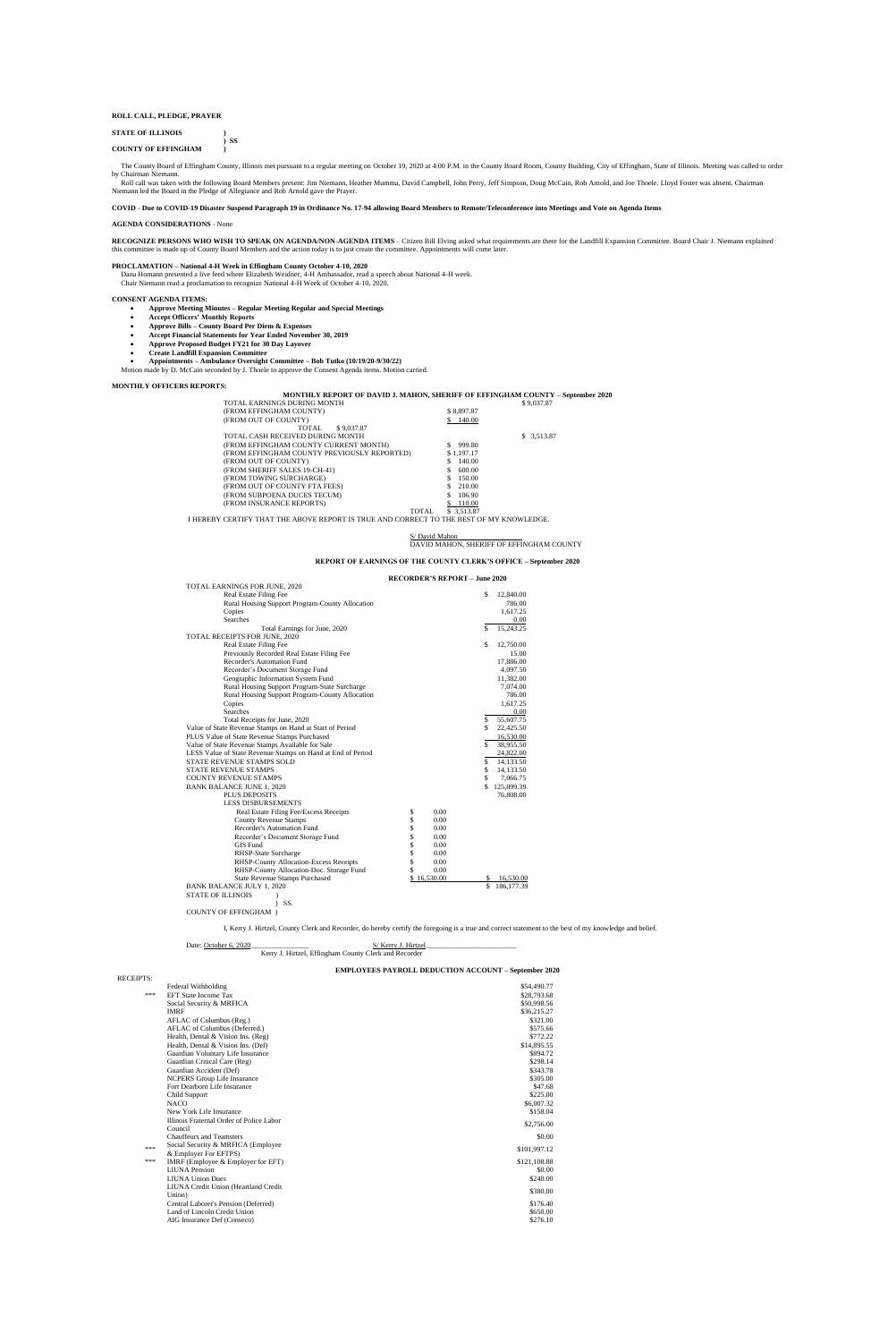## **ROLL CALL, PLEDGE, PRAYER**

## **STATE OF ILLINOIS )**

**) SS COUNTY OF EFFINGHAM )**

 The County Board of Effingham County, Illinois met pursuant to a regular meeting on October 19, 2020 at 4:00 P.M. in the County Board Room, County Building, City of Effingham, State of Illinois. Meeting was called to order by Chairman Niemann.

Roll call was taken with the following Board Members present: Jim Niemann, Heather Mumma, David Campbell, John Perry, Jeff Simpson, Doug McCain, Rob Arnold, and Joe Thoele. Lloyd Foster was absent. Chairman Niemann led the Board in the Pledge of Allegiance and Rob Arnold gave the Prayer.

## **COVID - Due to COVID-19 Disaster Suspend Paragraph 19 in Ordinance No. 17-94 allowing Board Members to Remote/Teleconference into Meetings and Vote on Agenda Items**

## **AGENDA CONSIDERATIONS** - None

**RECOGNIZE PERSONS WHO WISH TO SPEAK ON AGENDA/NON-AGENDA ITEMS** – Citizen Bill Elving asked what requirements are there for the Landfill Expansion Committee. Board Chair J. Niemann explained this committee is made up of County Board Members and the action today is to just create the committee. Appointments will come later.

#### **PROCLAMATION – National 4-H Week in Effingham County October 4-10, 2020**

 Dana Homann presented a live feed where Elizabeth Weidner, 4-H Ambassador, read a speech about National 4-H week. Chair Niemann read a proclamation to recognize National 4-H Week of October 4-10, 2020.

### **CONSENT AGENDA ITEMS:**

- **Approve Meeting Minutes – Regular Meeting Regular and Special Meetings**
	- **Accept Officers' Monthly Reports**
	- **Approve Bills – County Board Per Diem & Expenses**
- **Accept Financial Statements for Year Ended November 30, 2019**
- **Approve Proposed Budget FY21 for 30 Day Layover**
- **Create Landfill Expansion Committee**
- **Appointments – Ambulance Oversight Committee – Bob Tutko (10/19/20-9/30/22)**
- Motion made by D. McCain seconded by J. Thoele to approve the Consent Agenda items. Motion carried.

## **MONTHLY OFFICERS REPORTS:**

## **MONTHLY REPORT OF DAVID J. MAHON, SHERIFF OF EFFINGHAM COUNTY – September 2020**

| TOTAL EARNINGS DURING MONTH                 |              | \$9,037.87  |
|---------------------------------------------|--------------|-------------|
| (FROM EFFINGHAM COUNTY)                     | \$8,897.87   |             |
| (FROM OUT OF COUNTY)                        | 140.00<br>S. |             |
| \$9,037.87<br>TOTAL.                        |              |             |
| TOTAL CASH RECEIVED DURING MONTH            |              | \$ 3,513.87 |
| (FROM EFFINGHAM COUNTY CURRENT MONTH)       | 999.80       |             |
| (FROM EFFINGHAM COUNTY PREVIOUSLY REPORTED) | \$1,197.17   |             |
| (FROM OUT OF COUNTY)                        | 140.00<br>S  |             |
| (FROM SHERIFF SALES 19-CH-41)               | \$<br>600.00 |             |
| (FROM TOWING SURCHARGE)                     | S.<br>150.00 |             |
| (FROM OUT OF COUNTY FTA FEES)               | 210.00<br>\$ |             |
| (FROM SUBPOENA DUCES TECUM)                 | S<br>106.90  |             |
| (FROM INSURANCE REPORTS)                    | 110.00       |             |
| TOTAL.                                      | \$ 3.513.87  |             |

I HEREBY CERTIFY THAT THE ABOVE REPORT IS TRUE AND CORRECT TO THE BEST OF MY KNOWLEDGE.

#### S/ David Mahon

## DAVID MAHON, SHERIFF OF EFFINGHAM COUNTY

## **REPORT OF EARNINGS OF THE COUNTY CLERK'S OFFICE – September 2020**

## **RECORDER'S REPORT – June 2020**

| TOTAL EARNINGS FOR JUNE, 2020                               |                 |                   |
|-------------------------------------------------------------|-----------------|-------------------|
| <b>Real Estate Filing Fee</b>                               |                 | \$<br>12,840.00   |
| Rural Housing Support Program-County Allocation             |                 | 786.00            |
| Copies                                                      |                 | 1,617.25          |
| <b>Searches</b>                                             |                 | 0.00              |
| Total Earnings for June, 2020                               |                 | \$<br>15,243.25   |
| TOTAL RECEIPTS FOR JUNE, 2020                               |                 |                   |
| Real Estate Filing Fee                                      |                 | \$<br>12,750.00   |
| Previously Recorded Real Estate Filing Fee                  |                 | 15.00             |
| Recorder's Automation Fund                                  |                 | 17,886.00         |
| Recorder's Document Storage Fund                            |                 | 4,097.50          |
| Geographic Information System Fund                          |                 | 11,382.00         |
| Rural Housing Support Program-State Surcharge               |                 | 7,074.00          |
| Rural Housing Support Program-County Allocation             |                 | 786.00            |
| Copies                                                      |                 | 1,617.25          |
| <b>Searches</b>                                             |                 | 0.00              |
| Total Receipts for June, 2020                               |                 | \$<br>55,607.75   |
| Value of State Revenue Stamps on Hand at Start of Period    |                 | \$<br>22,425.50   |
| PLUS Value of State Revenue Stamps Purchased                |                 | 16,530.00         |
| Value of State Revenue Stamps Available for Sale            |                 | \$<br>38,955.50   |
| LESS Value of State Revenue Stamps on Hand at End of Period |                 | 24,822.00         |
| <b>STATE REVENUE STAMPS SOLD</b>                            |                 | \$<br>14,133.50   |
| <b>STATE REVENUE STAMPS</b>                                 |                 | \$<br>14,133.50   |
| <b>COUNTY REVENUE STAMPS</b>                                |                 | \$<br>7,066.75    |
| <b>BANK BALANCE JUNE 1, 2020</b>                            |                 | \$<br>125,899.39  |
| <b>PLUS DEPOSITS</b>                                        |                 | 76,808.00         |
| <b>LESS DISBURSEMENTS</b>                                   |                 |                   |
| Real Estate Filing Fee/Excess Receipts                      | \$<br>0.00      |                   |
| <b>County Revenue Stamps</b>                                | \$<br>0.00      |                   |
| Recorder's Automation Fund                                  | \$<br>0.00      |                   |
| Recorder's Document Storage Fund                            | \$<br>0.00      |                   |
| <b>GIS Fund</b>                                             | \$<br>0.00      |                   |
| RHSP-State Surcharge                                        | \$<br>0.00      |                   |
| RHSP-County Allocation-Excess Receipts                      | \$<br>0.00      |                   |
| RHSP-County Allocation-Doc. Storage Fund                    | \$<br>0.00      |                   |
| <b>State Revenue Stamps Purchased</b>                       | 16,530.00<br>\$ | \$<br>16,530.00   |
| <b>BANK BALANCE JULY 1, 2020</b>                            |                 | \$<br>186, 177.39 |
| <b>STATE OF ILLINOIS</b>                                    |                 |                   |
| SS.                                                         |                 |                   |

COUNTY OF EFFINGHAM )

I, Kerry J. Hirtzel, County Clerk and Recorder, do hereby certify the foregoing is a true and correct statement to the best of my knowledge and belief.

### Date: October 6, 2020\_\_\_\_\_\_\_\_\_\_\_\_\_\_\_\_ S/ Kerry J. Hirtzel\_\_\_\_\_\_\_\_\_\_\_\_\_\_\_\_\_\_\_\_\_\_\_\_\_

Kerry J. Hirtzel, Effingham County Clerk and Recorder

## **EMPLOYEES PAYROLL DEDUCTION ACCOUNT – September 2020**

| <b>RECEIPTS:</b> |                                          |              |
|------------------|------------------------------------------|--------------|
|                  | Federal Withholding                      | \$54,490.77  |
| ***              | <b>EFT State Income Tax</b>              | \$28,793.68  |
|                  | Social Security & MRFICA                 | \$50,998.56  |
|                  | <b>IMRF</b>                              | \$36,215.27  |
|                  | AFLAC of Columbus (Reg.)                 | \$321.00     |
|                  | AFLAC of Columbus (Deferred.)            | \$575.66     |
|                  | Health, Dental & Vision Ins. (Reg)       | \$772.22     |
|                  | Health, Dental & Vision Ins. (Def)       | \$14,895.55  |
|                  | Guardian Voluntary Life Insurance        | \$894.72     |
|                  | Guardian Critical Care (Reg)             | \$298.14     |
|                  | Guardian Accident (Def)                  | \$343.78     |
|                  | <b>NCPERS</b> Group Life Insurance       | \$305.00     |
|                  | Fort Dearborn Life Insurance             | \$47.68      |
|                  | Child Support                            | \$225.00     |
|                  | <b>NACO</b>                              | \$6,007.32   |
|                  | New York Life Insurance                  | \$158.04     |
|                  | Illinois Fraternal Order of Police Labor | \$2,756.00   |
|                  | Council                                  |              |
|                  | <b>Chauffeurs and Teamsters</b>          | \$0.00       |
| ***              | Social Security & MRFICA (Employee       | \$101,997.12 |
|                  | & Employer For EFTPS)                    |              |
| ***              | IMRF (Employee & Employer for EFT)       | \$121,108.88 |
|                  | <b>LIUNA</b> Pension                     | \$0.00       |
|                  | <b>LIUNA Union Dues</b>                  | \$240.00     |
|                  | LIUNA Credit Union (Heartland Credit     | \$380.00     |
|                  | Union)                                   |              |
|                  | Central Laborer's Pension (Deferred)     | \$176.40     |
|                  | Land of Lincoln Credit Union             | \$650.00     |
|                  | AIG Insurance Def (Conseco)              | \$276.10     |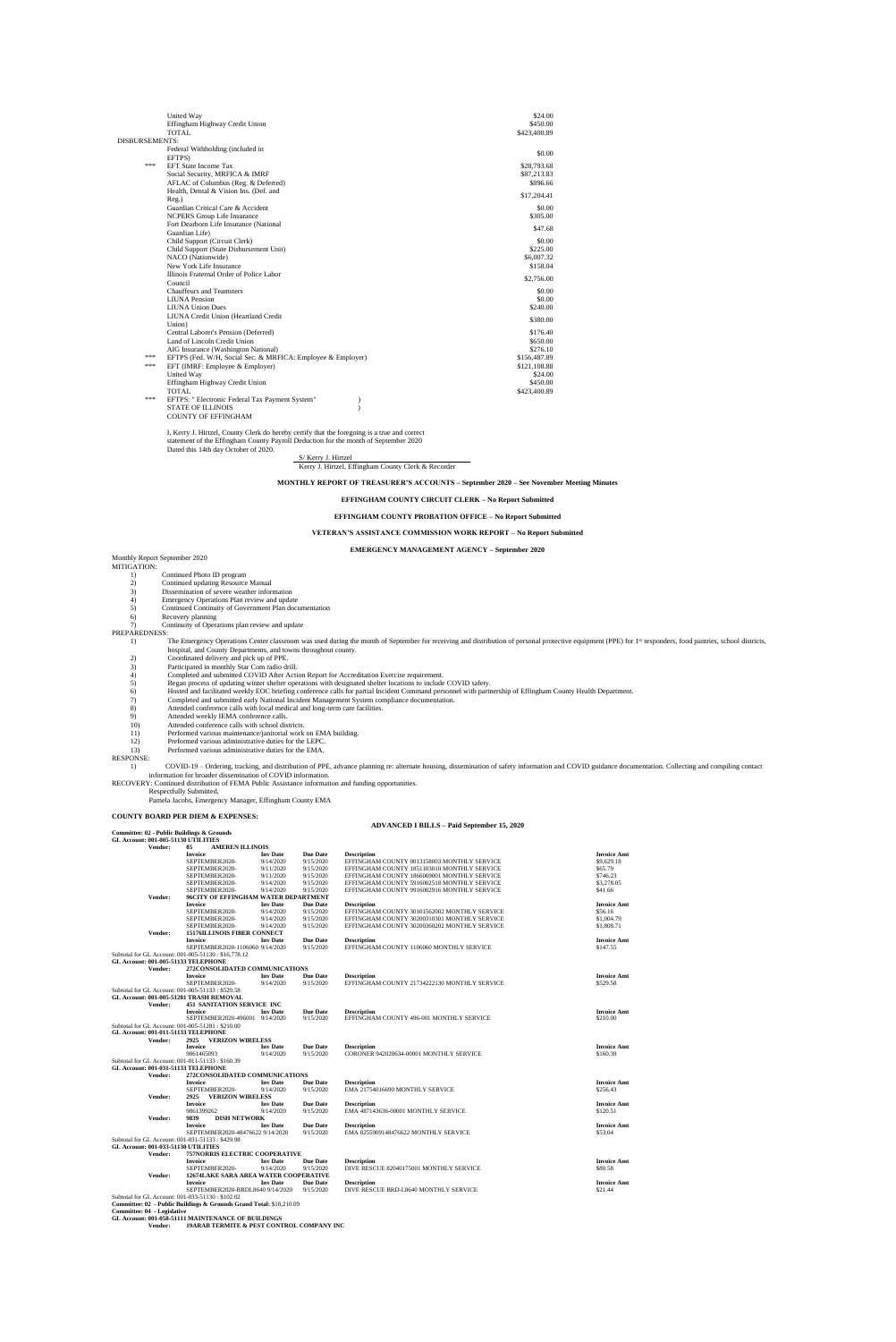|                | United Way<br>Effingham Highway Credit Union<br><b>TOTAL</b>                                                                                                   | \$24.00<br>\$450.00<br>\$423,400.89                                 |
|----------------|----------------------------------------------------------------------------------------------------------------------------------------------------------------|---------------------------------------------------------------------|
| DISBURSEMENTS: |                                                                                                                                                                |                                                                     |
|                | Federal Withholding (included in<br>EFTPS)                                                                                                                     | \$0.00                                                              |
| ***            | <b>EFT State Income Tax</b><br>Social Security, MRFICA & IMRF<br>AFLAC of Columbus (Reg. & Deferred)                                                           | \$28,793.68<br>\$87,213.83<br>\$896.66                              |
|                | Health, Dental & Vision Ins. (Def. and<br>$Reg.$ )                                                                                                             | \$17,204.41                                                         |
|                | Guardian Critical Care & Accident<br><b>NCPERS Group Life Insurance</b>                                                                                        | \$0.00<br>\$305.00                                                  |
|                | Fort Dearborn Life Insurance (National<br>Guardian Life)                                                                                                       | \$47.68                                                             |
|                | Child Support (Circuit Clerk)<br>Child Support (State Disbursement Unit)<br>NACO (Nationwide)<br>New York Life Insurance                                       | \$0.00<br>\$225.00<br>\$6,007.32<br>\$158.04                        |
|                | Illinois Fraternal Order of Police Labor                                                                                                                       | \$2,756.00                                                          |
|                | Council<br><b>Chauffeurs and Teamsters</b><br><b>LIUNA</b> Pension<br><b>LIUNA Union Dues</b><br>LIUNA Credit Union (Heartland Credit                          | \$0.00<br>\$0.00<br>\$240.00                                        |
|                | Union)                                                                                                                                                         | \$380.00                                                            |
|                | Central Laborer's Pension (Deferred)<br>Land of Lincoln Credit Union<br>AIG Insurance (Washington National)                                                    | \$176.40<br>\$650.00<br>\$276.10                                    |
| ***<br>***     | EFTPS (Fed. W/H, Social Sec. & MRFICA: Employee & Employer)<br>EFT (IMRF: Employee & Employer)<br>United Way<br>Effingham Highway Credit Union<br><b>TOTAL</b> | \$156,487.89<br>\$121,108.88<br>\$24.00<br>\$450.00<br>\$423,400.89 |
| ***            | EFTPS: " Electronic Federal Tax Payment System"<br><b>STATE OF ILLINOIS</b><br><b>COUNTY OF EFFINGHAM</b>                                                      |                                                                     |

#### Monthly Report September 2020 MITIGATION:

- 
- 1) Continued Photo ID program<br>2) Continued updating Resource
- 2) Continued updating Resource Manual<br>3) Dissemination of severe weather inform
- 3) Dissemination of severe weather information 4) Emergency Operations Plan review and updat
- 4) Emergency Operations Plan review and update<br>5) Continued Continuity of Government Plan docu
- 5) Continued Continuity of Government Plan documentation
- 6) Recovery planning
- 7) Continuity of Operations plan review and update

I, Kerry J. Hirtzel, County Clerk do hereby certify that the foregoing is a true and correct statement of the Effingham County Payroll Deduction for the month of September 2020 Dated this 14th day October of 2020.

S/ Kerry J. Hirtzel Kerry J. Hirtzel, Effingham County Clerk & Recorder

**MONTHLY REPORT OF TREASURER'S ACCOUNTS – September 2020 – See November Meeting Minutes**

## **EFFINGHAM COUNTY CIRCUIT CLERK – No Report Submitted**

- PREPAREDNESS:<br>1) The Emergency Operations Center classroom was used during the month of September for receiving and distribution of personal protective equipment (PPE) for 1<sup>st</sup> responders, food pantries, school districts, hospital, and County Departments, and towns throughout county.
	- 2) Coordinated delivery and pick up of PPE.<br>3) Participated in monthly Star Com radio dr<br>4) Completed and submitted COVID After A
	- 3) Participated in monthly Star Com radio drill.
	- 4) Completed and submitted COVID After Action Report for Accreditation Exercise requirement.
	-
	- 5) Began process of updating winter shelter operations with designated shelter locations to include COVID safety. 6) Hosted and facilitated weekly EOC briefing conference calls for partial Incident Command personnel with partnership of Effingham County Health Department.
	- 7) Completed and submitted early National Incident Management System compliance documentation.
	- 8) Attended conference calls with local medical and long-term care facilities.<br>9) Attended weekly IEMA conference calls.
	-
	- 9) Attended weekly IEMA conference calls.<br>10) Attended conference calls with school dist Attended conference calls with school districts.
	- 11) Performed various maintenance/janitorial work on EMA building.<br>12) Preformed various administrative duties for the LEPC.
	- Preformed various administrative duties for the LEPC.
	- 13) Performed various administrative duties for the EMA.

## **EFFINGHAM COUNTY PROBATION OFFICE – No Report Submitted**

## **VETERAN'S ASSISTANCE COMMISSION WORK REPORT – No Report Submitted**

**EMERGENCY MANAGEMENT AGENCY – September 2020**

RESPONSE:

1) COVID-19 – Ordering, tracking, and distribution of PPE, advance planning re: alternate housing, dissemination of safety information and COVID guidance documentation. Collecting and compiling contact information for broader dissemination of COVID information.

RECOVERY: Continued distribution of FEMA Public Assistance information and funding opportunities.

Respectfully Submitted,

Pamela Jacobs, Emergency Manager, Effingham County EMA

# **COUNTY BOARD PER DIEM & EXPENSES:**

## **ADVANCED I BILLS – Paid September 15, 2020**

|                | Committee: 02 - Public Buildings & Grounds  |                 |                 |                                              |                    |
|----------------|---------------------------------------------|-----------------|-----------------|----------------------------------------------|--------------------|
|                | GL Account: 001-005-51130 UTILITIES         |                 |                 |                                              |                    |
| <b>Vendor:</b> | <b>AMEREN ILLINOIS</b><br>85                |                 |                 |                                              |                    |
|                | <b>Invoice</b>                              | <b>Inv</b> Date | <b>Due Date</b> | <b>Description</b>                           | <b>Invoice Amt</b> |
|                | SEPTEMBER2020-                              | 9/14/2020       | 9/15/2020       | EFFINGHAM COUNTY 0013158003 MONTHLY SERVICE  | \$9,629.18         |
|                | SEPTEMBER2020-                              | 9/11/2020       | 9/15/2020       | EFFINGHAM COUNTY 1851103010 MONTHLY SERVICE  | \$65.79            |
|                | SEPTEMBER2020-                              | 9/11/2020       | 9/15/2020       | EFFINGHAM COUNTY 1866069001 MONTHLY SERVICE  | \$746.23           |
|                | SEPTEMBER2020-                              | 9/14/2020       | 9/15/2020       | EFFINGHAM COUNTY 5916002518 MONTHLY SERVICE  | \$3,278.05         |
|                | SEPTEMBER2020-                              | 9/14/2020       | 9/15/2020       | EFFINGHAM COUNTY 9916002916 MONTHLY SERVICE  | \$41.66            |
| Vendor:        | <b>96CITY OF EFFINGHAM WATER DEPARTMENT</b> |                 |                 |                                              |                    |
|                | <b>Invoice</b>                              | <b>Inv</b> Date | <b>Due Date</b> | <b>Description</b>                           | <b>Invoice Amt</b> |
|                | SEPTEMBER2020-                              | 9/14/2020       | 9/15/2020       | EFFINGHAM COUNTY 30101562002 MONTHLY SERVICE | \$56.16            |
|                | SEPTEMBER2020-                              | 9/14/2020       | 9/15/2020       | EFFINGHAM COUNTY 30200310301 MONTHLY SERVICE | \$1,004.79         |
|                | SEPTEMBER2020-                              | 9/14/2020       | 9/15/2020       | EFFINGHAM COUNTY 30200360202 MONTHLY SERVICE | \$1,808.71         |

| Vendor:                                              | <b>15176ILLINOIS FIBER CONNECT</b>                                  |                 |                 |                                              |                    |
|------------------------------------------------------|---------------------------------------------------------------------|-----------------|-----------------|----------------------------------------------|--------------------|
|                                                      | <b>Invoice</b>                                                      | <b>Inv</b> Date | <b>Due Date</b> | <b>Description</b>                           | <b>Invoice Amt</b> |
|                                                      | SEPTEMBER2020-1106060 9/14/2020                                     |                 | 9/15/2020       | EFFINGHAM COUNTY 1106060 MONTHLY SERVICE     | \$147.55           |
| Subtotal for GL Account: 001-005-51130 : \$16,778.12 |                                                                     |                 |                 |                                              |                    |
| <b>GL Account: 001-005-51133 TELEPHONE</b>           |                                                                     |                 |                 |                                              |                    |
| Vendor:                                              | 272CONSOLIDATED COMMUNICATIONS                                      |                 |                 |                                              |                    |
|                                                      | <b>Invoice</b>                                                      | <b>Inv</b> Date | <b>Due Date</b> | <b>Description</b>                           | <b>Invoice Amt</b> |
|                                                      | SEPTEMBER2020-                                                      | 9/14/2020       | 9/15/2020       | EFFINGHAM COUNTY 21734222130 MONTHLY SERVICE | \$529.58           |
| Subtotal for GL Account: 001-005-51133 : \$529.58    |                                                                     |                 |                 |                                              |                    |
| GL Account: 001-005-51281 TRASH REMOVAL              |                                                                     |                 |                 |                                              |                    |
| Vendor:                                              | <b>451 SANITATION SERVICE INC</b>                                   |                 |                 |                                              |                    |
|                                                      | <b>Invoice</b>                                                      | <b>Inv</b> Date | <b>Due Date</b> | <b>Description</b>                           | <b>Invoice Amt</b> |
|                                                      | SEPTEMBER2020-496001 9/14/2020                                      |                 | 9/15/2020       | EFFINGHAM COUNTY 496-001 MONTHLY SERVICE     | \$210.00           |
| Subtotal for GL Account: 001-005-51281 : \$210.00    |                                                                     |                 |                 |                                              |                    |
| <b>GL Account: 001-011-51133 TELEPHONE</b>           |                                                                     |                 |                 |                                              |                    |
| Vendor:                                              | 2925 VERIZON WIRELESS                                               |                 |                 |                                              |                    |
|                                                      | <b>Invoice</b>                                                      | <b>Inv</b> Date | <b>Due Date</b> | <b>Description</b>                           | <b>Invoice Amt</b> |
|                                                      | 9861465093                                                          | 9/14/2020       | 9/15/2020       | CORONER 942020634-00001 MONTHLY SERVICE      | \$160.39           |
| Subtotal for GL Account: 001-011-51133 : \$160.39    |                                                                     |                 |                 |                                              |                    |
| GL Account: 001-031-51133 TELEPHONE                  |                                                                     |                 |                 |                                              |                    |
| Vendor:                                              | 272CONSOLIDATED COMMUNICATIONS                                      |                 |                 |                                              |                    |
|                                                      | <b>Invoice</b>                                                      | <b>Inv</b> Date | <b>Due Date</b> | <b>Description</b>                           | <b>Invoice Amt</b> |
|                                                      | SEPTEMBER2020-                                                      | 9/14/2020       | 9/15/2020       | EMA 21754016690 MONTHLY SERVICE              | \$256.43           |
| Vendor:                                              | <b>VERIZON WIRELESS</b><br>2925                                     |                 |                 |                                              |                    |
|                                                      | <b>Invoice</b>                                                      | <b>Inv Date</b> | <b>Due Date</b> | <b>Description</b>                           | <b>Invoice Amt</b> |
|                                                      | 9861399262                                                          | 9/14/2020       | 9/15/2020       | EMA 487143636-00001 MONTHLY SERVICE          | \$120.51           |
| Vendor:                                              | 9839<br><b>DISH NETWORK</b>                                         |                 |                 |                                              |                    |
|                                                      | <b>Invoice</b>                                                      | <b>Inv</b> Date | <b>Due Date</b> | <b>Description</b>                           | <b>Invoice Amt</b> |
|                                                      | SEPTEMBER2020-48476622 9/14/2020                                    |                 | 9/15/2020       | EMA 8255909148476622 MONTHLY SERVICE         | \$53.04            |
| Subtotal for GL Account: 001-031-51133 : \$429.98    |                                                                     |                 |                 |                                              |                    |
| GL Account: 001-033-51130 UTILITIES                  |                                                                     |                 |                 |                                              |                    |
| Vendor:                                              | <b>757NORRIS ELECTRIC COOPERATIVE</b>                               |                 |                 |                                              |                    |
|                                                      | <b>Invoice</b>                                                      | <b>Inv</b> Date | <b>Due Date</b> | <b>Description</b>                           | <b>Invoice Amt</b> |
|                                                      | SEPTEMBER2020-                                                      | 9/14/2020       | 9/15/2020       | DIVE RESCUE 82040175001 MONTHLY SERVICE      | \$80.58            |
| Vendor:                                              | <b>12674LAKE SARA AREA WATER COOPERATIVE</b>                        |                 |                 |                                              |                    |
|                                                      | <b>Invoice</b>                                                      | <b>Inv</b> Date | <b>Due Date</b> | <b>Description</b>                           | <b>Invoice Amt</b> |
|                                                      | SEPTEMBER2020-BRDL8640 9/14/2020                                    |                 | 9/15/2020       | DIVE RESCUE BRD-L8640 MONTHLY SERVICE        | \$21.44            |
| Subtotal for GL Account: 001-033-51130 : \$102.02    |                                                                     |                 |                 |                                              |                    |
|                                                      | Committee: 02 - Public Buildings & Grounds Grand Total: \$18,210.09 |                 |                 |                                              |                    |
| Committee: 04 - Legislative                          |                                                                     |                 |                 |                                              |                    |
|                                                      | <b>GL Account: 001-058-51111 MAINTENANCE OF BUILDINGS</b>           |                 |                 |                                              |                    |
|                                                      |                                                                     |                 |                 |                                              |                    |

**GL Account: 001-058-51111 MAINTENANCE OF BUILDINGS Vendor: 19ARAB TERMITE & PEST CONTROL COMPANY INC**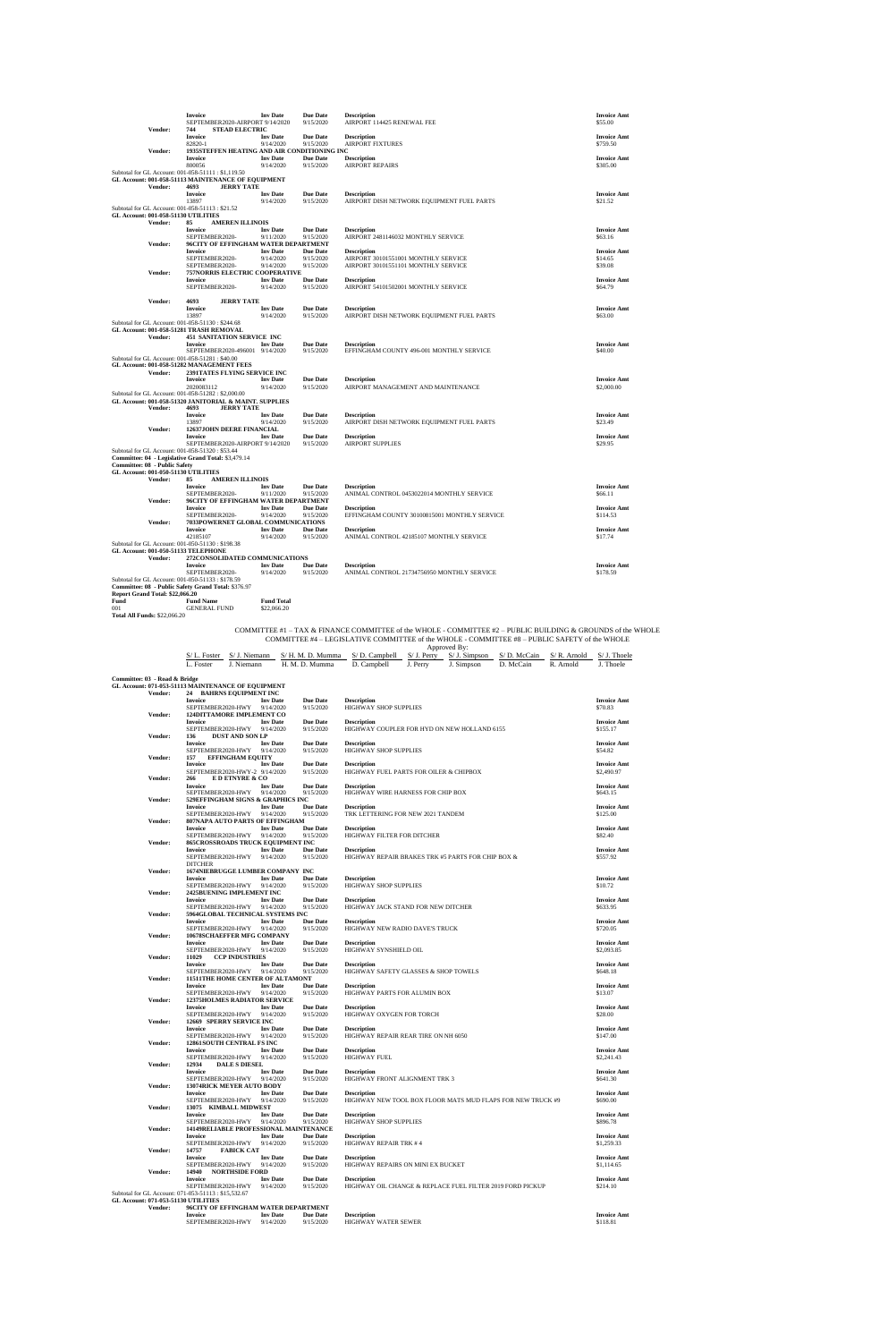|      |                                                                      | Invoice<br>SEPTEMBER2020-AIRPORT 9/14/2020                                                                   |                         | <b>Inv Date</b>              | <b>Due Date</b><br>9/15/2020                                    | <b>Description</b><br>AIRPORT 114425 RENEWAL FEE                                              |          |                             |           |                             | <b>Invoice Amt</b><br>\$55.00                                                                               |
|------|----------------------------------------------------------------------|--------------------------------------------------------------------------------------------------------------|-------------------------|------------------------------|-----------------------------------------------------------------|-----------------------------------------------------------------------------------------------|----------|-----------------------------|-----------|-----------------------------|-------------------------------------------------------------------------------------------------------------|
|      | Vendor:                                                              | 744<br>Invoice<br>82820-1                                                                                    | <b>STEAD ELECTRIC</b>   | <b>Inv Date</b><br>9/14/2020 | <b>Due Date</b><br>9/15/2020                                    | <b>Description</b><br><b>AIRPORT FIXTURES</b>                                                 |          |                             |           |                             | <b>Invoice Amt</b><br>\$759.50                                                                              |
|      | Vendor:                                                              | <b>Invoice</b>                                                                                               |                         | <b>Inv Date</b>              | 1935STEFFEN HEATING AND AIR CONDITIONING INC<br><b>Due Date</b> | <b>Description</b>                                                                            |          |                             |           |                             | <b>Invoice Amt</b>                                                                                          |
|      |                                                                      | 800056                                                                                                       |                         | 9/14/2020                    | 9/15/2020                                                       | <b>AIRPORT REPAIRS</b>                                                                        |          |                             |           |                             | \$305.00                                                                                                    |
|      |                                                                      | Subtotal for GL Account: 001-058-51111 : \$1,119.50<br>GL Account: 001-058-51113 MAINTENANCE OF EQUIPMENT    |                         |                              |                                                                 |                                                                                               |          |                             |           |                             |                                                                                                             |
|      | Vendor:                                                              | 4693<br>Invoice                                                                                              | <b>JERRY TATE</b>       | <b>Inv Date</b>              | <b>Due Date</b>                                                 | <b>Description</b>                                                                            |          |                             |           |                             | <b>Invoice Amt</b>                                                                                          |
|      |                                                                      | 13897                                                                                                        |                         | 9/14/2020                    | 9/15/2020                                                       | AIRPORT DISH NETWORK EQUIPMENT FUEL PARTS                                                     |          |                             |           |                             | \$21.52                                                                                                     |
|      | GL Account: 001-058-51130 UTILITIES                                  | Subtotal for GL Account: 001-058-51113 : \$21.52                                                             |                         |                              |                                                                 |                                                                                               |          |                             |           |                             |                                                                                                             |
|      | Vendor:                                                              | 85<br><b>Invoice</b>                                                                                         | <b>AMEREN ILLINOIS</b>  | <b>Inv Date</b>              | <b>Due Date</b>                                                 | <b>Description</b>                                                                            |          |                             |           |                             | <b>Invoice Amt</b>                                                                                          |
|      |                                                                      | SEPTEMBER2020-                                                                                               |                         | 9/11/2020                    | 9/15/2020                                                       | AIRPORT 2481146032 MONTHLY SERVICE                                                            |          |                             |           |                             | \$63.16                                                                                                     |
|      | Vendor:                                                              | 96CITY OF EFFINGHAM WATER DEPARTMENT<br><b>Invoice</b>                                                       |                         | <b>Inv Date</b>              | <b>Due Date</b>                                                 | <b>Description</b>                                                                            |          |                             |           |                             | <b>Invoice Amt</b>                                                                                          |
|      |                                                                      | SEPTEMBER2020-                                                                                               |                         | 9/14/2020                    | 9/15/2020                                                       | AIRPORT 30101551001 MONTHLY SERVICE                                                           |          |                             |           |                             | \$14.65                                                                                                     |
|      | Vendor:                                                              | SEPTEMBER2020-<br>757NORRIS ELECTRIC COOPERATIVE                                                             |                         | 9/14/2020                    | 9/15/2020                                                       | AIRPORT 30101551101 MONTHLY SERVICE                                                           |          |                             |           |                             | \$39.08                                                                                                     |
|      |                                                                      | <b>Invoice</b><br>SEPTEMBER2020-                                                                             |                         | <b>Inv Date</b><br>9/14/2020 | <b>Due Date</b><br>9/15/2020                                    | <b>Description</b><br>AIRPORT 54101502001 MONTHLY SERVICE                                     |          |                             |           |                             | <b>Invoice Amt</b><br>\$64.79                                                                               |
|      |                                                                      |                                                                                                              |                         |                              |                                                                 |                                                                                               |          |                             |           |                             |                                                                                                             |
|      | Vendor:                                                              | 4693<br><b>Invoice</b>                                                                                       | <b>JERRY TATE</b>       | <b>Inv Date</b>              | <b>Due Date</b>                                                 | <b>Description</b>                                                                            |          |                             |           |                             | <b>Invoice Amt</b>                                                                                          |
|      |                                                                      | 13897<br>Subtotal for GL Account: 001-058-51130 : \$244.68                                                   |                         | 9/14/2020                    | 9/15/2020                                                       | AIRPORT DISH NETWORK EQUIPMENT FUEL PARTS                                                     |          |                             |           |                             | \$63.00                                                                                                     |
|      |                                                                      | GL Account: 001-058-51281 TRASH REMOVAL                                                                      |                         |                              |                                                                 |                                                                                               |          |                             |           |                             |                                                                                                             |
|      | Vendor:                                                              | <b>451 SANITATION SERVICE INC</b><br><b>Invoice</b>                                                          |                         | <b>Inv Date</b>              | <b>Due Date</b>                                                 | <b>Description</b>                                                                            |          |                             |           |                             | <b>Invoice Amt</b>                                                                                          |
|      |                                                                      | SEPTEMBER2020-496001 9/14/2020                                                                               |                         |                              | 9/15/2020                                                       | EFFINGHAM COUNTY 496-001 MONTHLY SERVICE                                                      |          |                             |           |                             | \$40.00                                                                                                     |
|      |                                                                      | Subtotal for GL Account: 001-058-51281 : \$40.00<br>GL Account: 001-058-51282 MANAGEMENT FEES                |                         |                              |                                                                 |                                                                                               |          |                             |           |                             |                                                                                                             |
|      | Vendor:                                                              | 2391TATES FLYING SERVICE INC<br>Invoice                                                                      |                         | <b>Inv Date</b>              | <b>Due Date</b>                                                 | <b>Description</b>                                                                            |          |                             |           |                             | <b>Invoice Amt</b>                                                                                          |
|      |                                                                      | 2020083112                                                                                                   |                         | 9/14/2020                    | 9/15/2020                                                       | AIRPORT MANAGEMENT AND MAINTENANCE                                                            |          |                             |           |                             | \$2,000.00                                                                                                  |
|      |                                                                      | Subtotal for GL Account: 001-058-51282: \$2,000.00<br>GL Account: 001-058-51320 JANITORIAL & MAINT. SUPPLIES |                         |                              |                                                                 |                                                                                               |          |                             |           |                             |                                                                                                             |
|      | Vendor:                                                              | 4693<br><b>Invoice</b>                                                                                       | <b>JERRY TATE</b>       | <b>Inv Date</b>              |                                                                 | <b>Description</b>                                                                            |          |                             |           |                             | <b>Invoice Amt</b>                                                                                          |
|      |                                                                      | 13897                                                                                                        |                         | 9/14/2020                    | <b>Due Date</b><br>9/15/2020                                    | AIRPORT DISH NETWORK EQUIPMENT FUEL PARTS                                                     |          |                             |           |                             | \$23.49                                                                                                     |
|      | Vendor:                                                              | 12637JOHN DEERE FINANCIAL<br><b>Invoice</b>                                                                  |                         | <b>Inv Date</b>              | <b>Due Date</b>                                                 | <b>Description</b>                                                                            |          |                             |           |                             | <b>Invoice Amt</b>                                                                                          |
|      |                                                                      | SEPTEMBER2020-AIRPORT 9/14/2020                                                                              |                         |                              | 9/15/2020                                                       | <b>AIRPORT SUPPLIES</b>                                                                       |          |                             |           |                             | \$29.95                                                                                                     |
|      |                                                                      | Subtotal for GL Account: 001-058-51320: \$53.44<br>Committee: 04 - Legislative Grand Total: \$3,479.14       |                         |                              |                                                                 |                                                                                               |          |                             |           |                             |                                                                                                             |
|      | Committee: 08 - Public Safety<br>GL Account: 001-050-51130 UTILITIES |                                                                                                              |                         |                              |                                                                 |                                                                                               |          |                             |           |                             |                                                                                                             |
|      | Vendor:                                                              | 85                                                                                                           | <b>AMEREN ILLINOIS</b>  |                              |                                                                 |                                                                                               |          |                             |           |                             |                                                                                                             |
|      |                                                                      | Invoice<br>SEPTEMBER2020-                                                                                    |                         | <b>Inv Date</b><br>9/11/2020 | <b>Due Date</b><br>9/15/2020                                    | <b>Description</b><br>ANIMAL CONTROL 0453022014 MONTHLY SERVICE                               |          |                             |           |                             | <b>Invoice Amt</b><br>\$66.11                                                                               |
|      | Vendor:                                                              | 96CITY OF EFFINGHAM WATER DEPARTMENT<br><b>Invoice</b>                                                       |                         | <b>Inv Date</b>              | <b>Due Date</b>                                                 | <b>Description</b>                                                                            |          |                             |           |                             | <b>Invoice Amt</b>                                                                                          |
|      |                                                                      | SEPTEMBER2020-                                                                                               |                         | 9/14/2020                    | 9/15/2020                                                       | EFFINGHAM COUNTY 30100815001 MONTHLY SERVICE                                                  |          |                             |           |                             | \$114.53                                                                                                    |
|      | Vendor:                                                              | 7033POWERNET GLOBAL COMMUNICATIONS<br><b>Invoice</b>                                                         |                         | <b>Inv Date</b>              | <b>Due Date</b>                                                 | <b>Description</b>                                                                            |          |                             |           |                             | <b>Invoice Amt</b>                                                                                          |
|      |                                                                      | 42185107<br>Subtotal for GL Account: 001-050-51130: \$198.38                                                 |                         | 9/14/2020                    | 9/15/2020                                                       | ANIMAL CONTROL 42185107 MONTHLY SERVICE                                                       |          |                             |           |                             | \$17.74                                                                                                     |
|      |                                                                      | GL Account: 001-050-51133 TELEPHONE                                                                          |                         |                              |                                                                 |                                                                                               |          |                             |           |                             |                                                                                                             |
|      | Vendor:                                                              | 272CONSOLIDATED COMMUNICATIONS<br><b>Invoice</b>                                                             |                         | <b>Inv Date</b>              | <b>Due Date</b>                                                 | <b>Description</b>                                                                            |          |                             |           |                             | <b>Invoice Amt</b>                                                                                          |
|      |                                                                      | SEPTEMBER2020-                                                                                               |                         | 9/14/2020                    | 9/15/2020                                                       | ANIMAL CONTROL 21734756950 MONTHLY SERVICE                                                    |          |                             |           |                             | \$178.59                                                                                                    |
|      |                                                                      | Subtotal for GL Account: 001-050-51133: \$178.59<br>Committee: 08 - Public Safety Grand Total: \$376.97      |                         |                              |                                                                 |                                                                                               |          |                             |           |                             |                                                                                                             |
| Fund | Report Grand Total: \$22,066.20                                      | <b>Fund Name</b>                                                                                             |                         | <b>Fund Total</b>            |                                                                 |                                                                                               |          |                             |           |                             |                                                                                                             |
| 001  |                                                                      | <b>GENERAL FUND</b>                                                                                          |                         | \$22,066.20                  |                                                                 |                                                                                               |          |                             |           |                             |                                                                                                             |
|      | Total All Funds: \$22,066.20                                         |                                                                                                              |                         |                              |                                                                 |                                                                                               |          |                             |           |                             |                                                                                                             |
|      |                                                                      |                                                                                                              |                         |                              |                                                                 | COMMITTEE #4 - LEGISLATIVE COMMITTEE of the WHOLE - COMMITTEE #8 - PUBLIC SAFETY of the WHOLE |          | Approved By:                |           |                             | COMMITTEE #1 - TAX & FINANCE COMMITTEE of the WHOLE - COMMITTEE #2 - PUBLIC BUILDING & GROUNDS of the WHOLE |
|      |                                                                      | S/L. Foster                                                                                                  | S/ J. Niemann           |                              | S/H. M. D. Mumma                                                | $S/D$ . Campbell                                                                              |          | $S/J.$ Perry $S/J.$ Simpson |           | $S/D.$ McCain $S/R.$ Arnold | $S/J.$ Thoele                                                                                               |
|      |                                                                      | L. Foster                                                                                                    | J. Niemann              |                              | H. M. D. Mumma                                                  | D. Campbell                                                                                   | J. Perry | J. Simpson                  | D. McCain | R. Arnold                   | J. Thoele                                                                                                   |
|      | Committee: 03 - Road & Bridge                                        |                                                                                                              |                         |                              |                                                                 |                                                                                               |          |                             |           |                             |                                                                                                             |
|      | Vendor:                                                              | GL Account: 071-053-51113 MAINTENANCE OF EQUIPMENT<br>24 BAHRNS EQUIPMENT INC                                |                         |                              |                                                                 |                                                                                               |          |                             |           |                             |                                                                                                             |
|      |                                                                      | <b>Invoice</b><br>SEPTEMBER2020-HWY                                                                          |                         | <b>Inv Date</b><br>9/14/2020 | <b>Due Date</b><br>9/15/2020                                    | <b>Description</b><br>HIGHWAY SHOP SUPPLIES                                                   |          |                             |           |                             | <b>Invoice Amt</b><br>\$70.83                                                                               |
|      | Vendor:                                                              | 124DITTAMORE IMPLEMENT CO                                                                                    |                         |                              |                                                                 |                                                                                               |          |                             |           |                             |                                                                                                             |
|      |                                                                      | <b>Invoice</b><br>SEPTEMBER2020-HWY                                                                          |                         | <b>Inv Date</b><br>9/14/2020 | <b>Due Date</b><br>9/15/2020                                    | <b>Description</b><br>HIGHWAY COUPLER FOR HYD ON NEW HOLLAND 6155                             |          |                             |           |                             | <b>Invoice Amt</b><br>\$155.17                                                                              |
|      | Vendor:                                                              | 136                                                                                                          | <b>DUST AND SON LP</b>  | <b>Inv Date</b>              | <b>Due Date</b>                                                 | <b>Description</b>                                                                            |          |                             |           |                             | <b>Invoice Amt</b>                                                                                          |
|      |                                                                      | Invoice<br>SEPTEMBER2020-HWY                                                                                 |                         | 9/14/2020                    | 9/15/2020                                                       | HIGHWAY SHOP SUPPLIES                                                                         |          |                             |           |                             | \$54.82                                                                                                     |
|      | Vendor:                                                              | 157<br>Invoice                                                                                               | <b>EFFINGHAM EQUITY</b> | <b>Inv Date</b>              | <b>Due Date</b>                                                 | <b>Description</b>                                                                            |          |                             |           |                             | <b>Invoice Amt</b>                                                                                          |
|      |                                                                      | SEPTEMBER2020-HWY-2 9/14/2020                                                                                |                         |                              | 9/15/2020                                                       | HIGHWAY FUEL PARTS FOR OILER & CHIPBOX                                                        |          |                             |           |                             | \$2,490.97                                                                                                  |
|      | Vendor:                                                              | 266<br>Invoice                                                                                               | E D ETNYRE & CO         | <b>Inv Date</b>              | <b>Due Date</b>                                                 | <b>Description</b>                                                                            |          |                             |           |                             | <b>Invoice Amt</b>                                                                                          |
|      | Vendor:                                                              | SEPTEMBER2020-HWY<br>529EFFINGHAM SIGNS & GRAPHICS INC                                                       |                         | 9/14/2020                    | 9/15/2020                                                       | HIGHWAY WIRE HARNESS FOR CHIP BOX                                                             |          |                             |           |                             | \$643.15                                                                                                    |
|      |                                                                      | <b>Invoice</b>                                                                                               |                         | <b>Inv Date</b>              | <b>Due Date</b>                                                 | <b>Description</b>                                                                            |          |                             |           |                             | <b>Invoice Amt</b>                                                                                          |
|      | Vendor:                                                              | SEPTEMBER2020-HWY<br>807NAPA AUTO PARTS OF EFFINGHAM                                                         |                         | 9/14/2020                    | 9/15/2020                                                       | TRK LETTERING FOR NEW 2021 TANDEM                                                             |          |                             |           |                             | \$125.00                                                                                                    |
|      |                                                                      | Invoice<br>SEPTEMBER2020-HWY                                                                                 |                         | <b>Inv Date</b><br>9/14/2020 | <b>Due Date</b><br>9/15/2020                                    | <b>Description</b><br>HIGHWAY FILTER FOR DITCHER                                              |          |                             |           |                             | <b>Invoice Amt</b><br>\$82.40                                                                               |
|      | Vendor:                                                              | 865CROSSROADS TRUCK EQUIPMENT INC                                                                            |                         |                              |                                                                 |                                                                                               |          |                             |           |                             |                                                                                                             |
|      |                                                                      | <b>Invoice</b><br>SEPTEMBER2020-HWY                                                                          |                         | <b>Inv Date</b><br>9/14/2020 | <b>Due Date</b><br>9/15/2020                                    | <b>Description</b><br>HIGHWAY REPAIR BRAKES TRK #5 PARTS FOR CHIP BOX &                       |          |                             |           |                             | <b>Invoice Amt</b><br>\$557.92                                                                              |

|         | <b>DITCHER</b>                                      |                 |                 |                                                            |                    |
|---------|-----------------------------------------------------|-----------------|-----------------|------------------------------------------------------------|--------------------|
| Vendor: | 1674NIEBRUGGE LUMBER COMPANY INC                    |                 |                 |                                                            |                    |
|         | <b>Invoice</b>                                      | <b>Inv</b> Date | <b>Due Date</b> | <b>Description</b>                                         | <b>Invoice Amt</b> |
|         | SEPTEMBER2020-HWY                                   | 9/14/2020       | 9/15/2020       | HIGHWAY SHOP SUPPLIES                                      | \$10.72            |
| Vendor: | 2425BUENING IMPLEMENT INC                           |                 |                 |                                                            |                    |
|         | <b>Invoice</b>                                      | <b>Inv</b> Date | <b>Due Date</b> | <b>Description</b>                                         | <b>Invoice Amt</b> |
|         | SEPTEMBER2020-HWY                                   | 9/14/2020       | 9/15/2020       | HIGHWAY JACK STAND FOR NEW DITCHER                         | \$633.95           |
| Vendor: | 5964GLOBAL TECHNICAL SYSTEMS INC                    |                 |                 |                                                            |                    |
|         | <b>Invoice</b>                                      | <b>Inv</b> Date | <b>Due Date</b> | <b>Description</b>                                         | <b>Invoice Amt</b> |
|         | SEPTEMBER2020-HWY                                   | 9/14/2020       | 9/15/2020       | HIGHWAY NEW RADIO DAVE'S TRUCK                             | \$720.05           |
|         |                                                     |                 |                 |                                                            |                    |
| Vendor: | 10678SCHAEFFER MFG COMPANY                          |                 |                 |                                                            |                    |
|         | <b>Invoice</b>                                      | <b>Inv Date</b> | <b>Due Date</b> | <b>Description</b>                                         | <b>Invoice Amt</b> |
|         | SEPTEMBER2020-HWY 9/14/2020                         |                 | 9/15/2020       | HIGHWAY SYNSHIELD OIL                                      | \$2,093.85         |
| Vendor: | 11029<br><b>CCP INDUSTRIES</b>                      |                 |                 |                                                            |                    |
|         | <b>Invoice</b>                                      | <b>Inv</b> Date | <b>Due Date</b> | <b>Description</b>                                         | <b>Invoice Amt</b> |
|         | SEPTEMBER2020-HWY                                   | 9/14/2020       | 9/15/2020       | HIGHWAY SAFETY GLASSES & SHOP TOWELS                       | \$648.18           |
| Vendor: | <b>11511THE HOME CENTER OF ALTAMONT</b>             |                 |                 |                                                            |                    |
|         | <b>Invoice</b>                                      | <b>Inv Date</b> | <b>Due Date</b> | <b>Description</b>                                         | <b>Invoice Amt</b> |
|         | SEPTEMBER2020-HWY                                   | 9/14/2020       | 9/15/2020       | HIGHWAY PARTS FOR ALUMIN BOX                               | \$13.07            |
| Vendor: | 12375HOLMES RADIATOR SERVICE                        |                 |                 |                                                            |                    |
|         | <b>Invoice</b>                                      | <b>Inv</b> Date | <b>Due Date</b> | <b>Description</b>                                         | <b>Invoice Amt</b> |
|         | SEPTEMBER2020-HWY 9/14/2020                         |                 | 9/15/2020       | HIGHWAY OXYGEN FOR TORCH                                   | \$28.00            |
| Vendor: | 12669 SPERRY SERVICE INC                            |                 |                 |                                                            |                    |
|         | <b>Invoice</b>                                      | <b>Inv Date</b> | <b>Due Date</b> | <b>Description</b>                                         | <b>Invoice Amt</b> |
|         | SEPTEMBER2020-HWY                                   | 9/14/2020       | 9/15/2020       | HIGHWAY REPAIR REAR TIRE ON NH 6050                        | \$147.00           |
| Vendor: | 12861 SOUTH CENTRAL FS INC                          |                 |                 |                                                            |                    |
|         | <b>Invoice</b>                                      | <b>Inv</b> Date | <b>Due Date</b> | <b>Description</b>                                         |                    |
|         |                                                     |                 |                 |                                                            | <b>Invoice Amt</b> |
|         | SEPTEMBER2020-HWY                                   | 9/14/2020       | 9/15/2020       | <b>HIGHWAY FUEL</b>                                        | \$2,241.43         |
| Vendor: | 12934<br><b>DALE S DIESEL</b>                       |                 |                 |                                                            |                    |
|         | <b>Invoice</b>                                      | <b>Inv</b> Date | <b>Due Date</b> | <b>Description</b>                                         | <b>Invoice Amt</b> |
|         | SEPTEMBER2020-HWY                                   | 9/14/2020       | 9/15/2020       | HIGHWAY FRONT ALIGNMENT TRK 3                              | \$641.30           |
| Vendor: | 13074RICK MEYER AUTO BODY                           |                 |                 |                                                            |                    |
|         | <b>Invoice</b>                                      | <b>Inv</b> Date | <b>Due Date</b> | <b>Description</b>                                         | <b>Invoice Amt</b> |
|         | SEPTEMBER2020-HWY                                   | 9/14/2020       | 9/15/2020       | HIGHWAY NEW TOOL BOX FLOOR MATS MUD FLAPS FOR NEW TRUCK #9 | \$690.00           |
| Vendor: | 13075 KIMBALL MIDWEST                               |                 |                 |                                                            |                    |
|         | <b>Invoice</b>                                      | <b>Inv</b> Date | <b>Due Date</b> | <b>Description</b>                                         | <b>Invoice Amt</b> |
|         | SEPTEMBER2020-HWY                                   | 9/14/2020       | 9/15/2020       | HIGHWAY SHOP SUPPLIES                                      | \$896.78           |
| Vendor: | <b>14149RELIABLE PROFESSIONAL MAINTENANCE</b>       |                 |                 |                                                            |                    |
|         | <b>Invoice</b>                                      | <b>Inv</b> Date | <b>Due Date</b> | <b>Description</b>                                         | <b>Invoice Amt</b> |
|         | SEPTEMBER2020-HWY                                   | 9/14/2020       | 9/15/2020       | HIGHWAY REPAIR TRK #4                                      | \$1,259.33         |
| Vendor: | 14757<br><b>FABICK CAT</b>                          |                 |                 |                                                            |                    |
|         | <b>Invoice</b>                                      | <b>Inv Date</b> | <b>Due Date</b> | <b>Description</b>                                         | <b>Invoice Amt</b> |
|         | SEPTEMBER2020-HWY                                   | 9/14/2020       | 9/15/2020       | HIGHWAY REPAIRS ON MINI EX BUCKET                          | \$1,114.65         |
| Vendor: | 14940<br><b>NORTHSIDE FORD</b>                      |                 |                 |                                                            |                    |
|         | <b>Invoice</b>                                      |                 | <b>Due Date</b> |                                                            |                    |
|         |                                                     | <b>Inv</b> Date |                 | <b>Description</b>                                         | <b>Invoice Amt</b> |
|         | SEPTEMBER2020-HWY                                   | 9/14/2020       | 9/15/2020       | HIGHWAY OIL CHANGE & REPLACE FUEL FILTER 2019 FORD PICKUP  | \$214.10           |
|         | Subtotal for GL Account: 071-053-51113: \$15,532.67 |                 |                 |                                                            |                    |
|         | GL Account: 071-053-51130 UTILITIES                 |                 |                 |                                                            |                    |
| Vendor: | 96CITY OF EFFINGHAM WATER DEPARTMENT                |                 |                 |                                                            |                    |
|         | <b>Invoice</b>                                      | <b>Inv</b> Date | <b>Due Date</b> | <b>Description</b>                                         | <b>Invoice Amt</b> |
|         | SEPTEMBER2020-HWY                                   | 9/14/2020       | 9/15/2020       | <b>HIGHWAY WATER SEWER</b>                                 | \$118.81           |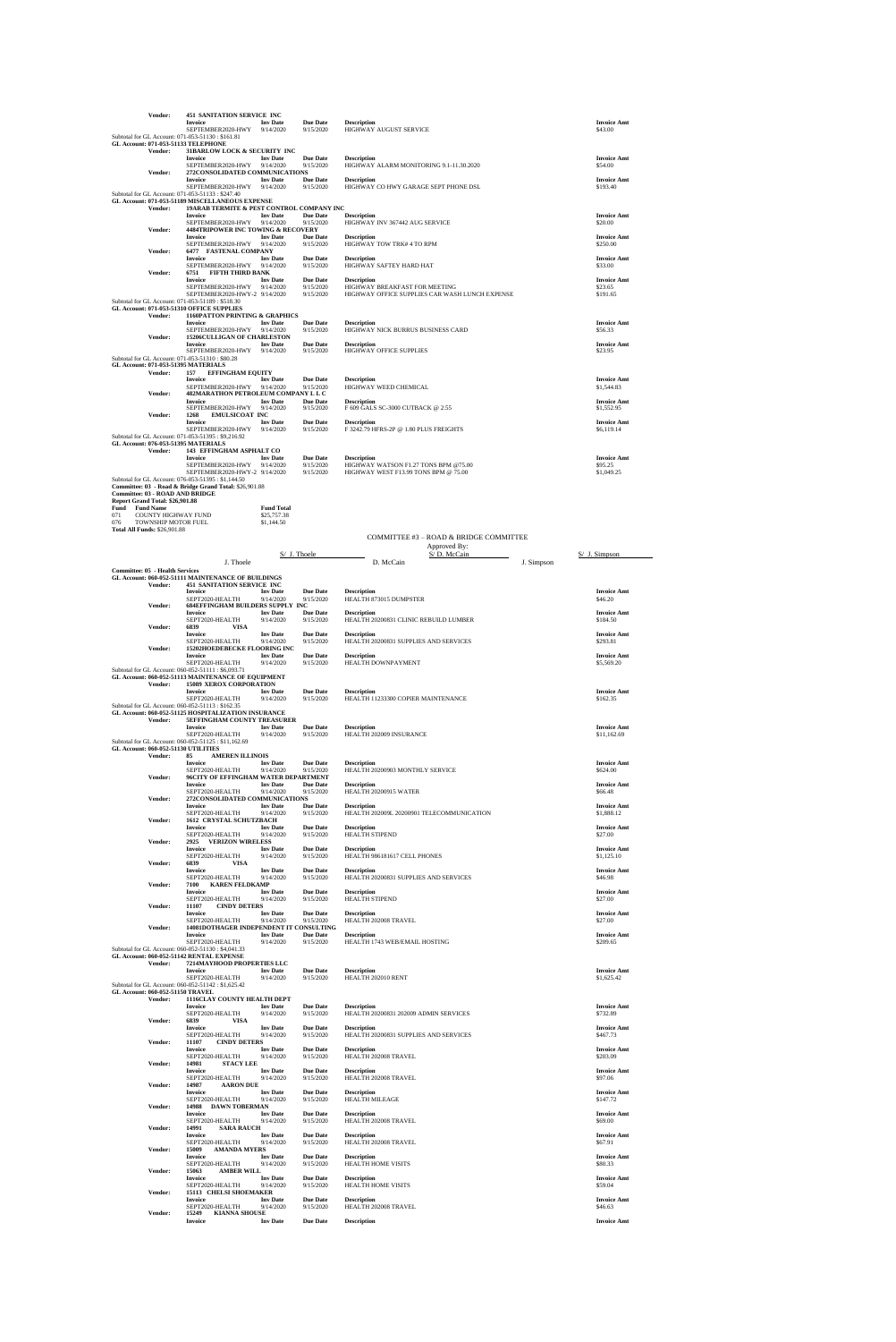|      | Vendor:                                             | <b>451 SANITATION SERVICE INC</b><br><b>Invoice</b>                                                     | <b>Inv Date</b>              | <b>Due Date</b>              | <b>Description</b>                                            | <b>Invoice Amt</b>                |
|------|-----------------------------------------------------|---------------------------------------------------------------------------------------------------------|------------------------------|------------------------------|---------------------------------------------------------------|-----------------------------------|
|      |                                                     | SEPTEMBER2020-HWY                                                                                       | 9/14/2020                    | 9/15/2020                    | HIGHWAY AUGUST SERVICE                                        | \$43.00                           |
|      |                                                     | Subtotal for GL Account: 071-053-51130 : \$161.81<br>GL Account: 071-053-51133 TELEPHONE                |                              |                              |                                                               |                                   |
|      | Vendor:                                             | 31BARLOW LOCK & SECURITY INC                                                                            |                              |                              |                                                               |                                   |
|      |                                                     | <b>Invoice</b><br>SEPTEMBER2020-HWY                                                                     | <b>Inv</b> Date<br>9/14/2020 | <b>Due Date</b><br>9/15/2020 | <b>Description</b><br>HIGHWAY ALARM MONITORING 9.1-11.30.2020 | <b>Invoice Amt</b><br>\$54.00     |
|      | Vendor:                                             | 272CONSOLIDATED COMMUNICATIONS                                                                          |                              |                              |                                                               |                                   |
|      |                                                     | <b>Invoice</b><br>SEPTEMBER2020-HWY                                                                     | <b>Inv Date</b><br>9/14/2020 | <b>Due Date</b><br>9/15/2020 | <b>Description</b><br>HIGHWAY CO HWY GARAGE SEPT PHONE DSL    | <b>Invoice Amt</b><br>\$193.40    |
|      |                                                     | Subtotal for GL Account: 071-053-51133: \$247.40                                                        |                              |                              |                                                               |                                   |
|      |                                                     | GL Account: 071-053-51189 MISCELLANEOUS EXPENSE                                                         |                              |                              |                                                               |                                   |
|      | Vendor:                                             | 19ARAB TERMITE & PEST CONTROL COMPANY INC<br><b>Invoice</b>                                             | <b>Inv Date</b>              | <b>Due Date</b>              | <b>Description</b>                                            | <b>Invoice Amt</b>                |
|      |                                                     | SEPTEMBER2020-HWY                                                                                       | 9/14/2020                    | 9/15/2020                    | HIGHWAY INV 367442 AUG SERVICE                                | \$20.00                           |
|      | Vendor:                                             | <b>4484TRIPOWER INC TOWING &amp; RECOVERY</b><br><b>Invoice</b>                                         | <b>Inv</b> Date              | <b>Due Date</b>              | <b>Description</b>                                            | <b>Invoice Amt</b>                |
|      |                                                     | SEPTEMBER2020-HWY                                                                                       | 9/14/2020                    | 9/15/2020                    | HIGHWAY TOW TRK#4 TO RPM                                      | \$250.00                          |
|      | <b>Vendor:</b>                                      | 6477 FASTENAL COMPANY                                                                                   |                              |                              |                                                               |                                   |
|      |                                                     | <b>Invoice</b><br>SEPTEMBER2020-HWY                                                                     | <b>Inv Date</b><br>9/14/2020 | <b>Due Date</b><br>9/15/2020 | <b>Description</b><br>HIGHWAY SAFTEY HARD HAT                 | <b>Invoice Amt</b><br>\$33.00     |
|      | <b>Vendor:</b>                                      | 6751<br><b>FIFTH THIRD BANK</b>                                                                         |                              |                              |                                                               |                                   |
|      |                                                     | <b>Invoice</b><br>SEPTEMBER2020-HWY                                                                     | <b>Inv Date</b><br>9/14/2020 | Due Date<br>9/15/2020        | <b>Description</b><br>HIGHWAY BREAKFAST FOR MEETING           | <b>Invoice Amt</b><br>\$23.65     |
|      |                                                     | SEPTEMBER2020-HWY-2 9/14/2020                                                                           |                              | 9/15/2020                    | HIGHWAY OFFICE SUPPLIES CAR WASH LUNCH EXPENSE                | \$191.65                          |
|      |                                                     | Subtotal for GL Account: 071-053-51189: \$518.30<br>GL Account: 071-053-51310 OFFICE SUPPLIES           |                              |                              |                                                               |                                   |
|      | Vendor:                                             | 1160PATTON PRINTING & GRAPHICS                                                                          |                              |                              |                                                               |                                   |
|      |                                                     | <b>Invoice</b><br>SEPTEMBER2020-HWY                                                                     | <b>Inv Date</b>              | <b>Due Date</b>              | <b>Description</b><br>HIGHWAY NICK BURRUS BUSINESS CARD       | <b>Invoice Amt</b>                |
|      | Vendor:                                             | 15206CULLIGAN OF CHARLESTON                                                                             | 9/14/2020                    | 9/15/2020                    |                                                               | \$56.33                           |
|      |                                                     | <b>Invoice</b>                                                                                          | <b>Inv Date</b>              | <b>Due Date</b>              | <b>Description</b>                                            | <b>Invoice Amt</b>                |
|      |                                                     | SEPTEMBER2020-HWY<br>Subtotal for GL Account: 071-053-51310 : \$80.28                                   | 9/14/2020                    | 9/15/2020                    | <b>HIGHWAY OFFICE SUPPLIES</b>                                | \$23.95                           |
|      |                                                     | GL Account: 071-053-51395 MATERIALS                                                                     |                              |                              |                                                               |                                   |
|      | Vendor:                                             | <b>EFFINGHAM EQUITY</b><br>157<br><b>Invoice</b>                                                        | <b>Inv Date</b>              | <b>Due Date</b>              | <b>Description</b>                                            | <b>Invoice Amt</b>                |
|      |                                                     | SEPTEMBER2020-HWY                                                                                       | 9/14/2020                    | 9/15/2020                    | HIGHWAY WEED CHEMICAL                                         | \$1,544.83                        |
|      | Vendor:                                             | 482MARATHON PETROLEUM COMPANY L L C                                                                     |                              |                              |                                                               |                                   |
|      |                                                     | <b>Invoice</b><br>SEPTEMBER2020-HWY                                                                     | <b>Inv</b> Date<br>9/14/2020 | <b>Due Date</b><br>9/15/2020 | <b>Description</b><br>F 609 GALS SC-3000 CUTBACK @ 2.55       | <b>Invoice Amt</b><br>\$1,552.95  |
|      | Vendor:                                             | 1268<br><b>EMULSICOAT INC</b>                                                                           |                              |                              |                                                               |                                   |
|      |                                                     | <b>Invoice</b><br>SEPTEMBER2020-HWY                                                                     | <b>Inv Date</b><br>9/14/2020 | <b>Due Date</b><br>9/15/2020 | <b>Description</b><br>F 3242.79 HFRS-2P @ 1.80 PLUS FREIGHTS  | <b>Invoice Amt</b><br>\$6,119.14  |
|      |                                                     | Subtotal for GL Account: 071-053-51395: \$9,216.92                                                      |                              |                              |                                                               |                                   |
|      | Vendor:                                             | GL Account: 076-053-51395 MATERIALS<br>143 EFFINGHAM ASPHALT CO                                         |                              |                              |                                                               |                                   |
|      |                                                     | <b>Invoice</b>                                                                                          | <b>Inv Date</b>              | <b>Due Date</b>              | <b>Description</b>                                            | <b>Invoice Amt</b>                |
|      |                                                     | SEPTEMBER2020-HWY                                                                                       | 9/14/2020                    | 9/15/2020                    | HIGHWAY WATSON F1.27 TONS BPM @75.00                          | \$95.25                           |
|      |                                                     | SEPTEMBER2020-HWY-2 9/14/2020<br>Subtotal for GL Account: 076-053-51395: \$1,144.50                     |                              | 9/15/2020                    | HIGHWAY WEST F13.99 TONS BPM @ 75.00                          | \$1,049.25                        |
|      |                                                     |                                                                                                         |                              |                              |                                                               |                                   |
|      |                                                     | Committee: 03 - Road & Bridge Grand Total: \$26,901.88                                                  |                              |                              |                                                               |                                   |
|      | <b>Committee: 03 - ROAD AND BRIDGE</b>              |                                                                                                         |                              |                              |                                                               |                                   |
| Fund | Report Grand Total: \$26,901.88<br><b>Fund Name</b> |                                                                                                         | <b>Fund Total</b>            |                              |                                                               |                                   |
| 071  | COUNTY HIGHWAY FUND                                 |                                                                                                         | \$25,757.38                  |                              |                                                               |                                   |
| 076  | TOWNSHIP MOTOR FUEL                                 |                                                                                                         | \$1,144.50                   |                              |                                                               |                                   |
|      | <b>Total All Funds: \$26,901.88</b>                 |                                                                                                         |                              |                              | COMMITTEE #3 - ROAD & BRIDGE COMMITTEE                        |                                   |
|      |                                                     |                                                                                                         |                              |                              | Approved By:                                                  |                                   |
|      |                                                     |                                                                                                         | S/ J. Thoele                 |                              | S/D. McCain                                                   | $S/$ J. Simpson                   |
|      |                                                     | J. Thoele                                                                                               |                              |                              | D. McCain<br>J. Simpson                                       |                                   |
|      | Committee: 05 - Health Services                     | GL Account: 060-052-51111 MAINTENANCE OF BUILDINGS                                                      |                              |                              |                                                               |                                   |
|      | Vendor:                                             | <b>451 SANITATION SERVICE INC</b>                                                                       |                              |                              |                                                               |                                   |
|      |                                                     | <b>Invoice</b><br>SEPT2020-HEALTH                                                                       | <b>Inv</b> Date<br>9/14/2020 | <b>Due Date</b><br>9/15/2020 | <b>Description</b><br>HEALTH 873015 DUMPSTER                  | <b>Invoice Amt</b><br>\$46.20     |
|      | Vendor:                                             | <b>684EFFINGHAM BUILDERS SUPPLY INC</b>                                                                 |                              |                              |                                                               |                                   |
|      |                                                     | <b>Invoice</b><br>SEPT2020-HEALTH                                                                       | <b>Inv Date</b><br>9/14/2020 | <b>Due Date</b><br>9/15/2020 | <b>Description</b><br>HEALTH 20200831 CLINIC REBUILD LUMBER   | <b>Invoice Amt</b><br>\$184.50    |
|      | Vendor:                                             | 6839<br><b>VISA</b>                                                                                     |                              |                              |                                                               |                                   |
|      |                                                     | <b>Invoice</b><br>SEPT2020-HEALTH                                                                       | <b>Inv</b> Date<br>9/14/2020 | <b>Due Date</b><br>9/15/2020 | <b>Description</b><br>HEALTH 20200831 SUPPLIES AND SERVICES   | <b>Invoice Amt</b><br>\$293.81    |
|      | Vendor:                                             | 15202HOEDEBECKE FLOORING INC                                                                            |                              |                              |                                                               |                                   |
|      |                                                     | <b>Invoice</b><br>SEPT2020-HEALTH                                                                       | <b>Inv Date</b><br>9/14/2020 | <b>Due Date</b><br>9/15/2020 | <b>Description</b><br>HEALTH DOWNPAYMENT                      | <b>Invoice Amt</b><br>\$5,569.20  |
|      |                                                     | Subtotal for GL Account: 060-052-51111 : \$6,093.71                                                     |                              |                              |                                                               |                                   |
|      | Vendor:                                             | GL Account: 060-052-51113 MAINTENANCE OF EQUIPMENT                                                      |                              |                              |                                                               |                                   |
|      |                                                     | <b>15089 XEROX CORPORATION</b><br><b>Invoice</b>                                                        | <b>Inv Date</b>              | <b>Due Date</b>              | <b>Description</b>                                            | <b>Invoice Amt</b>                |
|      |                                                     | SEPT2020-HEALTH                                                                                         | 9/14/2020                    | 9/15/2020                    | HEALTH 11233300 COPIER MAINTENANCE                            | \$162.35                          |
|      |                                                     | Subtotal for GL Account: 060-052-51113: \$162.35<br>GL Account: 060-052-51125 HOSPITALIZATION INSURANCE |                              |                              |                                                               |                                   |
|      | Vendor:                                             | <b>5EFFINGHAM COUNTY TREASURER</b>                                                                      |                              |                              |                                                               |                                   |
|      |                                                     | <b>Invoice</b><br>SEPT2020-HEALTH                                                                       | <b>Inv Date</b><br>9/14/2020 | <b>Due Date</b><br>9/15/2020 | <b>Description</b><br>HEALTH 202009 INSURANCE                 | <b>Invoice Amt</b><br>\$11,162.69 |
|      |                                                     | Subtotal for GL Account: 060-052-51125: \$11,162.69                                                     |                              |                              |                                                               |                                   |
|      | GL Account: 060-052-51130 UTILITIES<br>Vendor:      | 85<br><b>AMEREN ILLINOIS</b>                                                                            |                              |                              |                                                               |                                   |
|      |                                                     | <b>Invoice</b>                                                                                          | <b>Inv Date</b>              | <b>Due Date</b>              | <b>Description</b>                                            | <b>Invoice Amt</b>                |
|      |                                                     | SEPT2020-HEALTH                                                                                         | 9/14/2020                    | 9/15/2020                    | HEALTH 20200903 MONTHLY SERVICE                               | \$624.00                          |
|      | Vendor:                                             | 96CITY OF EFFINGHAM WATER DEPARTMENT<br><b>Invoice</b>                                                  | <b>Inv Date</b>              | <b>Due Date</b>              | <b>Description</b>                                            | <b>Invoice Amt</b>                |
|      |                                                     | SEPT2020-HEALTH                                                                                         | 9/14/2020                    | 9/15/2020                    | HEALTH 20200915 WATER                                         | \$66.48                           |
|      | Vendor:                                             | 272CONSOLIDATED COMMUNICATIONS<br><b>Invoice</b>                                                        | <b>Inv Date</b>              | <b>Due Date</b>              | <b>Description</b>                                            | <b>Invoice Amt</b>                |
|      |                                                     | SEPT2020-HEALTH                                                                                         | 9/14/2020                    | 9/15/2020                    | HEALTH 202009L 20200901 TELECOMMUNICATION                     | \$1,888.12                        |
|      | Vendor:                                             | <b>1612 CRYSTAL SCHUTZBACH</b><br><b>Invoice</b>                                                        | <b>Inv Date</b>              |                              | <b>Description</b>                                            |                                   |
|      |                                                     | SEPT2020-HEALTH                                                                                         | 9/14/2020                    | <b>Due Date</b><br>9/15/2020 | <b>HEALTH STIPEND</b>                                         | <b>Invoice Amt</b><br>\$27.00     |
|      | Vendor:                                             | 2925 VERIZON WIRELESS                                                                                   |                              |                              |                                                               |                                   |
|      | Vendor:                                             | <b>Invoice</b><br>SEPT2020-HEALTH<br>6839<br>VISA                                                       | <b>Inv Date</b><br>9/14/2020 | <b>Due Date</b><br>9/15/2020 | <b>Description</b><br>HEALTH 986181617 CELL PHONES            | <b>Invoice Amt</b><br>\$1,125.10  |

| <b>Vendor:</b>                   | 7100           | <b>KAREN FELDKAMP</b>                               |                 |                 |                                       |                    |
|----------------------------------|----------------|-----------------------------------------------------|-----------------|-----------------|---------------------------------------|--------------------|
|                                  | <b>Invoice</b> |                                                     | <b>Inv Date</b> | <b>Due Date</b> | <b>Description</b>                    | <b>Invoice Amt</b> |
|                                  |                | SEPT2020-HEALTH                                     | 9/14/2020       | 9/15/2020       | <b>HEALTH STIPEND</b>                 | \$27.00            |
| Vendor:                          | 11107          | <b>CINDY DETERS</b>                                 |                 |                 |                                       |                    |
|                                  | <b>Invoice</b> |                                                     | <b>Inv Date</b> | <b>Due Date</b> | <b>Description</b>                    | <b>Invoice Amt</b> |
|                                  |                | SEPT2020-HEALTH                                     | 9/14/2020       | 9/15/2020       | HEALTH 202008 TRAVEL                  | \$27.00            |
| Vendor:                          |                | 14081DOTHAGER INDEPENDENT IT CONSULTING             |                 |                 |                                       |                    |
|                                  | <b>Invoice</b> |                                                     | <b>Inv Date</b> | <b>Due Date</b> | <b>Description</b>                    | <b>Invoice Amt</b> |
|                                  |                | SEPT2020-HEALTH                                     | 9/14/2020       | 9/15/2020       | HEALTH 1743 WEB/EMAIL HOSTING         | \$209.65           |
|                                  |                | Subtotal for GL Account: 060-052-51130 : \$4,041.33 |                 |                 |                                       |                    |
|                                  |                | GL Account: 060-052-51142 RENTAL EXPENSE            |                 |                 |                                       |                    |
| Vendor:                          |                | 7214MAYHOOD PROPERTIES LLC                          |                 |                 |                                       |                    |
|                                  |                |                                                     |                 |                 | <b>Description</b>                    | <b>Invoice Amt</b> |
|                                  | <b>Invoice</b> |                                                     | <b>Inv Date</b> | <b>Due Date</b> |                                       |                    |
|                                  |                | SEPT2020-HEALTH                                     | 9/14/2020       | 9/15/2020       | HEALTH 202010 RENT                    | \$1,625.42         |
|                                  |                | Subtotal for GL Account: 060-052-51142 : \$1,625.42 |                 |                 |                                       |                    |
| GL Account: 060-052-51150 TRAVEL |                |                                                     |                 |                 |                                       |                    |
| Vendor:                          |                | 1116CLAY COUNTY HEALTH DEPT                         |                 |                 |                                       |                    |
|                                  | <b>Invoice</b> |                                                     | <b>Inv</b> Date | <b>Due Date</b> | <b>Description</b>                    | <b>Invoice Amt</b> |
|                                  |                | SEPT2020-HEALTH                                     | 9/14/2020       | 9/15/2020       | HEALTH 20200831 202009 ADMIN SERVICES | \$732.89           |
| Vendor:                          | 6839           | <b>VISA</b>                                         |                 |                 |                                       |                    |
|                                  | <b>Invoice</b> |                                                     | <b>Inv</b> Date | <b>Due Date</b> | <b>Description</b>                    | <b>Invoice Amt</b> |
|                                  |                | SEPT2020-HEALTH                                     | 9/14/2020       | 9/15/2020       | HEALTH 20200831 SUPPLIES AND SERVICES | \$467.73           |
| Vendor:                          | 11107          | <b>CINDY DETERS</b>                                 |                 |                 |                                       |                    |
|                                  | <b>Invoice</b> |                                                     | <b>Inv</b> Date | <b>Due Date</b> | <b>Description</b>                    | <b>Invoice Amt</b> |
|                                  |                | SEPT2020-HEALTH                                     | 9/14/2020       | 9/15/2020       | HEALTH 202008 TRAVEL                  | \$203.09           |
| <b>Vendor:</b>                   | 14981          | <b>STACY LEE</b>                                    |                 |                 |                                       |                    |
|                                  | <b>Invoice</b> |                                                     | <b>Inv Date</b> | <b>Due Date</b> | <b>Description</b>                    | <b>Invoice Amt</b> |
|                                  |                | SEPT2020-HEALTH                                     | 9/14/2020       | 9/15/2020       | HEALTH 202008 TRAVEL                  | \$97.06            |
| Vendor:                          | 14987          | <b>AARON DUE</b>                                    |                 |                 |                                       |                    |
|                                  | <b>Invoice</b> |                                                     | <b>Inv</b> Date | <b>Due Date</b> | <b>Description</b>                    | <b>Invoice Amt</b> |
|                                  |                |                                                     |                 |                 | <b>HEALTH MILEAGE</b>                 | \$147.72           |
|                                  |                | SEPT2020-HEALTH                                     | 9/14/2020       | 9/15/2020       |                                       |                    |
| Vendor:                          | 14988          | <b>DAWN TOBERMAN</b>                                |                 |                 |                                       |                    |
|                                  | <b>Invoice</b> |                                                     | <b>Inv Date</b> | <b>Due Date</b> | <b>Description</b>                    | <b>Invoice Amt</b> |
|                                  |                | SEPT2020-HEALTH                                     | 9/14/2020       | 9/15/2020       | HEALTH 202008 TRAVEL                  | \$69.00            |
| Vendor:                          | 14991          | <b>SARA RAUCH</b>                                   |                 |                 |                                       |                    |
|                                  | <b>Invoice</b> |                                                     | <b>Inv Date</b> | <b>Due Date</b> | <b>Description</b>                    | <b>Invoice Amt</b> |
|                                  |                | SEPT2020-HEALTH                                     | 9/14/2020       | 9/15/2020       | HEALTH 202008 TRAVEL                  | \$67.91            |
| Vendor:                          | 15009          | <b>AMANDA MYERS</b>                                 |                 |                 |                                       |                    |
|                                  | <b>Invoice</b> |                                                     | <b>Inv</b> Date | <b>Due Date</b> | <b>Description</b>                    | <b>Invoice Amt</b> |
|                                  |                | SEPT2020-HEALTH                                     | 9/14/2020       | 9/15/2020       | <b>HEALTH HOME VISITS</b>             | \$80.33            |
| Vendor:                          | 15063          | <b>AMBER WILL</b>                                   |                 |                 |                                       |                    |
|                                  | <b>Invoice</b> |                                                     | <b>Inv</b> Date | <b>Due Date</b> | <b>Description</b>                    | <b>Invoice Amt</b> |
|                                  |                | SEPT2020-HEALTH                                     | 9/14/2020       | 9/15/2020       | <b>HEALTH HOME VISITS</b>             | \$59.04            |
| Vendor:                          |                | 15113 CHELSI SHOEMAKER                              |                 |                 |                                       |                    |
|                                  | Invoice        |                                                     | <b>Inv Date</b> | <b>Due Date</b> | <b>Description</b>                    | <b>Invoice Amt</b> |
|                                  |                | SEPT2020-HEALTH                                     | 9/14/2020       | 9/15/2020       | HEALTH 202008 TRAVEL                  | \$46.63            |
| Vendor:                          | 15249          | <b>KIANNA SHOUSE</b>                                |                 |                 |                                       |                    |
|                                  |                |                                                     |                 |                 |                                       |                    |
|                                  | <b>Invoice</b> |                                                     | <b>Inv</b> Date | <b>Due Date</b> | <b>Description</b>                    | <b>Invoice Amt</b> |

**Invoice Inv Date Due Date Description**<br>
SEPT2020-HEALTH 9/14/2020 9/15/2020 HEALTH 20200831 SUPPLIES AND SERVICES \$46.98 \$46.98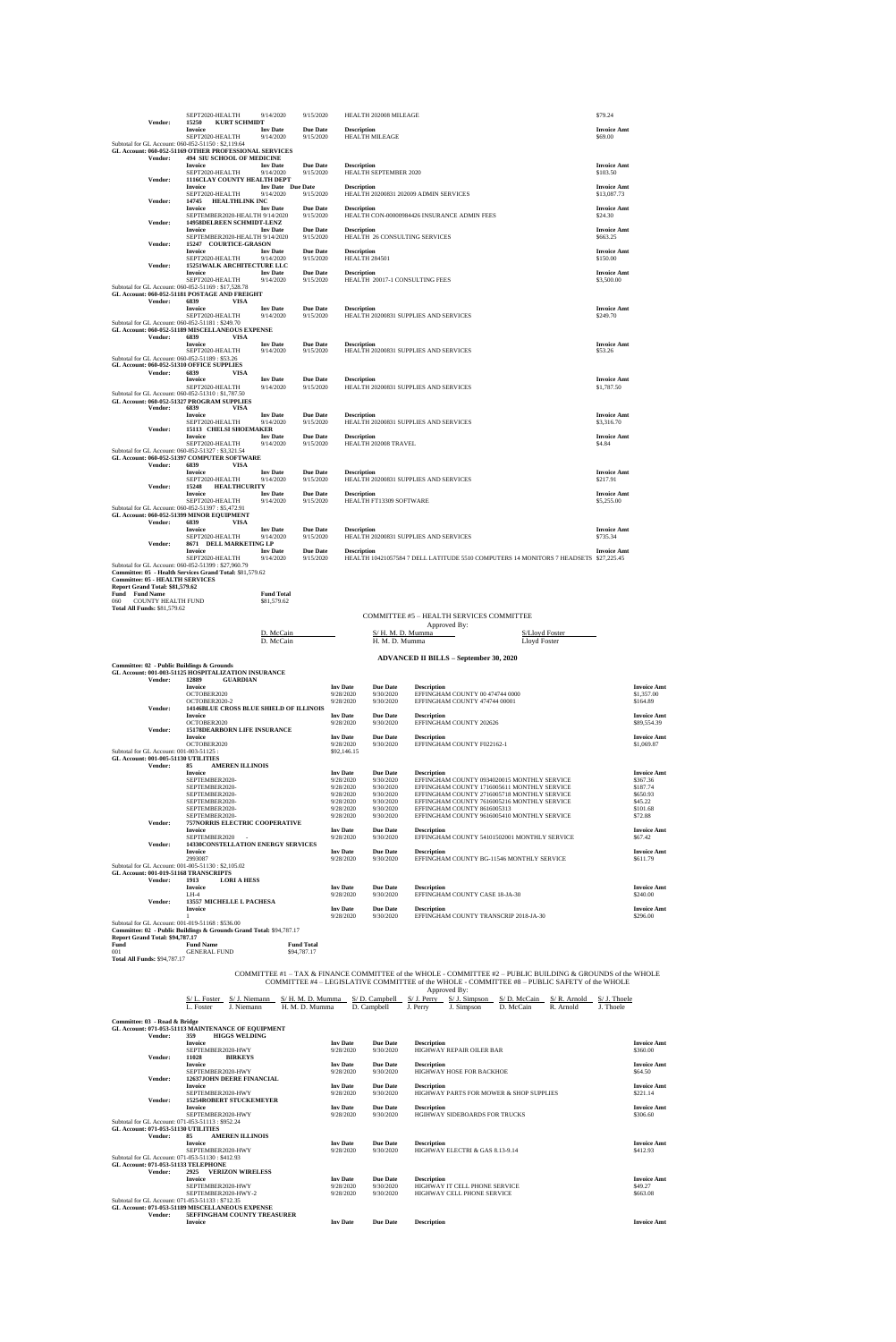|                                                    | SEPT2020-HEALTH                                          | 9/14/2020                | 9/15/2020       | HEALTH 202008 MILEAGE                                                                | \$79.24            |
|----------------------------------------------------|----------------------------------------------------------|--------------------------|-----------------|--------------------------------------------------------------------------------------|--------------------|
|                                                    |                                                          |                          |                 |                                                                                      |                    |
| Vendor:                                            | 15250<br><b>KURT SCHMIDT</b>                             |                          |                 |                                                                                      |                    |
|                                                    | <b>Invoice</b>                                           | <b>Inv Date</b>          | <b>Due Date</b> | <b>Description</b>                                                                   | <b>Invoice Amt</b> |
|                                                    | SEPT2020-HEALTH                                          | 9/14/2020                | 9/15/2020       | <b>HEALTH MILEAGE</b>                                                                | \$69.00            |
| Subtotal for GL Account: 060-052-51150: \$2,119.64 |                                                          |                          |                 |                                                                                      |                    |
|                                                    | GL Account: 060-052-51169 OTHER PROFESSIONAL SERVICES    |                          |                 |                                                                                      |                    |
| Vendor:                                            | <b>494 SIU SCHOOL OF MEDICINE</b>                        |                          |                 |                                                                                      |                    |
|                                                    | <b>Invoice</b>                                           | <b>Inv</b> Date          | <b>Due Date</b> | <b>Description</b>                                                                   | <b>Invoice Amt</b> |
|                                                    |                                                          |                          |                 |                                                                                      |                    |
|                                                    | SEPT2020-HEALTH                                          | 9/14/2020                | 9/15/2020       | <b>HEALTH SEPTEMBER 2020</b>                                                         | \$103.50           |
| Vendor:                                            | 1116CLAY COUNTY HEALTH DEPT                              |                          |                 |                                                                                      |                    |
|                                                    | <b>Invoice</b>                                           | <b>Inv Date</b> Due Date |                 | <b>Description</b>                                                                   | <b>Invoice Amt</b> |
|                                                    | SEPT2020-HEALTH                                          | 9/14/2020                | 9/15/2020       | HEALTH 20200831 202009 ADMIN SERVICES                                                | \$13,087.73        |
| Vendor:                                            | 14745<br>HEALTHLINK INC                                  |                          |                 |                                                                                      |                    |
|                                                    | <b>Invoice</b>                                           | <b>Inv Date</b>          | <b>Due Date</b> | <b>Description</b>                                                                   | <b>Invoice Amt</b> |
|                                                    |                                                          |                          |                 |                                                                                      |                    |
|                                                    | SEPTEMBER2020-HEALTH 9/14/2020                           |                          | 9/15/2020       | HEALTH CON-00000984426 INSURANCE ADMIN FEES                                          | \$24.30            |
| Vendor:                                            | 14958DELREEN SCHMIDT-LENZ                                |                          |                 |                                                                                      |                    |
|                                                    | <b>Invoice</b>                                           | <b>Inv Date</b>          | <b>Due Date</b> | <b>Description</b>                                                                   | <b>Invoice Amt</b> |
|                                                    | SEPTEMBER2020-HEALTH 9/14/2020                           |                          | 9/15/2020       | HEALTH 26 CONSULTING SERVICES                                                        | \$663.25           |
| Vendor:                                            | 15247 COURTICE-GRASON                                    |                          |                 |                                                                                      |                    |
|                                                    | <b>Invoice</b>                                           | <b>Inv Date</b>          | <b>Due Date</b> | <b>Description</b>                                                                   | <b>Invoice Amt</b> |
|                                                    | SEPT2020-HEALTH                                          | 9/14/2020                | 9/15/2020       | <b>HEALTH 284501</b>                                                                 | \$150.00           |
|                                                    | <b>15251WALK ARCHITECTURE LLC</b>                        |                          |                 |                                                                                      |                    |
| Vendor:                                            |                                                          |                          |                 |                                                                                      |                    |
|                                                    | <b>Invoice</b>                                           | <b>Inv Date</b>          | <b>Due Date</b> | <b>Description</b>                                                                   | <b>Invoice Amt</b> |
|                                                    | SEPT2020-HEALTH                                          | 9/14/2020                | 9/15/2020       | HEALTH 20017-1 CONSULTING FEES                                                       | \$3,500.00         |
|                                                    | Subtotal for GL Account: 060-052-51169: \$17,528.78      |                          |                 |                                                                                      |                    |
|                                                    | GL Account: 060-052-51181 POSTAGE AND FREIGHT            |                          |                 |                                                                                      |                    |
| Vendor:                                            | 6839<br><b>VISA</b>                                      |                          |                 |                                                                                      |                    |
|                                                    | <b>Invoice</b>                                           | <b>Inv Date</b>          | <b>Due Date</b> | <b>Description</b>                                                                   | <b>Invoice Amt</b> |
|                                                    |                                                          |                          |                 |                                                                                      |                    |
|                                                    | SEPT2020-HEALTH                                          | 9/14/2020                | 9/15/2020       | HEALTH 20200831 SUPPLIES AND SERVICES                                                | \$249.70           |
| Subtotal for GL Account: 060-052-51181: \$249.70   |                                                          |                          |                 |                                                                                      |                    |
|                                                    | GL Account: 060-052-51189 MISCELLANEOUS EXPENSE          |                          |                 |                                                                                      |                    |
| Vendor:                                            | 6839<br>VISA                                             |                          |                 |                                                                                      |                    |
|                                                    | <b>Invoice</b>                                           | <b>Inv Date</b>          | <b>Due Date</b> | <b>Description</b>                                                                   | <b>Invoice Amt</b> |
|                                                    | SEPT2020-HEALTH                                          | 9/14/2020                | 9/15/2020       | HEALTH 20200831 SUPPLIES AND SERVICES                                                | \$53.26            |
| Subtotal for GL Account: 060-052-51189: \$53.26    |                                                          |                          |                 |                                                                                      |                    |
|                                                    |                                                          |                          |                 |                                                                                      |                    |
| GL Account: 060-052-51310 OFFICE SUPPLIES          |                                                          |                          |                 |                                                                                      |                    |
| Vendor:                                            | 6839<br><b>VISA</b>                                      |                          |                 |                                                                                      |                    |
|                                                    | <b>Invoice</b>                                           | <b>Inv</b> Date          | <b>Due Date</b> | <b>Description</b>                                                                   | <b>Invoice Amt</b> |
|                                                    | SEPT2020-HEALTH                                          | 9/14/2020                | 9/15/2020       | HEALTH 20200831 SUPPLIES AND SERVICES                                                | \$1,787.50         |
| Subtotal for GL Account: 060-052-51310: \$1,787.50 |                                                          |                          |                 |                                                                                      |                    |
|                                                    | GL Account: 060-052-51327 PROGRAM SUPPLIES               |                          |                 |                                                                                      |                    |
| Vendor:                                            | 6839<br><b>VISA</b>                                      |                          |                 |                                                                                      |                    |
|                                                    | <b>Invoice</b>                                           | <b>Inv Date</b>          | <b>Due Date</b> | <b>Description</b>                                                                   | <b>Invoice Amt</b> |
|                                                    |                                                          |                          |                 |                                                                                      |                    |
|                                                    | SEPT2020-HEALTH                                          | 9/14/2020                | 9/15/2020       | HEALTH 20200831 SUPPLIES AND SERVICES                                                | \$3,316.70         |
| Vendor:                                            | 15113 CHELSI SHOEMAKER                                   |                          |                 |                                                                                      |                    |
|                                                    | <b>Invoice</b>                                           | <b>Inv Date</b>          | <b>Due Date</b> | <b>Description</b>                                                                   | <b>Invoice Amt</b> |
|                                                    | SEPT2020-HEALTH                                          | 9/14/2020                | 9/15/2020       | HEALTH 202008 TRAVEL                                                                 | \$4.84             |
| Subtotal for GL Account: 060-052-51327: \$3,321.54 |                                                          |                          |                 |                                                                                      |                    |
|                                                    | GL Account: 060-052-51397 COMPUTER SOFTWARE              |                          |                 |                                                                                      |                    |
| Vendor:                                            | 6839<br><b>VISA</b>                                      |                          |                 |                                                                                      |                    |
|                                                    |                                                          |                          |                 |                                                                                      |                    |
|                                                    | Invoice                                                  | <b>Inv Date</b>          | <b>Due Date</b> | <b>Description</b>                                                                   | <b>Invoice Amt</b> |
|                                                    | SEPT2020-HEALTH                                          | 9/14/2020                | 9/15/2020       | HEALTH 20200831 SUPPLIES AND SERVICES                                                | \$217.91           |
| Vendor:                                            | 15248<br><b>HEALTHCURITY</b>                             |                          |                 |                                                                                      |                    |
|                                                    | <b>Invoice</b>                                           | <b>Inv Date</b>          | <b>Due Date</b> | <b>Description</b>                                                                   | <b>Invoice Amt</b> |
|                                                    | SEPT2020-HEALTH                                          | 9/14/2020                | 9/15/2020       | HEALTH FT13309 SOFTWARE                                                              | \$5,255.00         |
| Subtotal for GL Account: 060-052-51397: \$5,472.91 |                                                          |                          |                 |                                                                                      |                    |
|                                                    |                                                          |                          |                 |                                                                                      |                    |
|                                                    | GL Account: 060-052-51399 MINOR EQUIPMENT                |                          |                 |                                                                                      |                    |
| Vendor:                                            | 6839<br>VISA                                             |                          |                 |                                                                                      |                    |
|                                                    | <b>Invoice</b>                                           | <b>Inv Date</b>          | <b>Due Date</b> | <b>Description</b>                                                                   | <b>Invoice Amt</b> |
|                                                    | SEPT2020-HEALTH                                          | 9/14/2020                | 9/15/2020       | HEALTH 20200831 SUPPLIES AND SERVICES                                                | \$735.34           |
| Vendor:                                            | 8671 DELL MARKETING LP                                   |                          |                 |                                                                                      |                    |
|                                                    | <b>Invoice</b>                                           | <b>Inv Date</b>          | <b>Due Date</b> | <b>Description</b>                                                                   | <b>Invoice Amt</b> |
|                                                    | SEPT2020-HEALTH                                          | 9/14/2020                | 9/15/2020       | HEALTH 10421057584 7 DELL LATITUDE 5510 COMPUTERS 14 MONITORS 7 HEADSETS \$27,225.45 |                    |
|                                                    | Subtotal for GL Account: 060-052-51399: \$27,960.79      |                          |                 |                                                                                      |                    |
|                                                    |                                                          |                          |                 |                                                                                      |                    |
|                                                    | Committee: 05 - Health Services Grand Total: \$81,579.62 |                          |                 |                                                                                      |                    |
| <b>Committee: 05 - HEALTH SERVICES</b>             |                                                          |                          |                 |                                                                                      |                    |
| Report Grand Total: \$81,579.62                    |                                                          |                          |                 |                                                                                      |                    |
| <b>Fund Name</b><br>Fund                           |                                                          | <b>Fund Total</b>        |                 |                                                                                      |                    |
| <b>COUNTY HEALTH FUND</b><br>060                   |                                                          | \$81,579.62              |                 |                                                                                      |                    |
| <b>Total All Funds: \$81,579.62</b>                |                                                          |                          |                 |                                                                                      |                    |
|                                                    |                                                          |                          |                 |                                                                                      |                    |

|                         | COMMITTEE #5 - HEALTH SERVICES COMMITTEE      |                |
|-------------------------|-----------------------------------------------|----------------|
|                         | Approved By:                                  |                |
| D. McCain               | S/H. M. D. Mumma                              | S/Lloyd Foster |
| D. McCain               | H. M. D. Mumma                                | Lloyd Foster   |
|                         | <b>ADVANCED II BILLS – September 30, 2020</b> |                |
| <b>INICITID A MICH.</b> |                                               |                |

| Committee: 02 - Public Buildings & Grounds          |                                                                     |                 |                 |                                              |                    |
|-----------------------------------------------------|---------------------------------------------------------------------|-----------------|-----------------|----------------------------------------------|--------------------|
|                                                     | GL Account: 001-003-51125 HOSPITALIZATION INSURANCE                 |                 |                 |                                              |                    |
| Vendor:                                             | 12889<br><b>GUARDIAN</b>                                            |                 |                 |                                              |                    |
|                                                     | <b>Invoice</b>                                                      | <b>Inv</b> Date | <b>Due Date</b> | <b>Description</b>                           | <b>Invoice Amt</b> |
|                                                     | OCTOBER2020                                                         | 9/28/2020       | 9/30/2020       | EFFINGHAM COUNTY 00 474744 0000              | \$1,357.00         |
|                                                     | OCTOBER2020-2                                                       | 9/28/2020       | 9/30/2020       | EFFINGHAM COUNTY 474744 00001                | \$164.89           |
| Vendor:                                             | <b>14146BLUE CROSS BLUE SHIELD OF ILLINOIS</b>                      |                 |                 |                                              |                    |
|                                                     | <b>Invoice</b>                                                      | <b>Inv</b> Date | <b>Due Date</b> | <b>Description</b>                           | <b>Invoice Amt</b> |
|                                                     | OCTOBER2020                                                         | 9/28/2020       | 9/30/2020       | EFFINGHAM COUNTY 202626                      | \$89,554.39        |
| Vendor:                                             | <b>15178DEARBORN LIFE INSURANCE</b>                                 |                 |                 |                                              |                    |
|                                                     | <b>Invoice</b>                                                      | <b>Inv Date</b> | <b>Due Date</b> | <b>Description</b>                           | <b>Invoice Amt</b> |
|                                                     | OCTOBER2020                                                         | 9/28/2020       | 9/30/2020       | EFFINGHAM COUNTY F022162-1                   | \$1,069.87         |
| Subtotal for GL Account: 001-003-51125 :            |                                                                     | \$92,146.15     |                 |                                              |                    |
| GL Account: 001-005-51130 UTILITIES                 |                                                                     |                 |                 |                                              |                    |
| Vendor:                                             | 85<br><b>AMEREN ILLINOIS</b>                                        |                 |                 |                                              |                    |
|                                                     | <b>Invoice</b>                                                      | <b>Inv</b> Date | <b>Due Date</b> | <b>Description</b>                           | <b>Invoice Amt</b> |
|                                                     | SEPTEMBER2020-                                                      | 9/28/2020       | 9/30/2020       | EFFINGHAM COUNTY 0934020015 MONTHLY SERVICE  | \$367.36           |
|                                                     | SEPTEMBER2020-                                                      | 9/28/2020       | 9/30/2020       | EFFINGHAM COUNTY 1716005611 MONTHLY SERVICE  | \$187.74           |
|                                                     | SEPTEMBER2020-                                                      | 9/28/2020       | 9/30/2020       | EFFINGHAM COUNTY 2716005718 MONTHLY SERVICE  | \$650.93           |
|                                                     | SEPTEMBER2020-                                                      | 9/28/2020       | 9/30/2020       | EFFINGHAM COUNTY 7616005216 MONTHLY SERVICE  | \$45.22            |
|                                                     | SEPTEMBER2020-                                                      | 9/28/2020       | 9/30/2020       | EFFINGHAM COUNTY 8616005313                  | \$101.68           |
|                                                     | SEPTEMBER2020-                                                      | 9/28/2020       | 9/30/2020       | EFFINGHAM COUNTY 9616005410 MONTHLY SERVICE  | \$72.88            |
| Vendor:                                             | <b>757NORRIS ELECTRIC COOPERATIVE</b>                               |                 |                 |                                              |                    |
|                                                     | <b>Invoice</b>                                                      | <b>Inv Date</b> | <b>Due Date</b> | <b>Description</b>                           | <b>Invoice Amt</b> |
|                                                     | SEPTEMBER2020                                                       | 9/28/2020       | 9/30/2020       | EFFINGHAM COUNTY 54101502001 MONTHLY SERVICE | \$67.42            |
| Vendor:                                             | <b>14330CONSTELLATION ENERGY SERVICES</b>                           |                 |                 |                                              |                    |
|                                                     | <b>Invoice</b>                                                      | <b>Inv</b> Date | <b>Due Date</b> | <b>Description</b>                           | <b>Invoice Amt</b> |
|                                                     | 2993087                                                             | 9/28/2020       | 9/30/2020       | EFFINGHAM COUNTY BG-11546 MONTHLY SERVICE    | \$611.79           |
| Subtotal for GL Account: 001-005-51130 : \$2,105.02 |                                                                     |                 |                 |                                              |                    |
| GL Account: 001-019-51168 TRANSCRIPTS               |                                                                     |                 |                 |                                              |                    |
| Vendor:                                             | 1913<br><b>LORI A HESS</b>                                          |                 |                 |                                              |                    |
|                                                     | <b>Invoice</b>                                                      | <b>Inv</b> Date | <b>Due Date</b> | <b>Description</b>                           | <b>Invoice Amt</b> |
|                                                     | $I.H-4$                                                             | 9/28/2020       | 9/30/2020       | EFFINGHAM COUNTY CASE 18-JA-30               | \$240.00           |
| Vendor:                                             | <b>13557 MICHELLE L PACHESA</b>                                     |                 |                 |                                              |                    |
|                                                     | <b>Invoice</b>                                                      | <b>Inv Date</b> | <b>Due Date</b> | <b>Description</b>                           | <b>Invoice Amt</b> |
|                                                     |                                                                     | 9/28/2020       | 9/30/2020       | EFFINGHAM COUNTY TRANSCRIP 2018-JA-30        | \$296.00           |
| Subtotal for GL Account: 001-019-51168 : \$536.00   |                                                                     |                 |                 |                                              |                    |
|                                                     | Committee: 02 - Public Buildings & Grounds Grand Total: \$94,787.17 |                 |                 |                                              |                    |

## **Report Grand Total: \$94,787.17**

| Fund                                | <b>Fund Name</b>    | <b>Fund Total</b> |
|-------------------------------------|---------------------|-------------------|
| 001                                 | <b>GENERAL FUND</b> | \$94,787.17       |
| <b>Total All Funds: \$94,787.17</b> |                     |                   |

#### COMMITTEE #1 – TAX & FINANCE COMMITTEE of the WHOLE - COMMITTEE #2 – PUBLIC BUILDING & GROUNDS of the WHOLE COMMITTEE #4 – LEGISLATIVE COMMITTEE of the WHOLE - COMMITTEE #8 – PUBLIC SAFETY of the WHOLE

| Approved By: |
|--------------|
|--------------|

| <b>Hoster</b> | Niemann<br>$\mathcal{L}$ | S/ H<br>Mumma<br>м | :ampbell | Perry   | Simpson | 2ain<br>-S/ D<br>McC | Arnold<br>S/R. | hoele  |
|---------------|--------------------------|--------------------|----------|---------|---------|----------------------|----------------|--------|
| . Foste       | Niemann                  | Aumma              | ampbell: | . Perry | Simpson | ⊇aın<br>Me           | Arnold         | Thoele |

## **Committee: 03 - Road & Bridge**

| Committee: 05 - Road & Bridge       | GL Account: 071-053-51113 MAINTENANCE OF EQUIPMENT |                 |                 |                                                    |                    |
|-------------------------------------|----------------------------------------------------|-----------------|-----------------|----------------------------------------------------|--------------------|
| Vendor:                             | <b>HIGGS WELDING</b><br>359                        |                 |                 |                                                    |                    |
|                                     | <b>Invoice</b>                                     | <b>Inv</b> Date | <b>Due Date</b> | <b>Description</b>                                 | <b>Invoice Amt</b> |
|                                     | SEPTEMBER2020-HWY                                  | 9/28/2020       | 9/30/2020       | <b>HIGHWAY REPAIR OILER BAR</b>                    | \$360.00           |
| Vendor:                             | 11028<br><b>BIRKEYS</b>                            |                 |                 |                                                    |                    |
|                                     | <b>Invoice</b>                                     | <b>Inv</b> Date | <b>Due Date</b> | <b>Description</b>                                 | <b>Invoice Amt</b> |
|                                     | SEPTEMBER2020-HWY                                  | 9/28/2020       | 9/30/2020       | HIGHWAY HOSE FOR BACKHOE                           | \$64.50            |
| Vendor:                             | <b>12637JOHN DEERE FINANCIAL</b>                   |                 |                 |                                                    |                    |
|                                     | <b>Invoice</b>                                     | <b>Inv</b> Date | <b>Due Date</b> | <b>Description</b>                                 | <b>Invoice Amt</b> |
|                                     | SEPTEMBER2020-HWY                                  | 9/28/2020       | 9/30/2020       | <b>HIGHWAY PARTS FOR MOWER &amp; SHOP SUPPLIES</b> | \$221.14           |
| Vendor:                             | <b>15254ROBERT STUCKEMEYER</b>                     |                 |                 |                                                    |                    |
|                                     | <b>Invoice</b>                                     | <b>Inv</b> Date | <b>Due Date</b> | <b>Description</b>                                 | <b>Invoice Amt</b> |
|                                     | SEPTEMBER2020-HWY                                  | 9/28/2020       | 9/30/2020       | <b>HGIHWAY SIDEBOARDS FOR TRUCKS</b>               | \$306.60           |
|                                     | Subtotal for GL Account: 071-053-51113 : \$952.24  |                 |                 |                                                    |                    |
| GL Account: 071-053-51130 UTILITIES |                                                    |                 |                 |                                                    |                    |
| Vendor:                             | <b>AMEREN ILLINOIS</b><br>85                       |                 |                 |                                                    |                    |
|                                     | <b>Invoice</b>                                     | <b>Inv</b> Date | <b>Due Date</b> | <b>Description</b>                                 | <b>Invoice Amt</b> |
|                                     | SEPTEMBER2020-HWY                                  | 9/28/2020       | 9/30/2020       | HIGHWAY ELECTRI & GAS 8.13-9.14                    | \$412.93           |
|                                     | Subtotal for GL Account: 071-053-51130 : \$412.93  |                 |                 |                                                    |                    |
|                                     | GL Account: 071-053-51133 TELEPHONE                |                 |                 |                                                    |                    |
| Vendor:                             | <b>VERIZON WIRELESS</b><br>2925                    |                 |                 |                                                    |                    |
|                                     | <b>Invoice</b>                                     | <b>Inv</b> Date | <b>Due Date</b> | <b>Description</b>                                 | <b>Invoice Amt</b> |
|                                     | SEPTEMBER2020-HWY                                  | 9/28/2020       | 9/30/2020       | HIGHWAY IT CELL PHONE SERVICE                      | \$49.27            |
|                                     | SEPTEMBER 2020-HWY-2                               | 9/28/2020       | 9/30/2020       | HIGHWAY CELL PHONE SERVICE                         | \$663.08           |
|                                     | Subtotal for GL Account: 071-053-51133 : \$712.35  |                 |                 |                                                    |                    |
|                                     | GL Account: 071-053-51189 MISCELLANEOUS EXPENSE    |                 |                 |                                                    |                    |
| Vendor:                             | <b>5EFFINGHAM COUNTY TREASURER</b>                 |                 |                 |                                                    |                    |
|                                     | <b>Invoice</b>                                     | <b>Inv</b> Date | <b>Due Date</b> | <b>Description</b>                                 | <b>Invoice Amt</b> |
|                                     |                                                    |                 |                 |                                                    |                    |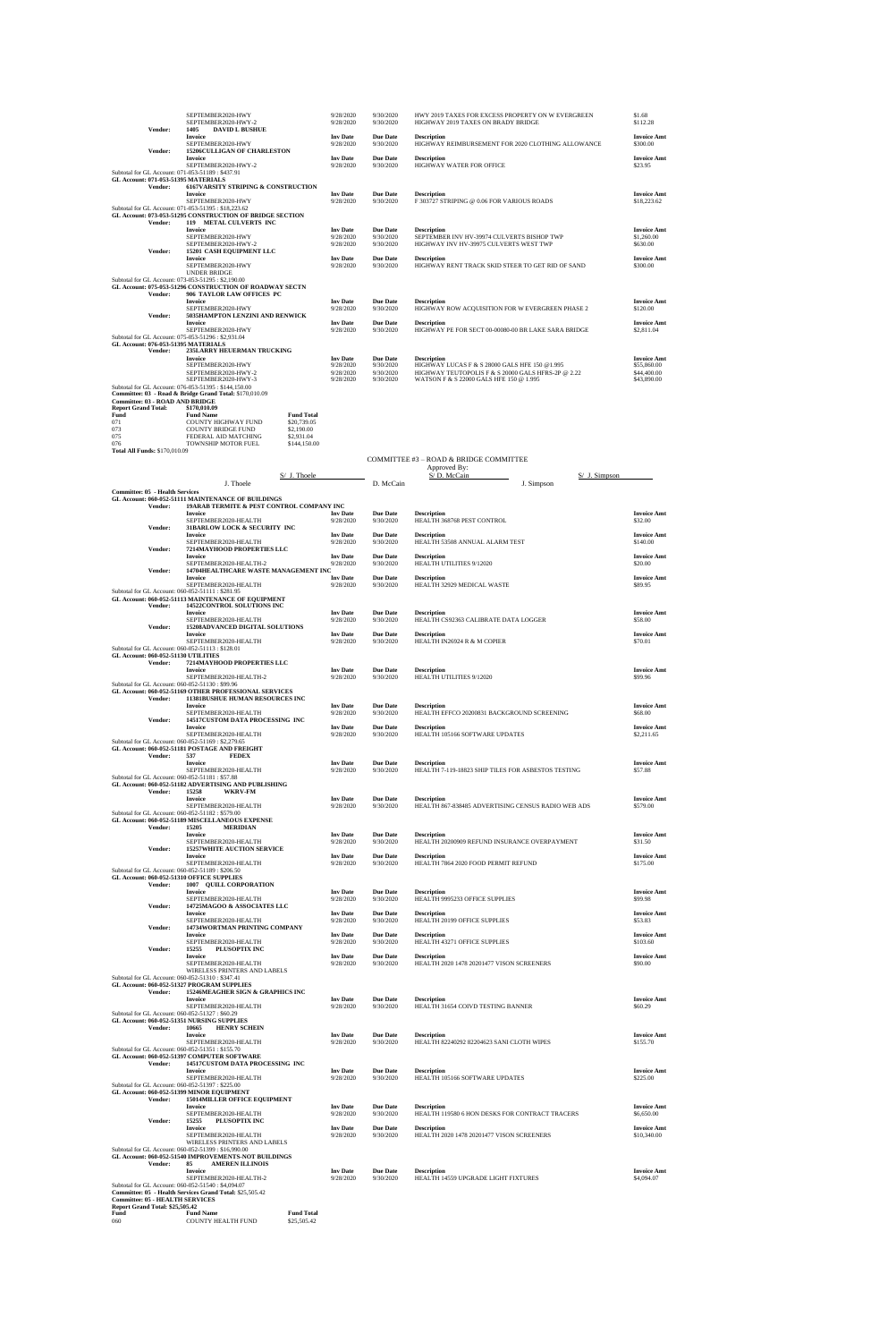|                            |                                        | SEPTEMBER2020-HWY<br>SEPTEMBER2020-HWY-2                 |                   | 9/28/2020<br>9/28/2020 | 9/30/2020<br>9/30/2020 | HWY 2019 TAXES FOR EXCESS PROPERTY ON W EVERGREEN<br>HIGHWAY 2019 TAXES ON BRADY BRIDGE | \$1.68<br>\$112.28             |
|----------------------------|----------------------------------------|----------------------------------------------------------|-------------------|------------------------|------------------------|-----------------------------------------------------------------------------------------|--------------------------------|
|                            | Vendor:                                | 1405<br><b>DAVID L BUSHUE</b>                            |                   |                        |                        |                                                                                         |                                |
|                            |                                        | <b>Invoice</b>                                           |                   | <b>Inv</b> Date        | <b>Due Date</b>        | <b>Description</b>                                                                      | <b>Invoice Amt</b>             |
|                            |                                        | SEPTEMBER2020-HWY                                        |                   | 9/28/2020              | 9/30/2020              | HIGHWAY REIMBURSEMENT FOR 2020 CLOTHING ALLOWANCE                                       | \$300.00                       |
|                            | Vendor:                                | <b>15206CULLIGAN OF CHARLESTON</b>                       |                   |                        |                        |                                                                                         |                                |
|                            |                                        | <b>Invoice</b>                                           |                   | <b>Inv Date</b>        | <b>Due Date</b>        | <b>Description</b>                                                                      | <b>Invoice Amt</b>             |
|                            |                                        | SEPTEMBER2020-HWY-2                                      |                   | 9/28/2020              | 9/30/2020              | HIGHWAY WATER FOR OFFICE                                                                | \$23.95                        |
|                            |                                        | Subtotal for GL Account: 071-053-51189 : \$437.91        |                   |                        |                        |                                                                                         |                                |
|                            |                                        | GL Account: 071-053-51395 MATERIALS                      |                   |                        |                        |                                                                                         |                                |
|                            | Vendor:                                | <b>6167VARSITY STRIPING &amp; CONSTRUCTION</b>           |                   |                        |                        |                                                                                         |                                |
|                            |                                        | <b>Invoice</b>                                           |                   | <b>Inv</b> Date        | <b>Due Date</b>        | <b>Description</b>                                                                      | <b>Invoice Amt</b>             |
|                            |                                        | SEPTEMBER2020-HWY                                        |                   | 9/28/2020              | 9/30/2020              | F 303727 STRIPING @ 0.06 FOR VARIOUS ROADS                                              | \$18,223.62                    |
|                            |                                        | Subtotal for GL Account: 071-053-51395: \$18,223.62      |                   |                        |                        |                                                                                         |                                |
|                            |                                        | GL Account: 073-053-51295 CONSTRUCTION OF BRIDGE SECTION |                   |                        |                        |                                                                                         |                                |
|                            | Vendor:                                | 119 METAL CULVERTS INC                                   |                   |                        |                        |                                                                                         |                                |
|                            |                                        | <b>Invoice</b>                                           |                   | <b>Inv</b> Date        | <b>Due Date</b>        | <b>Description</b>                                                                      | <b>Invoice Amt</b>             |
|                            |                                        | SEPTEMBER2020-HWY                                        |                   | 9/28/2020              | 9/30/2020              | SEPTEMBER INV HV-39974 CULVERTS BISHOP TWP                                              | \$1,260.00                     |
|                            |                                        | SEPTEMBER2020-HWY-2                                      |                   | 9/28/2020              | 9/30/2020              | HIGHWAY INV HV-39975 CULVERTS WEST TWP                                                  | \$630.00                       |
|                            | Vendor:                                | 15201 CASH EQUIPMENT LLC                                 |                   |                        |                        |                                                                                         |                                |
|                            |                                        | <b>Invoice</b>                                           |                   | <b>Inv Date</b>        | <b>Due Date</b>        | <b>Description</b>                                                                      | <b>Invoice Amt</b>             |
|                            |                                        | SEPTEMBER2020-HWY                                        |                   | 9/28/2020              | 9/30/2020              | HIGHWAY RENT TRACK SKID STEER TO GET RID OF SAND                                        | \$300.00                       |
|                            |                                        | <b>UNDER BRIDGE</b>                                      |                   |                        |                        |                                                                                         |                                |
|                            |                                        | Subtotal for GL Account: 073-053-51295: \$2,190.00       |                   |                        |                        |                                                                                         |                                |
|                            |                                        | GL Account: 075-053-51296 CONSTRUCTION OF ROADWAY SECTN  |                   |                        |                        |                                                                                         |                                |
|                            | Vendor:                                | 906 TAYLOR LAW OFFICES PC<br><b>Invoice</b>              |                   | <b>Inv Date</b>        | <b>Due Date</b>        | <b>Description</b>                                                                      |                                |
|                            |                                        | SEPTEMBER2020-HWY                                        |                   | 9/28/2020              | 9/30/2020              | HIGHWAY ROW ACQUISITION FOR W EVERGREEN PHASE 2                                         | <b>Invoice Amt</b><br>\$120.00 |
|                            | Vendor:                                | 5035HAMPTON LENZINI AND RENWICK                          |                   |                        |                        |                                                                                         |                                |
|                            |                                        | <b>Invoice</b>                                           |                   | <b>Inv Date</b>        | <b>Due Date</b>        | <b>Description</b>                                                                      | <b>Invoice Amt</b>             |
|                            |                                        | SEPTEMBER2020-HWY                                        |                   | 9/28/2020              | 9/30/2020              | HIGHWAY PE FOR SECT 00-00080-00 BR LAKE SARA BRIDGE                                     | \$2,811.04                     |
|                            |                                        | Subtotal for GL Account: 075-053-51296 : \$2,931.04      |                   |                        |                        |                                                                                         |                                |
|                            |                                        | <b>GL Account: 076-053-51395 MATERIALS</b>               |                   |                        |                        |                                                                                         |                                |
|                            | Vendor:                                | 235LARRY HEUERMAN TRUCKING                               |                   |                        |                        |                                                                                         |                                |
|                            |                                        | <b>Invoice</b>                                           |                   | <b>Inv</b> Date        | <b>Due Date</b>        | <b>Description</b>                                                                      | <b>Invoice Amt</b>             |
|                            |                                        | SEPTEMBER2020-HWY                                        |                   | 9/28/2020              | 9/30/2020              | HIGHWAY LUCAS F & S 28000 GALS HFE 150 @1.995                                           | \$55,860.00                    |
|                            |                                        | SEPTEMBER2020-HWY-2                                      |                   | 9/28/2020              | 9/30/2020              | HIGHWAY TEUTOPOLIS F & S 20000 GALS HFRS-2P @ 2.22                                      | \$44,400.00                    |
|                            |                                        | SEPTEMBER2020-HWY-3                                      |                   | 9/28/2020              | 9/30/2020              | WATSON F & S 22000 GALS HFE 150 @ 1.995                                                 | \$43,890.00                    |
|                            |                                        | Subtotal for GL Account: 076-053-51395: \$144,150.00     |                   |                        |                        |                                                                                         |                                |
|                            |                                        | Committee: 03 - Road & Bridge Grand Total: \$170,010.09  |                   |                        |                        |                                                                                         |                                |
|                            | <b>Committee: 03 - ROAD AND BRIDGE</b> |                                                          |                   |                        |                        |                                                                                         |                                |
| <b>Report Grand Total:</b> |                                        | \$170,010.09                                             |                   |                        |                        |                                                                                         |                                |
| Fund                       |                                        | <b>Fund Name</b>                                         | <b>Fund Total</b> |                        |                        |                                                                                         |                                |
| 071                        |                                        | COUNTY HIGHWAY FUND                                      | \$20,739.05       |                        |                        |                                                                                         |                                |
| 073                        |                                        | <b>COUNTY BRIDGE FUND</b>                                | \$2,190.00        |                        |                        |                                                                                         |                                |
| 075                        |                                        | FEDERAL AID MATCHING                                     | \$2,931.04        |                        |                        |                                                                                         |                                |
| 076                        |                                        | TOWNSHIP MOTOR FUEL                                      | \$144,150.00      |                        |                        |                                                                                         |                                |
|                            | Total All Funds: \$170,010.09          |                                                          |                   |                        |                        |                                                                                         |                                |

COMMITTEE #3 – ROAD & BRIDGE COMMITTEE Approved By:

|                                                                                               | S/ J. Thoele                                                                             |                              |                              | S/D. McCain                                          | S/ J. Simpson                 |
|-----------------------------------------------------------------------------------------------|------------------------------------------------------------------------------------------|------------------------------|------------------------------|------------------------------------------------------|-------------------------------|
|                                                                                               | J. Thoele                                                                                |                              | D. McCain                    | J. Simpson                                           |                               |
| <b>Committee: 05 - Health Services</b>                                                        | GL Account: 060-052-51111 MAINTENANCE OF BUILDINGS                                       |                              |                              |                                                      |                               |
| Vendor:                                                                                       | 19ARAB TERMITE & PEST CONTROL COMPANY INC                                                |                              |                              |                                                      |                               |
|                                                                                               | <b>Invoice</b><br>SEPTEMBER2020-HEALTH                                                   | <b>Inv Date</b><br>9/28/2020 | <b>Due Date</b><br>9/30/2020 | <b>Description</b><br>HEALTH 368768 PEST CONTROL     | <b>Invoice Amt</b><br>\$32.00 |
| Vendor:                                                                                       | 31BARLOW LOCK & SECURITY INC                                                             |                              |                              |                                                      |                               |
|                                                                                               | <b>Invoice</b>                                                                           | <b>Inv Date</b>              | <b>Due Date</b>              | <b>Description</b>                                   | <b>Invoice Amt</b>            |
| Vendor:                                                                                       | SEPTEMBER2020-HEALTH<br>7214MAYHOOD PROPERTIES LLC                                       | 9/28/2020                    | 9/30/2020                    | HEALTH 53508 ANNUAL ALARM TEST                       | \$140.00                      |
|                                                                                               | <b>Invoice</b>                                                                           | <b>Inv Date</b>              | <b>Due Date</b>              | <b>Description</b>                                   | <b>Invoice Amt</b>            |
|                                                                                               | SEPTEMBER2020-HEALTH-2                                                                   | 9/28/2020                    | 9/30/2020                    | HEALTH UTILITIES 9/12020                             | \$20.00                       |
| Vendor:                                                                                       | 14704HEALTHCARE WASTE MANAGEMENT INC<br>Invoice                                          | <b>Inv Date</b>              | <b>Due Date</b>              | <b>Description</b>                                   | <b>Invoice Amt</b>            |
|                                                                                               | SEPTEMBER2020-HEALTH                                                                     | 9/28/2020                    | 9/30/2020                    | HEALTH 32929 MEDICAL WASTE                           | \$89.95                       |
| Subtotal for GL Account: 060-052-51111: \$281.95                                              | GL Account: 060-052-51113 MAINTENANCE OF EQUIPMENT                                       |                              |                              |                                                      |                               |
| Vendor:                                                                                       | 14522CONTROL SOLUTIONS INC                                                               |                              |                              |                                                      |                               |
|                                                                                               | Invoice                                                                                  | <b>Inv Date</b>              | <b>Due Date</b>              | <b>Description</b>                                   | <b>Invoice Amt</b>            |
| Vendor:                                                                                       | SEPTEMBER2020-HEALTH<br>15208ADVANCED DIGITAL SOLUTIONS                                  | 9/28/2020                    | 9/30/2020                    | HEALTH CS92363 CALIBRATE DATA LOGGER                 | \$58.00                       |
|                                                                                               | <b>Invoice</b>                                                                           | <b>Inv Date</b>              | <b>Due Date</b>              | <b>Description</b>                                   | <b>Invoice Amt</b>            |
| Subtotal for GL Account: 060-052-51113: \$128.01                                              | SEPTEMBER2020-HEALTH                                                                     | 9/28/2020                    | 9/30/2020                    | HEALTH IN26924 R & M COPIER                          | \$70.01                       |
| GL Account: 060-052-51130 UTILITIES                                                           |                                                                                          |                              |                              |                                                      |                               |
| Vendor:                                                                                       | 7214MAYHOOD PROPERTIES LLC                                                               |                              |                              |                                                      |                               |
|                                                                                               | <b>Invoice</b><br>SEPTEMBER2020-HEALTH-2                                                 | <b>Inv Date</b><br>9/28/2020 | <b>Due Date</b><br>9/30/2020 | <b>Description</b><br>HEALTH UTILITIES 9/12020       | <b>Invoice Amt</b><br>\$99.96 |
| Subtotal for GL Account: 060-052-51130: \$99.96                                               |                                                                                          |                              |                              |                                                      |                               |
| Vendor:                                                                                       | GL Account: 060-052-51169 OTHER PROFESSIONAL SERVICES<br>11381BUSHUE HUMAN RESOURCES INC |                              |                              |                                                      |                               |
|                                                                                               | Invoice                                                                                  | <b>Inv Date</b>              | <b>Due Date</b>              | <b>Description</b>                                   | <b>Invoice Amt</b>            |
|                                                                                               | SEPTEMBER2020-HEALTH                                                                     | 9/28/2020                    | 9/30/2020                    | HEALTH EFFCO 20200831 BACKGROUND SCREENING           | \$68.00                       |
| Vendor:                                                                                       | 14517CUSTOM DATA PROCESSING INC<br><b>Invoice</b>                                        | <b>Inv</b> Date              | <b>Due Date</b>              | <b>Description</b>                                   | <b>Invoice Amt</b>            |
|                                                                                               | SEPTEMBER2020-HEALTH                                                                     | 9/28/2020                    | 9/30/2020                    | HEALTH 105166 SOFTWARE UPDATES                       | \$2,211.65                    |
| Subtotal for GL Account: 060-052-51169: \$2,279.65                                            | GL Account: 060-052-51181 POSTAGE AND FREIGHT                                            |                              |                              |                                                      |                               |
| Vendor:                                                                                       | 537<br><b>FEDEX</b>                                                                      |                              |                              |                                                      |                               |
|                                                                                               | Invoice                                                                                  | <b>Inv Date</b>              | <b>Due Date</b>              | <b>Description</b>                                   | <b>Invoice Amt</b>            |
| Subtotal for GL Account: 060-052-51181: \$57.88                                               | SEPTEMBER2020-HEALTH                                                                     | 9/28/2020                    | 9/30/2020                    | HEALTH 7-119-18823 SHIP TILES FOR ASBESTOS TESTING   | \$57.88                       |
|                                                                                               | GL Account: 060-052-51182 ADVERTISING AND PUBLISHING                                     |                              |                              |                                                      |                               |
| Vendor:                                                                                       | 15258<br><b>WKRV-FM</b><br><b>Invoice</b>                                                | <b>Inv Date</b>              | <b>Due Date</b>              | <b>Description</b>                                   | <b>Invoice Amt</b>            |
|                                                                                               | SEPTEMBER2020-HEALTH                                                                     | 9/28/2020                    | 9/30/2020                    | HEALTH 867-838485 ADVERTISING CENSUS RADIO WEB ADS   | \$579.00                      |
| Subtotal for GL Account: 060-052-51182: \$579.00                                              |                                                                                          |                              |                              |                                                      |                               |
| Vendor:                                                                                       | GL Account: 060-052-51189 MISCELLANEOUS EXPENSE<br>15205<br><b>MERIDIAN</b>              |                              |                              |                                                      |                               |
|                                                                                               | <b>Invoice</b>                                                                           | <b>Inv Date</b>              | <b>Due Date</b>              | <b>Description</b>                                   | <b>Invoice Amt</b>            |
| Vendor:                                                                                       | SEPTEMBER2020-HEALTH<br><b>15257WHITE AUCTION SERVICE</b>                                | 9/28/2020                    | 9/30/2020                    | HEALTH 20200909 REFUND INSURANCE OVERPAYMENT         | \$31.50                       |
|                                                                                               | Invoice                                                                                  | <b>Inv Date</b>              | <b>Due Date</b>              | <b>Description</b>                                   | <b>Invoice Amt</b>            |
|                                                                                               | SEPTEMBER2020-HEALTH                                                                     | 9/28/2020                    | 9/30/2020                    | HEALTH 7864 2020 FOOD PERMIT REFUND                  | \$175.00                      |
| Subtotal for GL Account: 060-052-51189: \$206.50<br>GL Account: 060-052-51310 OFFICE SUPPLIES |                                                                                          |                              |                              |                                                      |                               |
| Vendor:                                                                                       | 1007 QUILL CORPORATION                                                                   |                              |                              |                                                      |                               |
|                                                                                               | Invoice<br>SEPTEMBER2020-HEALTH                                                          | <b>Inv</b> Date<br>9/28/2020 | <b>Due Date</b><br>9/30/2020 | <b>Description</b><br>HEALTH 9995233 OFFICE SUPPLIES | <b>Invoice Amt</b><br>\$99.98 |
| Vendor:                                                                                       | 14725MAGOO & ASSOCIATES LLC                                                              |                              |                              |                                                      |                               |
|                                                                                               | <b>Invoice</b>                                                                           | <b>Inv Date</b>              | <b>Due Date</b>              | <b>Description</b>                                   | <b>Invoice Amt</b>            |
| Vendor:                                                                                       | SEPTEMBER2020-HEALTH<br>14734WORTMAN PRINTING COMPANY                                    | 9/28/2020                    | 9/30/2020                    | HEALTH 20199 OFFICE SUPPLIES                         | \$53.83                       |
|                                                                                               | <b>Invoice</b>                                                                           | <b>Inv Date</b>              | <b>Due Date</b>              | <b>Description</b>                                   | <b>Invoice Amt</b>            |
| Vendor:                                                                                       | SEPTEMBER2020-HEALTH<br>15255<br>PLUSOPTIX INC                                           | 9/28/2020                    | 9/30/2020                    | HEALTH 43271 OFFICE SUPPLIES                         | \$103.60                      |
|                                                                                               | <b>Invoice</b>                                                                           | <b>Inv Date</b>              | <b>Due Date</b>              | <b>Description</b>                                   | <b>Invoice Amt</b>            |
|                                                                                               | SEPTEMBER2020-HEALTH                                                                     | 9/28/2020                    | 9/30/2020                    | HEALTH 2020 1478 20201477 VISON SCREENERS            | \$90.00                       |
| Subtotal for GL Account: 060-052-51310: \$347.41                                              | WIRELESS PRINTERS AND LABELS                                                             |                              |                              |                                                      |                               |
|                                                                                               | GL Account: 060-052-51327 PROGRAM SUPPLIES                                               |                              |                              |                                                      |                               |
| Vendor:                                                                                       | 15246MEAGHER SIGN & GRAPHICS INC<br>Invoice                                              | <b>Inv Date</b>              | <b>Due Date</b>              | <b>Description</b>                                   | <b>Invoice Amt</b>            |
|                                                                                               | SEPTEMBER2020-HEALTH                                                                     | 9/28/2020                    | 9/30/2020                    | HEALTH 31654 COIVD TESTING BANNER                    | \$60.29                       |
| Subtotal for GL Account: 060-052-51327: \$60.29                                               | GL Account: 060-052-51351 NURSING SUPPLIES                                               |                              |                              |                                                      |                               |
| Vendor:                                                                                       | 10665<br><b>HENRY SCHEIN</b>                                                             |                              |                              |                                                      |                               |
|                                                                                               | Invoice                                                                                  | <b>Inv Date</b>              | <b>Due Date</b>              | <b>Description</b>                                   | <b>Invoice Amt</b>            |
| Subtotal for GL Account: 060-052-51351: \$155.70                                              | SEPTEMBER2020-HEALTH                                                                     | 9/28/2020                    | 9/30/2020                    | HEALTH 82240292 82204623 SANI CLOTH WIPES            | \$155.70                      |
|                                                                                               | GL Account: 060-052-51397 COMPUTER SOFTWARE                                              |                              |                              |                                                      |                               |
| Vendor:                                                                                       | 14517CUSTOM DATA PROCESSING INC<br><b>Invoice</b>                                        | <b>Inv</b> Date              | <b>Due Date</b>              | <b>Description</b>                                   | <b>Invoice Amt</b>            |
|                                                                                               | SEPTEMBER2020-HEALTH                                                                     | 9/28/2020                    | 9/30/2020                    | HEALTH 105166 SOFTWARE UPDATES                       | \$225.00                      |
| Subtotal for GL Account: 060-052-51397: \$225.00                                              |                                                                                          |                              |                              |                                                      |                               |
| Vendor:                                                                                       | GL Account: 060-052-51399 MINOR EQUIPMENT<br><b>15014MILLER OFFICE EQUIPMENT</b>         |                              |                              |                                                      |                               |
|                                                                                               | <b>Invoice</b>                                                                           | <b>Inv Date</b>              | <b>Due Date</b>              | <b>Description</b>                                   | <b>Invoice Amt</b>            |
| Vendor:                                                                                       | SEPTEMBER2020-HEALTH<br>15255<br>PLUSOPTIX INC                                           | 9/28/2020                    | 9/30/2020                    | HEALTH 119580 6 HON DESKS FOR CONTRACT TRACERS       | \$6,650.00                    |
|                                                                                               | <b>Invoice</b>                                                                           | <b>Inv Date</b>              | <b>Due Date</b>              | <b>Description</b>                                   | <b>Invoice Amt</b>            |
|                                                                                               | SEPTEMBER2020-HEALTH                                                                     | 9/28/2020                    | 9/30/2020                    | HEALTH 2020 1478 20201477 VISON SCREENERS            | \$10,340.00                   |
|                                                                                               | WIRELESS PRINTERS AND LABELS<br>Subtotal for GL Account: 060-052-51399: \$16,990.00      |                              |                              |                                                      |                               |
|                                                                                               | GL Account: 060-052-51540 IMPROVEMENTS-NOT BUILDINGS                                     |                              |                              |                                                      |                               |
| Vendor:                                                                                       | 85<br><b>AMEREN ILLINOIS</b><br><b>Invoice</b>                                           | <b>Inv Date</b>              | <b>Due Date</b>              | <b>Description</b>                                   | <b>Invoice Amt</b>            |
|                                                                                               | SEPTEMBER2020-HEALTH-2                                                                   | 9/28/2020                    | 9/30/2020                    | HEALTH 14559 UPGRADE LIGHT FIXTURES                  | \$4,094.07                    |
| Subtotal for GL Account: 060-052-51540 : \$4,094.07                                           | Committee: 05 - Health Services Grand Total: \$25,505.42                                 |                              |                              |                                                      |                               |
| <b>Committee: 05 - HEALTH SERVICES</b>                                                        |                                                                                          |                              |                              |                                                      |                               |
| Report Grand Total: \$25,505.42                                                               |                                                                                          |                              |                              |                                                      |                               |
| Fund<br>060                                                                                   | <b>Fund Total</b><br><b>Fund Name</b><br><b>COUNTY HEALTH FUND</b><br>\$25,505.42        |                              |                              |                                                      |                               |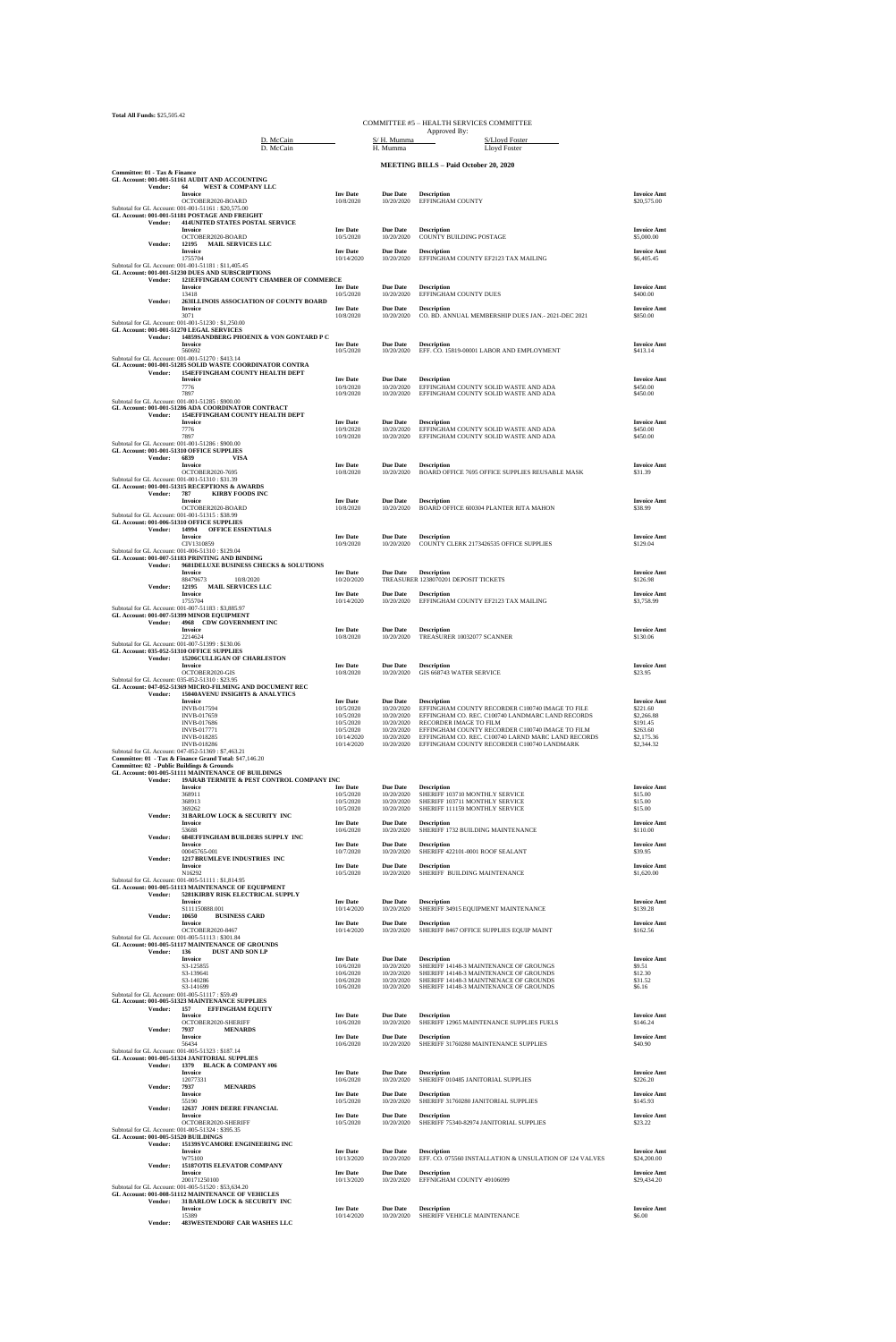**Total All Funds:** \$25,505.42

| 10ын Ан г иниз. <i>э</i> 49,909.44         |                                                                                                                                                                      |                                           |                                             | COMMITTEE #5 - HEALTH SERVICES COMMITTEE<br>Approved By:                                              |                                            |
|--------------------------------------------|----------------------------------------------------------------------------------------------------------------------------------------------------------------------|-------------------------------------------|---------------------------------------------|-------------------------------------------------------------------------------------------------------|--------------------------------------------|
|                                            | D. McCain<br>D. McCain                                                                                                                                               |                                           | S/H. Mumma<br>H. Mumma                      | S/Lloyd Foster<br>Lloyd Foster                                                                        |                                            |
|                                            |                                                                                                                                                                      |                                           |                                             | <b>MEETING BILLS - Paid October 20, 2020</b>                                                          |                                            |
| Committee: 01 - Tax & Finance              | GL Account: 001-001-51161 AUDIT AND ACCOUNTING                                                                                                                       |                                           |                                             |                                                                                                       |                                            |
| <b>Vendor:</b>                             | WEST & COMPANY LLC<br>64<br>Invoice                                                                                                                                  | <b>Inv Date</b>                           | <b>Due Date</b>                             | <b>Description</b>                                                                                    | <b>Invoice Amt</b>                         |
| Vendor:                                    | OCTOBER2020-BOARD<br>Subtotal for GL Account: 001-001-51161 : \$20,575.00<br>GL Account: 001-001-51181 POSTAGE AND FREIGHT<br><b>414UNITED STATES POSTAL SERVICE</b> | 10/8/2020                                 | 10/20/2020                                  | EFFINGHAM COUNTY                                                                                      | \$20,575.00                                |
|                                            | Invoice<br>OCTOBER2020-BOARD                                                                                                                                         | <b>Inv</b> Date<br>10/5/2020              | <b>Due Date</b><br>10/20/2020               | <b>Description</b><br><b>COUNTY BUILDING POSTAGE</b>                                                  | <b>Invoice Amt</b><br>\$5,000.00           |
| Vendor:                                    | 12195<br><b>MAIL SERVICES LLC</b><br>Invoice<br>1755704                                                                                                              | <b>Inv</b> Date<br>10/14/2020             | <b>Due Date</b><br>10/20/2020               | <b>Description</b><br>EFFINGHAM COUNTY EF2123 TAX MAILING                                             | <b>Invoice Amt</b><br>\$6,405.45           |
|                                            | Subtotal for GL Account: 001-001-51181 : \$11,405.45<br>GL Account: 001-001-51230 DUES AND SUBSCRIPTIONS                                                             |                                           |                                             |                                                                                                       |                                            |
| Vendor:                                    | 121EFFINGHAM COUNTY CHAMBER OF COMMERCE<br>Invoice                                                                                                                   | <b>Inv Date</b>                           | <b>Due Date</b>                             | <b>Description</b>                                                                                    | <b>Invoice Amt</b>                         |
| Vendor:                                    | 13418<br>263ILLINOIS ASSOCIATION OF COUNTY BOARD                                                                                                                     | 10/5/2020                                 | 10/20/2020                                  | EFFINGHAM COUNTY DUES                                                                                 | \$400.00                                   |
|                                            | <b>Invoice</b><br>3071                                                                                                                                               | <b>Inv Date</b><br>10/8/2020              | <b>Due Date</b><br>10/20/2020               | <b>Description</b><br>CO. BD. ANNUAL MEMBERSHIP DUES JAN. - 2021-DEC 2021                             | <b>Invoice Amt</b><br>\$850.00             |
|                                            | Subtotal for GL Account: 001-001-51230: \$1,250.00<br>GL Account: 001-001-51270 LEGAL SERVICES                                                                       |                                           |                                             |                                                                                                       |                                            |
| Vendor:                                    | 14859SANDBERG PHOENIX & VON GONTARD P C<br>Invoice                                                                                                                   | <b>Inv Date</b>                           | <b>Due Date</b>                             | <b>Description</b>                                                                                    | <b>Invoice Amt</b>                         |
|                                            | 560692<br>Subtotal for GL Account: 001-001-51270: \$413.14                                                                                                           | 10/5/2020                                 | 10/20/2020                                  | EFF. CO. 15819-00001 LABOR AND EMPLOYMENT                                                             | \$413.14                                   |
| Vendor:                                    | GL Account: 001-001-51285 SOLID WASTE COORDINATOR CONTRA<br>154EFFINGHAM COUNTY HEALTH DEPT                                                                          |                                           |                                             |                                                                                                       |                                            |
|                                            | Invoice<br>7776<br>7897                                                                                                                                              | <b>Inv Date</b><br>10/9/2020<br>10/9/2020 | <b>Due Date</b><br>10/20/2020<br>10/20/2020 | <b>Description</b><br>EFFINGHAM COUNTY SOLID WASTE AND ADA<br>EFFINGHAM COUNTY SOLID WASTE AND ADA    | <b>Invoice Amt</b><br>\$450.00<br>\$450.00 |
|                                            | Subtotal for GL Account: 001-001-51285 : \$900.00<br>GL Account: 001-001-51286 ADA COORDINATOR CONTRACT                                                              |                                           |                                             |                                                                                                       |                                            |
| Vendor:                                    | 154EFFINGHAM COUNTY HEALTH DEPT<br>Invoice                                                                                                                           | <b>Inv Date</b>                           | <b>Due Date</b>                             | <b>Description</b>                                                                                    | <b>Invoice Amt</b>                         |
|                                            | 7776<br>7897                                                                                                                                                         | 10/9/2020<br>10/9/2020                    | 10/20/2020<br>10/20/2020                    | EFFINGHAM COUNTY SOLID WASTE AND ADA<br>EFFINGHAM COUNTY SOLID WASTE AND ADA                          | \$450.00<br>\$450.00                       |
|                                            | Subtotal for GL Account: 001-001-51286: \$900.00<br>GL Account: 001-001-51310 OFFICE SUPPLIES                                                                        |                                           |                                             |                                                                                                       |                                            |
| Vendor:                                    | 6839<br><b>VISA</b><br>Invoice                                                                                                                                       | <b>Inv Date</b>                           | <b>Due Date</b>                             | <b>Description</b>                                                                                    | <b>Invoice Amt</b>                         |
|                                            | OCTOBER2020-7695<br>Subtotal for GL Account: 001-001-51310 : \$31.39                                                                                                 | 10/8/2020                                 | 10/20/2020                                  | BOARD OFFICE 7695 OFFICE SUPPLIES REUSABLE MASK                                                       | \$31.39                                    |
| Vendor:                                    | GL Account: 001-001-51315 RECEPTIONS & AWARDS<br>787<br><b>KIRBY FOODS INC</b>                                                                                       |                                           |                                             |                                                                                                       |                                            |
|                                            | Invoice<br>OCTOBER2020-BOARD                                                                                                                                         | <b>Inv Date</b><br>10/8/2020              | <b>Due Date</b><br>10/20/2020               | <b>Description</b><br>BOARD OFFICE 600304 PLANTER RITA MAHON                                          | <b>Invoice Amt</b><br>\$38.99              |
|                                            | Subtotal for GL Account: 001-001-51315: \$38.99<br>GL Account: 001-006-51310 OFFICE SUPPLIES                                                                         |                                           |                                             |                                                                                                       |                                            |
| Vendor:                                    | 14994<br><b>OFFICE ESSENTIALS</b><br><b>Invoice</b><br>CIV1310859                                                                                                    | <b>Inv Date</b>                           | <b>Due Date</b>                             | <b>Description</b>                                                                                    | <b>Invoice Amt</b><br>\$129.04             |
|                                            | Subtotal for GL Account: 001-006-51310: \$129.04<br>GL Account: 001-007-51183 PRINTING AND BINDING                                                                   | 10/9/2020                                 | 10/20/2020                                  | COUNTY CLERK 2173426535 OFFICE SUPPLIES                                                               |                                            |
| Vendor:                                    | 9681DELUXE BUSINESS CHECKS & SOLUTIONS<br>Invoice                                                                                                                    | <b>Inv Date</b>                           | <b>Due Date</b>                             | <b>Description</b>                                                                                    | <b>Invoice Amt</b>                         |
| <b>Vendor:</b>                             | 10/8/2020<br>88479673<br><b>MAIL SERVICES LLC</b><br>12195                                                                                                           | 10/20/2020                                |                                             | TREASURER 1238070201 DEPOSIT TICKETS                                                                  | \$126.98                                   |
|                                            | Invoice<br>1755704                                                                                                                                                   | <b>Inv Date</b><br>10/14/2020             | <b>Due Date</b><br>10/20/2020               | <b>Description</b><br>EFFINGHAM COUNTY EF2123 TAX MAILING                                             | <b>Invoice Amt</b><br>\$3,758.99           |
|                                            | Subtotal for GL Account: 001-007-51183: \$3,885.97<br>GL Account: 001-007-51399 MINOR EQUIPMENT                                                                      |                                           |                                             |                                                                                                       |                                            |
| Vendor:                                    | 4968 CDW GOVERNMENT INC<br><b>Invoice</b>                                                                                                                            | <b>Inv Date</b>                           | <b>Due Date</b>                             | <b>Description</b>                                                                                    | <b>Invoice Amt</b>                         |
|                                            | 2214624<br>Subtotal for GL Account: 001-007-51399: \$130.06                                                                                                          | 10/8/2020                                 | 10/20/2020                                  | TREASURER 10032077 SCANNER                                                                            | \$130.06                                   |
| Vendor:                                    | GL Account: 035-052-51310 OFFICE SUPPLIES<br>15206CULLIGAN OF CHARLESTON                                                                                             |                                           |                                             |                                                                                                       |                                            |
|                                            | Invoice<br>OCTOBER2020-GIS                                                                                                                                           | <b>Inv Date</b><br>10/8/2020              | <b>Due Date</b><br>10/20/2020               | <b>Description</b><br>GIS 668743 WATER SERVICE                                                        | <b>Invoice Amt</b><br>\$23.95              |
|                                            | Subtotal for GL Account: 035-052-51310: \$23.95<br>GL Account: 047-052-51369 MICRO-FILMING AND DOCUMENT REC                                                          |                                           |                                             |                                                                                                       |                                            |
| Vendor:                                    | 15040AVENU INSIGHTS & ANALYTICS<br><b>Invoice</b><br>INVB-017594                                                                                                     | <b>Inv Date</b><br>10/5/2020              | <b>Due Date</b><br>10/20/2020               | <b>Description</b><br>EFFINGHAM COUNTY RECORDER C100740 IMAGE TO FILE                                 | <b>Invoice Amt</b><br>\$221.60             |
|                                            | INVB-017659<br><b>INVB-017686</b>                                                                                                                                    | 10/5/2020<br>10/5/2020                    | 10/20/2020<br>10/20/2020                    | EFFINGHAM CO. REC. C100740 LANDMARC LAND RECORDS<br>RECORDER IMAGE TO FILM                            | \$2,266.88<br>\$191.45                     |
|                                            | <b>INVB-017771</b><br>INVB-018285                                                                                                                                    | 10/5/2020<br>10/14/2020                   | 10/20/2020<br>10/20/2020                    | EFFINGHAM COUNTY RECORDER C100740 IMAGE TO FILM<br>EFFINGHAM CO. REC. C100740 LARND MARC LAND RECORDS | \$263.60<br>\$2,175.36                     |
|                                            | INVB-018286<br>Subtotal for GL Account: 047-052-51369: \$7,463.21                                                                                                    | 10/14/2020                                | 10/20/2020                                  | EFFINGHAM COUNTY RECORDER C100740 LANDMARK                                                            | \$2,344.32                                 |
| Committee: 02 - Public Buildings & Grounds | Committee: 01 - Tax & Finance Grand Total: \$47,146.20                                                                                                               |                                           |                                             |                                                                                                       |                                            |
| Vendor:                                    | GL Account: 001-005-51111 MAINTENANCE OF BUILDINGS<br>19ARAB TERMITE & PEST CONTROL COMPANY INC                                                                      |                                           |                                             |                                                                                                       |                                            |
|                                            | Invoice<br>368911                                                                                                                                                    | <b>Inv Date</b><br>10/5/2020              | <b>Due Date</b><br>10/20/2020               | <b>Description</b><br>SHERIFF 103710 MONTHLY SERVICE                                                  | <b>Invoice Amt</b><br>\$15.00              |
|                                            | 368913<br>369262                                                                                                                                                     | 10/5/2020<br>10/5/2020                    | 10/20/2020<br>10/20/2020                    | SHERIFF 103711 MONTHLY SERVICE<br>SHERIFF 111159 MONTHLY SERVICE                                      | \$15.00<br>\$15.00                         |
| Vendor:                                    | 31 BARLOW LOCK & SECURITY INC<br>Invoice                                                                                                                             | <b>Inv Date</b>                           | <b>Due Date</b>                             | <b>Description</b>                                                                                    | <b>Invoice Amt</b>                         |
| Vendor:                                    | 53688<br><b>684EFFINGHAM BUILDERS SUPPLY INC</b>                                                                                                                     | 10/6/2020                                 | 10/20/2020                                  | SHERIFF 1732 BUILDING MAINTENANCE                                                                     | \$110.00                                   |
|                                            | Invoice<br>00045765-001<br>1217 BRUMLEVE INDUSTRIES INC                                                                                                              | <b>Inv Date</b><br>10/7/2020              | <b>Due Date</b><br>10/20/2020               | <b>Description</b><br>SHERIFF 422101-0001 ROOF SEALANT                                                | <b>Invoice Amt</b><br>\$39.95              |
| Vendor:                                    | Invoice<br>N16292                                                                                                                                                    | <b>Inv Date</b><br>10/5/2020              | <b>Due Date</b><br>10/20/2020               | <b>Description</b><br>SHERIFF BUILDING MAINTENANCE                                                    | <b>Invoice Amt</b><br>\$1,620.00           |
|                                            | Subtotal for GL Account: 001-005-51111 : \$1,814.95<br>GL Account: 001-005-51113 MAINTENANCE OF EQUIPMENT                                                            |                                           |                                             |                                                                                                       |                                            |
| Vendor:                                    | 5281KIRBY RISK ELECTRICAL SUPPLY<br>Invoice                                                                                                                          | <b>Inv Date</b>                           | <b>Due Date</b>                             | <b>Description</b>                                                                                    | <b>Invoice Amt</b>                         |
| Vendor:                                    | S111150888.001<br>10650<br><b>BUSINESS CARD</b>                                                                                                                      | 10/14/2020                                | 10/20/2020                                  | SHERIFF 34915 EQUIPMENT MAINTENANCE                                                                   | \$139.28                                   |
|                                            | <b>Invoice</b>                                                                                                                                                       | <b>Inv Date</b>                           | <b>Due Date</b>                             | <b>Description</b>                                                                                    | <b>Invoice Amt</b>                         |

| , спаза. | 100JU<br><b>DODITION CURRE</b>                       |                              |                               |                                                                |                                |
|----------|------------------------------------------------------|------------------------------|-------------------------------|----------------------------------------------------------------|--------------------------------|
|          | <b>Invoice</b>                                       | <b>Inv</b> Date              | <b>Due Date</b>               | <b>Description</b>                                             | <b>Invoice Amt</b>             |
|          | OCTOBER2020-8467                                     | 10/14/2020                   | 10/20/2020                    | SHERIFF 8467 OFFICE SUPPLIES EQUIP MAINT                       | \$162.56                       |
|          | Subtotal for GL Account: 001-005-51113: \$301.84     |                              |                               |                                                                |                                |
|          | GL Account: 001-005-51117 MAINTENANCE OF GROUNDS     |                              |                               |                                                                |                                |
| Vendor:  | 136<br><b>DUST AND SON LP</b>                        |                              |                               |                                                                |                                |
|          | Invoice<br>S3-125855                                 | <b>Inv</b> Date              | <b>Due Date</b><br>10/20/2020 | <b>Description</b><br>SHERIFF 14148-3 MAINTENANCE OF GROUNGS   | <b>Invoice Amt</b>             |
|          | S3-139641                                            | 10/6/2020<br>10/6/2020       | 10/20/2020                    |                                                                | \$9.51<br>\$12.30              |
|          |                                                      | 10/6/2020                    | 10/20/2020                    | SHERIFF 14148-3 MAINTENANCE OF GROUNDS                         | \$31.52                        |
|          | S3-140286<br>S3-141699                               | 10/6/2020                    | 10/20/2020                    | SHERIFF 14148-3 MAINTNENACE OF GROUNDS                         | \$6.16                         |
|          | Subtotal for GL Account: 001-005-51117: \$59.49      |                              |                               | SHERIFF 14148-3 MAINTENANCE OF GROUNDS                         |                                |
|          | GL Account: 001-005-51323 MAINTENANCE SUPPLIES       |                              |                               |                                                                |                                |
|          |                                                      |                              |                               |                                                                |                                |
| Vendor:  | 157<br><b>EFFINGHAM EQUITY</b>                       |                              |                               |                                                                |                                |
|          | <b>Invoice</b><br>OCTOBER2020-SHERIFF                | <b>Inv</b> Date<br>10/6/2020 | <b>Due Date</b><br>10/20/2020 | <b>Description</b><br>SHERIFF 12965 MAINTENANCE SUPPLIES FUELS | <b>Invoice Amt</b><br>\$146.24 |
| Vendor:  |                                                      |                              |                               |                                                                |                                |
|          | 7937<br><b>MENARDS</b><br><b>Invoice</b>             | <b>Inv</b> Date              | <b>Due Date</b>               | <b>Description</b>                                             | <b>Invoice Amt</b>             |
|          | 56434                                                | 10/6/2020                    | 10/20/2020                    | SHERIFF 31760280 MAINTENANCE SUPPLIES                          | \$40.90                        |
|          | Subtotal for GL Account: 001-005-51323: \$187.14     |                              |                               |                                                                |                                |
|          | GL Account: 001-005-51324 JANITORIAL SUPPLIES        |                              |                               |                                                                |                                |
| Vendor:  | 1379 BLACK & COMPANY #06                             |                              |                               |                                                                |                                |
|          | Invoice                                              | <b>Inv</b> Date              | <b>Due Date</b>               | <b>Description</b>                                             | <b>Invoice Amt</b>             |
|          | 12077331                                             | 10/6/2020                    | 10/20/2020                    | SHERIFF 010485 JANITORIAL SUPPLIES                             | \$226.20                       |
| Vendor:  | 7937<br><b>MENARDS</b>                               |                              |                               |                                                                |                                |
|          | Invoice                                              | <b>Inv</b> Date              | <b>Due Date</b>               | <b>Description</b>                                             | <b>Invoice Amt</b>             |
|          | 55190                                                | 10/5/2020                    | 10/20/2020                    | SHERIFF 31760280 JANITORIAL SUPPLIES                           | \$145.93                       |
| Vendor:  | 12637 JOHN DEERE FINANCIAL                           |                              |                               |                                                                |                                |
|          | <b>Invoice</b>                                       | <b>Inv</b> Date              | <b>Due Date</b>               | <b>Description</b>                                             | <b>Invoice Amt</b>             |
|          | OCTOBER2020-SHERIFF                                  | 10/5/2020                    | 10/20/2020                    | SHERIFF 75340-82974 JANITORIAL SUPPLIES                        | \$23.22                        |
|          | Subtotal for GL Account: 001-005-51324: \$395.35     |                              |                               |                                                                |                                |
|          | GL Account: 001-005-51520 BUILDINGS                  |                              |                               |                                                                |                                |
| Vendor:  | <b>15139SYCAMORE ENGINEERING INC</b>                 |                              |                               |                                                                |                                |
|          | Invoice                                              | <b>Inv</b> Date              | <b>Due Date</b>               | <b>Description</b>                                             | <b>Invoice Amt</b>             |
|          | W75100                                               | 10/13/2020                   | 10/20/2020                    | EFF. CO. 075560 INSTALLATION & UNSULATION OF 124 VALVES        | \$24,200.00                    |
| Vendor:  | <b>15187OTIS ELEVATOR COMPANY</b>                    |                              |                               |                                                                |                                |
|          | Invoice                                              | <b>Inv</b> Date              | <b>Due Date</b>               | <b>Description</b>                                             | <b>Invoice Amt</b>             |
|          | 200171250100                                         | 10/13/2020                   | 10/20/2020                    | EFFNIGHAM COUNTY 49106099                                      | \$29,434.20                    |
|          | Subtotal for GL Account: 001-005-51520 : \$53,634.20 |                              |                               |                                                                |                                |
|          | GL Account: 001-008-51112 MAINTENANCE OF VEHICLES    |                              |                               |                                                                |                                |
| Vendor:  | <b>31 BARLOW LOCK &amp; SECURITY INC</b>             |                              |                               |                                                                |                                |
|          | <b>Laundan</b>                                       | Tax Dots                     |                               | Data Dota December 2011                                        | Taxaba Asset                   |

|                | Invoice<br>.                        | <b>Inv Date</b> | <b>Due Date</b> | <b>Description</b>          | <b>Invoice Amt</b> |
|----------------|-------------------------------------|-----------------|-----------------|-----------------------------|--------------------|
|                | 15389                               | 10/14/2020      | 10/20/2020      | SHERIFF VEHICLE MAINTENANCE | \$6.00             |
| <b>Vendor:</b> | <b>483WESTENDORF CAR WASHES LLC</b> |                 |                 |                             |                    |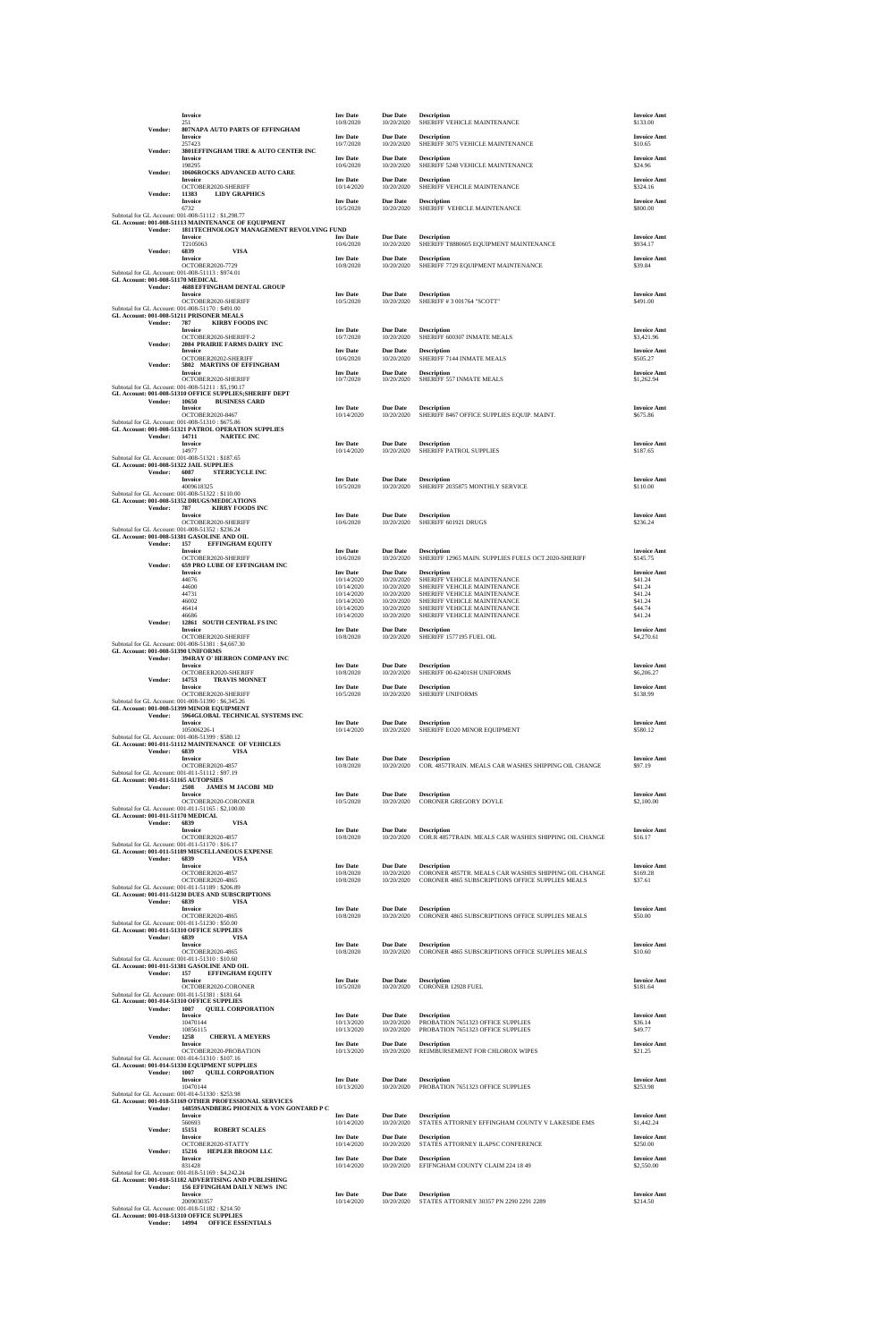|                                                                                                  | Invoice<br>251                                                                                                                                    | <b>Inv Date</b><br>10/8/2020              | <b>Due Date</b><br>10/20/2020          | <b>Description</b><br>SHERIFF VEHICLE MAINTENANCE                                                                              | <b>Invoice Amt</b><br>\$133.00            |
|--------------------------------------------------------------------------------------------------|---------------------------------------------------------------------------------------------------------------------------------------------------|-------------------------------------------|----------------------------------------|--------------------------------------------------------------------------------------------------------------------------------|-------------------------------------------|
| Vendor:                                                                                          | 807NAPA AUTO PARTS OF EFFINGHAM<br>Invoice<br>257423                                                                                              | <b>Inv Date</b>                           | <b>Due Date</b><br>10/20/2020          | <b>Description</b>                                                                                                             | <b>Invoice Amt</b><br>\$10.65             |
| Vendor:                                                                                          | 3801EFFINGHAM TIRE & AUTO CENTER INC<br>Invoice                                                                                                   | 10/7/2020<br><b>Inv Date</b>              | <b>Due Date</b>                        | SHERIFF 3075 VEHICLE MAINTENANCE<br><b>Description</b>                                                                         | <b>Invoice Amt</b>                        |
| Vendor:                                                                                          | 198295<br>10606ROCKS ADVANCED AUTO CARE<br>Invoice                                                                                                | 10/6/2020<br><b>Inv Date</b>              | 10/20/2020<br><b>Due Date</b>          | SHERIFF 5248 VEHICLE MAINTENANCE<br><b>Description</b>                                                                         | \$24.96<br><b>Invoice Amt</b>             |
| Vendor:                                                                                          | OCTOBER2020-SHERIFF<br>11383<br><b>LIDY GRAPHICS</b>                                                                                              | 10/14/2020                                | 10/20/2020                             | SHERIFF VEHCILE MAINTENANCE                                                                                                    | \$324.16                                  |
|                                                                                                  | <b>Invoice</b><br>6732<br>Subtotal for GL Account: 001-008-51112: \$1,298.77                                                                      | <b>Inv Date</b><br>10/5/2020              | Due Date<br>10/20/2020                 | <b>Description</b><br>SHERIFF VEHICLE MAINTENANCE                                                                              | <b>Invoice Amt</b><br>\$800.00            |
| Vendor:                                                                                          | GL Account: 001-008-51113 MAINTENANCE OF EQUIPMENT<br>1811TECHNOLOGY MANAGEMENT REVOLVING FUND                                                    |                                           |                                        |                                                                                                                                |                                           |
| Vendor:                                                                                          | <b>Invoice</b><br>T2105063<br>6839<br>VISA                                                                                                        | <b>Inv Date</b><br>10/6/2020              | <b>Due Date</b><br>10/20/2020          | <b>Description</b><br>SHERIFF T8880605 EQUIPMENT MAINTENANCE                                                                   | <b>Invoice Amt</b><br>\$934.17            |
|                                                                                                  | Invoice<br>OCTOBER2020-7729                                                                                                                       | <b>Inv Date</b><br>10/8/2020              | Due Date<br>10/20/2020                 | <b>Description</b><br>SHERIFF 7729 EQUIPMENT MAINTENANCE                                                                       | <b>Invoice Amt</b><br>\$39.84             |
| Subtotal for GL Account: 001-008-51113: \$974.01<br>GL Account: 001-008-51170 MEDICAL<br>Vendor: | <b>4688 EFFINGHAM DENTAL GROUP</b>                                                                                                                |                                           |                                        |                                                                                                                                |                                           |
| Subtotal for GL Account: 001-008-51170: \$491.00                                                 | Invoice<br>OCTOBER2020-SHERIFF<br>GL Account: 001-008-51211 PRISONER MEALS                                                                        | <b>Inv Date</b><br>10/5/2020              | Due Date<br>10/20/2020                 | <b>Description</b><br>SHERIFF # 3 001764 "SCOTT"                                                                               | <b>Invoice Amt</b><br>\$491.00            |
| Vendor:                                                                                          | 787<br><b>KIRBY FOODS INC</b><br><b>Invoice</b><br>OCTOBER2020-SHERIFF-2                                                                          | <b>Inv Date</b><br>10/7/2020              | <b>Due Date</b><br>10/20/2020          | <b>Description</b><br>SHERIFF 600307 INMATE MEALS                                                                              | <b>Invoice Amt</b><br>\$3,421.96          |
| Vendor:                                                                                          | 2084 PRAIRIE FARMS DAIRY INC<br>Invoice                                                                                                           | <b>Inv Date</b>                           | <b>Due Date</b>                        | <b>Description</b>                                                                                                             | <b>Invoice Amt</b>                        |
| Vendor:                                                                                          | OCTOBER20202-SHERIFF<br>5802 MARTINS OF EFFINGHAM<br><b>Invoice</b>                                                                               | 10/6/2020<br><b>Inv Date</b>              | 10/20/2020<br><b>Due Date</b>          | SHERIFF 7144 INMATE MEALS<br><b>Description</b>                                                                                | \$505.27<br><b>Invoice Amt</b>            |
|                                                                                                  | OCTOBER2020-SHERIFF<br>Subtotal for GL Account: 001-008-51211: \$5,190.17<br>GL Account: 001-008-51310 OFFICE SUPPLIES; SHERIFF DEPT              | 10/7/2020                                 | 10/20/2020                             | SHERIFF 557 INMATE MEALS                                                                                                       | \$1,262.94                                |
| Vendor:                                                                                          | 10650<br><b>BUSINESS CARD</b><br>Invoice                                                                                                          | <b>Inv Date</b>                           | <b>Due Date</b>                        | <b>Description</b>                                                                                                             | <b>Invoice Amt</b>                        |
| Subtotal for GL Account: 001-008-51310: \$675.86                                                 | OCTOBER2020-8467<br>GL Account: 001-008-51321 PATROL OPERATION SUPPLIES                                                                           | 10/14/2020                                | 10/20/2020                             | SHERIFF 8467 OFFICE SUPPLIES EQUIP. MAINT.                                                                                     | \$675.86                                  |
| Vendor:                                                                                          | 14711<br><b>NARTEC INC</b><br>Invoice                                                                                                             | <b>Inv Date</b>                           | <b>Due Date</b>                        | <b>Description</b>                                                                                                             | <b>Invoice Amt</b>                        |
| Subtotal for GL Account: 001-008-51321: \$187.65<br>GL Account: 001-008-51322 JAIL SUPPLIES      | 14977                                                                                                                                             | 10/14/2020                                | 10/20/2020                             | SHERIFF PATROL SUPPLIES                                                                                                        | \$187.65                                  |
| Vendor:                                                                                          | 6087<br><b>STERICYCLE INC</b><br>Invoice                                                                                                          | <b>Inv Date</b>                           | <b>Due Date</b>                        | <b>Description</b>                                                                                                             | <b>Invoice Amt</b>                        |
| Subtotal for GL Account: 001-008-51322: \$110.00                                                 | 4009618325<br>GL Account: 001-008-51352 DRUGS/MEDICATIONS                                                                                         | 10/5/2020                                 | 10/20/2020                             | SHERIFF 2035875 MONTHLY SERVICE                                                                                                | \$110.00                                  |
| Vendor:                                                                                          | 787<br><b>KIRBY FOODS INC</b><br><b>Invoice</b>                                                                                                   | <b>Inv Date</b>                           | <b>Due Date</b>                        | <b>Description</b>                                                                                                             | <b>Invoice Amt</b>                        |
| Subtotal for GL Account: 001-008-51352: \$236.24                                                 | OCTOBER2020-SHERIFF<br>GL Account: 001-008-51381 GASOLINE AND OIL                                                                                 | 10/6/2020                                 | 10/20/2020                             | SHERIFF 601921 DRUGS                                                                                                           | \$236.24                                  |
| Vendor:                                                                                          | 157<br><b>EFFINGHAM EQUITY</b><br>Invoice                                                                                                         | <b>Inv Date</b>                           | <b>Due Date</b>                        | <b>Description</b>                                                                                                             | <b>Invoice Amt</b>                        |
| Vendor:                                                                                          | OCTOBER2020-SHERIFF<br><b>659 PRO LUBE OF EFFINGHAM INC</b><br>Invoice                                                                            | 10/6/2020<br><b>Inv Date</b>              | 10/20/2020<br><b>Due Date</b>          | SHERIFF 12965 MAIN. SUPPLIES FUELS OCT.2020-SHERIFF<br><b>Description</b>                                                      | \$145.75<br><b>Invoice Amt</b>            |
|                                                                                                  | 44076<br>44600                                                                                                                                    | 10/14/2020<br>10/14/2020                  | 10/20/2020<br>10/20/2020               | SHERIFF VEHICLE MAINTENANCE<br>SHERIFF VEHCILE MAINTENANCE                                                                     | \$41.24<br>\$41.24                        |
|                                                                                                  | 44731<br>46002<br>46414                                                                                                                           | 10/14/2020<br>10/14/2020<br>10/14/2020    | 10/20/2020<br>10/20/2020<br>10/20/2020 | SHERIFF VEHICLE MAINTENANCE<br>SHERIFF VEHICLE MAINTENANCE<br>SHERIFF VEHICLE MAINTENANCE                                      | \$41.24<br>\$41.24<br>\$44.74             |
| Vendor:                                                                                          | 46686<br>12861 SOUTH CENTRAL FS INC                                                                                                               | 10/14/2020                                | 10/20/2020                             | SHERIFF VEHICLE MAINTENANCE                                                                                                    | \$41.24                                   |
|                                                                                                  | <b>Invoice</b><br>OCTOBER2020-SHERIFF<br>Subtotal for GL Account: 001-008-51381 : \$4,667.30                                                      | <b>Inv Date</b><br>10/8/2020              | <b>Due Date</b><br>10/20/2020          | <b>Description</b><br>SHERIFF 1577195 FUEL OIL                                                                                 | <b>Invoice Amt</b><br>\$4,270.61          |
| GL Account: 001-008-51390 UNIFORMS<br>Vendor:                                                    | 394RAY O' HERRON COMPANY INC                                                                                                                      |                                           |                                        |                                                                                                                                |                                           |
| Vendor:                                                                                          | <b>Invoice</b><br>OCTOBEER2020-SHERIFF<br>14753<br><b>TRAVIS MONNET</b>                                                                           | <b>Inv Date</b><br>10/8/2020              | <b>Due Date</b><br>10/20/2020          | <b>Description</b><br>SHERIFF 00-62401SH UNIFORMS                                                                              | <b>Invoice Amt</b><br>\$6,206.27          |
|                                                                                                  | Invoice<br>OCTOBER2020-SHERIFF                                                                                                                    | <b>Inv Date</b><br>10/5/2020              | <b>Due Date</b><br>10/20/2020          | <b>Description</b><br>SHERIFF UNIFORMS                                                                                         | <b>Invoice Amt</b><br>\$138.99            |
| Vendor:                                                                                          | Subtotal for GL Account: 001-008-51390: \$6,345.26<br>GL Account: 001-008-51399 MINOR EQUIPMENT<br>5964GLOBAL TECHNICAL SYSTEMS INC               |                                           |                                        |                                                                                                                                |                                           |
|                                                                                                  | Invoice<br>105006226-1                                                                                                                            | <b>Inv Date</b><br>10/14/2020             | Due Date<br>10/20/2020                 | <b>Description</b><br>SHERIFF EO20 MINOR EQUIPMENT                                                                             | <b>Invoice Amt</b><br>\$580.12            |
| Subtotal for GL Account: 001-008-51399: \$580.12<br>Vendor:                                      | GL Account: 001-011-51112 MAINTENANCE OF VEHICLES<br>6839<br><b>VISA</b>                                                                          |                                           |                                        |                                                                                                                                |                                           |
| Subtotal for GL Account: 001-011-51112: \$97.19                                                  | <b>Invoice</b><br>OCTOBER2020-4857                                                                                                                | <b>Inv Date</b><br>10/8/2020              | <b>Due Date</b><br>10/20/2020          | <b>Description</b><br>COR. 4857TRAIN. MEALS CAR WASHES SHIPPING OIL CHANGE                                                     | <b>Invoice Amt</b><br>\$97.19             |
| GL Account: 001-011-51165 AUTOPSIES<br>Vendor:                                                   | 2508<br><b>JAMES M JACOBI MD</b>                                                                                                                  |                                           |                                        |                                                                                                                                |                                           |
|                                                                                                  | <b>Invoice</b><br>OCTOBER2020-CORONER<br>Subtotal for GL Account: 001-011-51165: \$2,100.00                                                       | <b>Inv Date</b><br>10/5/2020              | <b>Due Date</b><br>10/20/2020          | <b>Description</b><br>CORONER GREGORY DOYLE                                                                                    | <b>Invoice Amt</b><br>\$2,100.00          |
| GL Account: 001-011-51170 MEDICAL<br>Vendor:                                                     | 6839<br>VISA                                                                                                                                      |                                           |                                        |                                                                                                                                |                                           |
| Subtotal for GL Account: 001-011-51170 : \$16.17                                                 | Invoice<br>OCTOBER2020-4857                                                                                                                       | <b>Inv Date</b><br>10/8/2020              | <b>Due Date</b><br>10/20/2020          | <b>Description</b><br>COR.R 4857TRAIN. MEALS CAR WASHES SHIPPING OIL CHANGE                                                    | <b>Invoice Amt</b><br>\$16.17             |
| Vendor:                                                                                          | GL Account: 001-011-51189 MISCELLANEOUS EXPENSE<br>6839<br><b>VISA</b>                                                                            |                                           |                                        |                                                                                                                                |                                           |
|                                                                                                  | Invoice<br>OCTOBER2020-4857<br>OCTOBER2020-4865                                                                                                   | <b>Inv Date</b><br>10/8/2020<br>10/8/2020 | Due Date<br>10/20/2020<br>10/20/2020   | <b>Description</b><br>CORONER 4857TR. MEALS CAR WASHES SHIPPING OIL CHANGE<br>CORONER 4865 SUBSCRIPTIONS OFFICE SUPPLIES MEALS | <b>Invoice Amt</b><br>\$169.28<br>\$37.61 |
| Subtotal for GL Account: 001-011-51189: \$206.89                                                 | GL Account: 001-011-51230 DUES AND SUBSCRIPTIONS                                                                                                  |                                           |                                        |                                                                                                                                |                                           |
| Vendor:                                                                                          | 6839<br>VISA<br><b>Invoice</b><br>OCTOBER2020-4865                                                                                                | <b>Inv Date</b><br>10/8/2020              | <b>Due Date</b><br>10/20/2020          | <b>Description</b><br>CORONER 4865 SUBSCRIPTIONS OFFICE SUPPLIES MEALS                                                         | <b>Invoice Amt</b><br>\$50.00             |
| Subtotal for GL Account: 001-011-51230: \$50.00                                                  | GL Account: 001-011-51310 OFFICE SUPPLIES                                                                                                         |                                           |                                        |                                                                                                                                |                                           |
| Vendor:                                                                                          | 6839<br>VISA<br><b>Invoice</b><br>OCTOBER2020-4865                                                                                                | <b>Inv Date</b><br>10/8/2020              | <b>Due Date</b><br>10/20/2020          | <b>Description</b><br>CORONER 4865 SUBSCRIPTIONS OFFICE SUPPLIES MEALS                                                         | <b>Invoice Amt</b><br>\$10.60             |
| Subtotal for GL Account: 001-011-51310: \$10.60<br>Vendor:                                       | GL Account: 001-011-51381 GASOLINE AND OIL<br>157                                                                                                 |                                           |                                        |                                                                                                                                |                                           |
|                                                                                                  | <b>EFFINGHAM EQUITY</b><br><b>Invoice</b><br>OCTOBER2020-CORONER                                                                                  | <b>Inv</b> Date<br>10/5/2020              | <b>Due Date</b><br>10/20/2020          | <b>Description</b><br>CORONER 12928 FUEL                                                                                       | <b>Invoice Amt</b><br>\$181.64            |
| Subtotal for GL Account: 001-011-51381: \$181.64<br>Vendor:                                      | GL Account: 001-014-51310 OFFICE SUPPLIES<br>1007<br><b>OUILL CORPORATION</b>                                                                     |                                           |                                        |                                                                                                                                |                                           |
|                                                                                                  | Invoice<br>10470144                                                                                                                               | <b>Inv Date</b><br>10/13/2020             | <b>Due Date</b><br>10/20/2020          | <b>Description</b><br>PROBATION 7651323 OFFICE SUPPLIES                                                                        | <b>Invoice Amt</b><br>\$36.14             |
| <b>Vendor:</b>                                                                                   | 10856115<br><b>CHERYL A MEYERS</b><br>1258<br>Invoice                                                                                             | 10/13/2020<br><b>Inv Date</b>             | 10/20/2020<br><b>Due Date</b>          | PROBATION 7651323 OFFICE SUPPLIES<br><b>Description</b>                                                                        | \$49.77<br><b>Invoice Amt</b>             |
| Subtotal for GL Account: 001-014-51310: \$107.16                                                 | OCTOBER2020-PROBATION                                                                                                                             | 10/13/2020                                | 10/20/2020                             | REIMBURSEMENT FOR CHLOROX WIPES                                                                                                | \$21.25                                   |
| Vendor:                                                                                          | GL Account: 001-014-51330 EOUIPMENT SUPPLIES<br>1007<br><b>QUILL CORPORATION</b><br><b>Invoice</b>                                                | <b>Inv</b> Date                           | <b>Due Date</b>                        | <b>Description</b>                                                                                                             | <b>Invoice Amt</b>                        |
| Subtotal for GL Account: 001-014-51330 : \$253.98                                                | 10470144                                                                                                                                          | 10/13/2020                                | 10/20/2020                             | PROBATION 7651323 OFFICE SUPPLIES                                                                                              | \$253.98                                  |
| Vendor:                                                                                          | GL Account: 001-018-51169 OTHER PROFESSIONAL SERVICES<br>14859SANDBERG PHOENIX & VON GONTARD P C<br><b>Invoice</b>                                | <b>Inv</b> Date                           | <b>Due Date</b>                        | <b>Description</b>                                                                                                             | <b>Invoice Amt</b>                        |
| Vendor:                                                                                          | 560693<br>15151<br><b>ROBERT SCALES</b>                                                                                                           | 10/14/2020                                | 10/20/2020                             | STATES ATTORNEY EFFINGHAM COUNTY V LAKESIDE EMS                                                                                | \$1,442.24                                |
| Vendor:                                                                                          | <b>Invoice</b><br>OCTOBER2020-STATTY<br>15216<br><b>HEPLER BROOM LLC</b>                                                                          | <b>Inv Date</b><br>10/14/2020             | <b>Due Date</b><br>10/20/2020          | <b>Description</b><br>STATES ATTORNEY ILAPSC CONFERENCE                                                                        | <b>Invoice Amt</b><br>\$250.00            |
|                                                                                                  | Invoice<br>831428                                                                                                                                 | <b>Inv Date</b><br>10/14/2020             | <b>Due Date</b><br>10/20/2020          | <b>Description</b><br>EFIFNGHAM COUNTY CLAIM 224 18 49                                                                         | <b>Invoice Amt</b><br>\$2,550.00          |
| Vendor:                                                                                          | Subtotal for GL Account: 001-018-51169: \$4,242.24<br>GL Account: 001-018-51182 ADVERTISING AND PUBLISHING<br><b>156 EFFINGHAM DAILY NEWS INC</b> |                                           |                                        |                                                                                                                                |                                           |
|                                                                                                  | <b>Invoice</b><br>2009030357                                                                                                                      | <b>Inv Date</b><br>10/14/2020             | <b>Due Date</b><br>10/20/2020          | <b>Description</b><br>STATES ATTORNEY 30357 PN 2290 2291 2289                                                                  | <b>Invoice Amt</b><br>\$214.50            |
| Subtotal for GL Account: 001-018-51182: \$214.50                                                 | GL Account: 001-018-51310 OFFICE SUPPLIES<br>Vendor: 14994 OFFICE ESSENTIALS                                                                      |                                           |                                        |                                                                                                                                |                                           |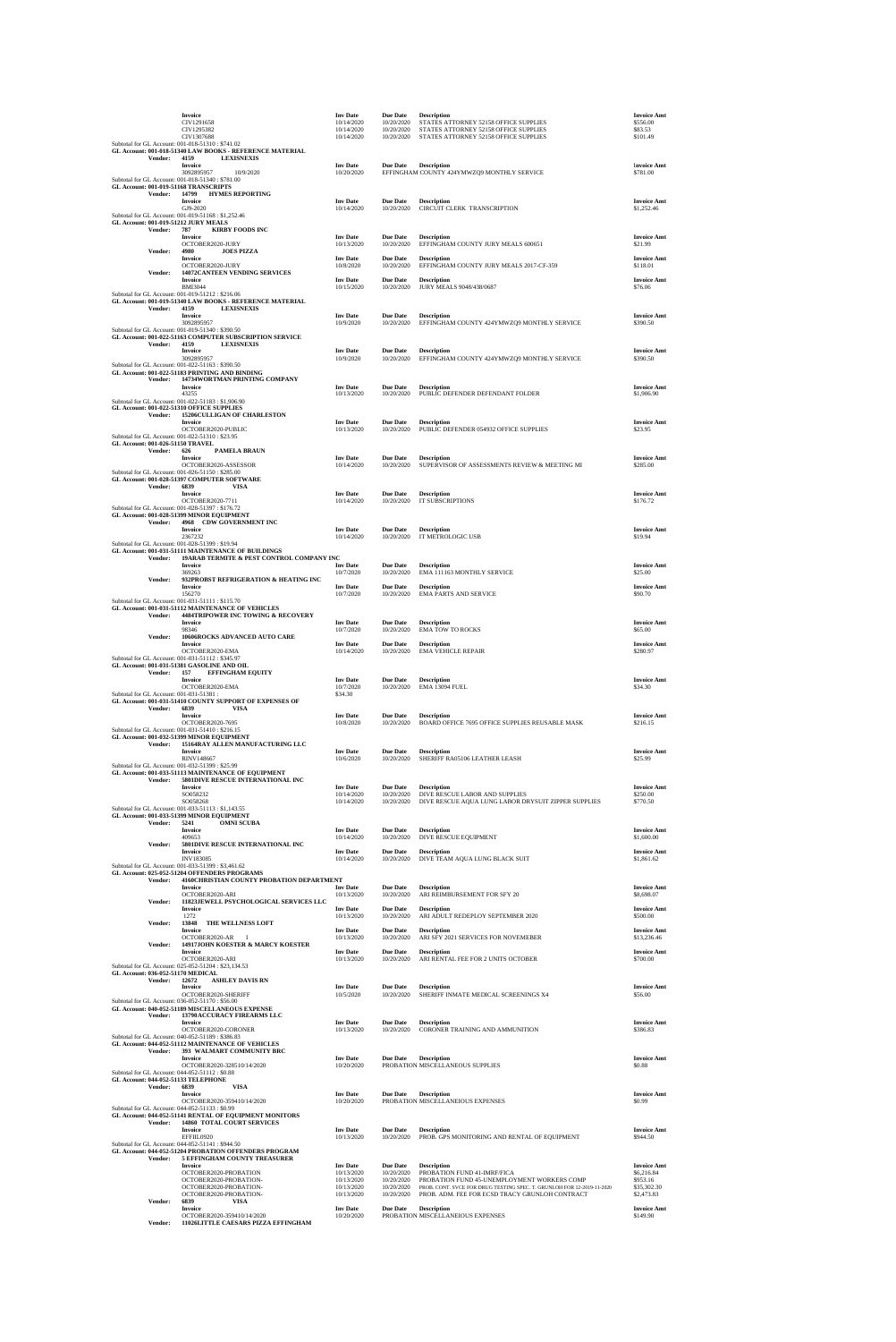|                                          |                | Invoice<br>CIV1291658<br>CIV1295382                                                                                                                               | <b>Inv Date</b><br>10/14/2020<br>10/14/2020 | <b>Due Date</b><br>10/20/2020<br>10/20/2020 | <b>Description</b><br>STATES ATTORNEY 52158 OFFICE SUPPLIES<br>STATES ATTORNEY 52158 OFFICE SUPPLIES                                                                    | <b>Invoice Amt</b><br>\$556.00<br>\$83.53 |
|------------------------------------------|----------------|-------------------------------------------------------------------------------------------------------------------------------------------------------------------|---------------------------------------------|---------------------------------------------|-------------------------------------------------------------------------------------------------------------------------------------------------------------------------|-------------------------------------------|
|                                          |                | CIV1307688<br>Subtotal for GL Account: 001-018-51310: \$741.02<br>GL Account: 001-018-51340 LAW BOOKS - REFERENCE MATERIAL                                        | 10/14/2020                                  | 10/20/2020                                  | STATES ATTORNEY 52158 OFFICE SUPPLIES                                                                                                                                   | \$101.49                                  |
|                                          | Vendor:        | 4159<br><b>LEXISNEXIS</b><br>Invoice<br>3092895957<br>10/9/2020                                                                                                   | <b>Inv Date</b><br>10/20/2020               | <b>Due Date</b>                             | <b>Description</b><br>EFFINGHAM COUNTY 424YMWZQ9 MONTHLY SERVICE                                                                                                        | <b>Invoice Amt</b><br>\$781.00            |
|                                          | Vendor:        | Subtotal for GL Account: 001-018-51340: \$781.00<br>GL Account: 001-019-51168 TRANSCRIPTS<br>14799<br><b>HYMES REPORTING</b>                                      |                                             |                                             |                                                                                                                                                                         |                                           |
|                                          |                | Invoice<br>GJ9-2020<br>Subtotal for GL Account: 001-019-51168 : \$1,252.46<br>GL Account: 001-019-51212 JURY MEALS                                                | <b>Inv Date</b><br>10/14/2020               | <b>Due Date</b><br>10/20/2020               | <b>Description</b><br>CIRCUIT CLERK TRANSCRIPTION                                                                                                                       | <b>Invoice Amt</b><br>\$1,252.46          |
|                                          | Vendor:        | <b>KIRBY FOODS INC</b><br>787<br>Invoice<br>OCTOBER2020-JURY                                                                                                      | <b>Inv Date</b><br>10/13/2020               | <b>Due Date</b><br>10/20/2020               | <b>Description</b><br>EFFINGHAM COUNTY JURY MEALS 600651                                                                                                                | <b>Invoice Amt</b><br>\$21.99             |
|                                          | Vendor:        | 4980<br><b>JOES PIZZA</b><br><b>Invoice</b><br>OCTOBER2020-JURY                                                                                                   | <b>Inv Date</b><br>10/8/2020                | <b>Due Date</b><br>10/20/2020               | <b>Description</b><br>EFFINGHAM COUNTY JURY MEALS 2017-CF-359                                                                                                           | <b>Invoice Amt</b><br>\$118.01            |
|                                          | Vendor:        | 14072CANTEEN VENDING SERVICES<br>Invoice<br><b>BMI3044</b>                                                                                                        | <b>Inv Date</b><br>10/15/2020               | <b>Due Date</b><br>10/20/2020               | <b>Description</b><br>JURY MEALS 9048/438/0687                                                                                                                          | <b>Invoice Amt</b><br>\$76.06             |
|                                          | Vendor:        | Subtotal for GL Account: 001-019-51212: \$216.06<br>GL Account: 001-019-51340 LAW BOOKS - REFERENCE MATERIAL<br>4159<br><b>LEXISNEXIS</b>                         |                                             |                                             |                                                                                                                                                                         |                                           |
|                                          | Vendor:        | Invoice<br>3092895957<br>Subtotal for GL Account: 001-019-51340: \$390.50<br>GL Account: 001-022-51163 COMPUTER SUBSCRIPTION SERVICE<br>4159<br><b>LEXISNEXIS</b> | <b>Inv</b> Date<br>10/9/2020                | <b>Due Date</b><br>10/20/2020               | <b>Description</b><br>EFFINGHAM COUNTY 424YMWZQ9 MONTHLY SERVICE                                                                                                        | <b>Invoice Amt</b><br>\$390.50            |
|                                          |                | Invoice<br>3092895957                                                                                                                                             | <b>Inv Date</b><br>10/9/2020                | <b>Due Date</b><br>10/20/2020               | <b>Description</b><br>EFFINGHAM COUNTY 424YMWZQ9 MONTHLY SERVICE                                                                                                        | <b>Invoice Amt</b><br>\$390.50            |
|                                          | Vendor:        | Subtotal for GL Account: 001-022-51163: \$390.50<br>GL Account: 001-022-51183 PRINTING AND BINDING<br>14734WORTMAN PRINTING COMPANY                               |                                             |                                             |                                                                                                                                                                         |                                           |
|                                          |                | Invoice<br>43255<br>Subtotal for GL Account: 001-022-51183: \$1,906.90                                                                                            | <b>Inv Date</b><br>10/13/2020               | <b>Due Date</b><br>10/20/2020               | <b>Description</b><br>PUBLIC DEFENDER DEFENDANT FOLDER                                                                                                                  | <b>Invoice Amt</b><br>\$1,906.90          |
|                                          | Vendor:        | GL Account: 001-022-51310 OFFICE SUPPLIES<br>15206CULLIGAN OF CHARLESTON<br>Invoice                                                                               | <b>Inv Date</b>                             | <b>Due Date</b>                             | <b>Description</b>                                                                                                                                                      | <b>Invoice Amt</b>                        |
| GL Account: 001-026-51150 TRAVEL         |                | OCTOBER2020-PUBLIC<br>Subtotal for GL Account: 001-022-51310: \$23.95                                                                                             | 10/13/2020                                  | 10/20/2020                                  | PUBLIC DEFENDER 054932 OFFICE SUPPLIES                                                                                                                                  | \$23.95                                   |
|                                          | Vendor:        | <b>PAMELA BRAUN</b><br>626<br>Invoice<br>OCTOBER2020-ASSESSOR                                                                                                     | <b>Inv Date</b><br>10/14/2020               | <b>Due Date</b><br>10/20/2020               | <b>Description</b><br>SUPERVISOR OF ASSESSMENTS REVIEW & MEETING MI                                                                                                     | <b>Invoice Amt</b><br>\$285.00            |
|                                          |                | Subtotal for GL Account: 001-026-51150: \$285.00<br>GL Account: 001-028-51397 COMPUTER SOFTWARE                                                                   |                                             |                                             |                                                                                                                                                                         |                                           |
|                                          | Vendor:        | 6839<br><b>VISA</b><br>Invoice<br>OCTOBER2020-7711                                                                                                                | <b>Inv Date</b><br>10/14/2020               | <b>Due Date</b><br>10/20/2020               | <b>Description</b><br><b>IT SUBSCRIPTIONS</b>                                                                                                                           | <b>Invoice Amt</b><br>\$176.72            |
|                                          | Vendor:        | Subtotal for GL Account: 001-028-51397: \$176.72<br>GL Account: 001-028-51399 MINOR EQUIPMENT<br>4968 CDW GOVERNMENT INC                                          |                                             |                                             |                                                                                                                                                                         |                                           |
|                                          |                | Invoice<br>2367232<br>Subtotal for GL Account: 001-028-51399: \$19.94                                                                                             | <b>Inv</b> Date<br>10/14/2020               | <b>Due Date</b><br>10/20/2020               | <b>Description</b><br>IT METROLOGIC USB                                                                                                                                 | <b>Invoice Amt</b><br>\$19.94             |
|                                          | Vendor:        | GL Account: 001-031-51111 MAINTENANCE OF BUILDINGS<br>19ARAB TERMITE & PEST CONTROL COMPANY INC<br>Invoice                                                        | <b>Inv</b> Date                             | <b>Due Date</b>                             | <b>Description</b>                                                                                                                                                      | <b>Invoice Amt</b>                        |
|                                          | Vendor:        | 369263<br>932PROBST REFRIGERATION & HEATING INC<br>Invoice                                                                                                        | 10/7/2020<br><b>Inv</b> Date                | 10/20/2020<br><b>Due Date</b>               | EMA 111163 MONTHLY SERVICE<br><b>Description</b>                                                                                                                        | \$25.00<br><b>Invoice Amt</b>             |
|                                          |                | 156270<br>Subtotal for GL Account: 001-031-51111 : \$115.70<br>GL Account: 001-031-51112 MAINTENANCE OF VEHICLES                                                  | 10/7/2020                                   | 10/20/2020                                  | <b>EMA PARTS AND SERVICE</b>                                                                                                                                            | \$90.70                                   |
|                                          | Vendor:        | <b>4484TRIPOWER INC TOWING &amp; RECOVERY</b><br><b>Invoice</b>                                                                                                   | <b>Inv Date</b>                             | <b>Due Date</b>                             | <b>Description</b>                                                                                                                                                      | <b>Invoice Amt</b>                        |
|                                          | Vendor:        | 98346<br>10606ROCKS ADVANCED AUTO CARE<br>Invoice                                                                                                                 | 10/7/2020<br><b>Inv Date</b>                | 10/20/2020<br><b>Due Date</b>               | <b>EMA TOW TO ROCKS</b><br><b>Description</b>                                                                                                                           | \$65.00<br><b>Invoice Amt</b>             |
|                                          |                | OCTOBER2020-EMA<br>Subtotal for GL Account: 001-031-51112: \$345.97<br>GL Account: 001-031-51381 GASOLINE AND OIL                                                 | 10/14/2020                                  | 10/20/2020                                  | <b>EMA VEHICLE REPAIR</b>                                                                                                                                               | \$280.97                                  |
|                                          | Vendor:        | 157<br><b>EFFINGHAM EQUITY</b><br>Invoice<br>OCTOBER2020-EMA                                                                                                      | <b>Inv</b> Date<br>10/7/2020                | <b>Due Date</b><br>10/20/2020               | <b>Description</b><br>EMA 13094 FUEL                                                                                                                                    | <b>Invoice Amt</b><br>\$34.30             |
| Subtotal for GL Account: 001-031-51381 : | <b>Vendor:</b> | GL Account: 001-031-51410 COUNTY SUPPORT OF EXPENSES OF<br>6839<br><b>VISA</b>                                                                                    | \$34.30                                     |                                             |                                                                                                                                                                         |                                           |
|                                          |                | Invoice<br>OCTOBER2020-7695<br>Subtotal for GL Account: 001-031-51410: \$216.15                                                                                   | <b>Inv Date</b><br>10/8/2020                | <b>Due Date</b><br>10/20/2020               | <b>Description</b><br>BOARD OFFICE 7695 OFFICE SUPPLIES REUSABLE MASK                                                                                                   | <b>Invoice Amt</b><br>\$216.15            |
|                                          | Vendor:        | GL Account: 001-032-51399 MINOR EQUIPMENT<br>15164RAY ALLEN MANUFACTURING LLC                                                                                     |                                             |                                             |                                                                                                                                                                         |                                           |
|                                          |                | <b>Invoice</b><br><b>RINV148667</b><br>Subtotal for GL Account: 001-032-51399: \$25.99                                                                            | <b>Inv Date</b><br>10/6/2020                | <b>Due Date</b><br>10/20/2020               | <b>Description</b><br>SHERIFF RA05106 LEATHER LEASH                                                                                                                     | <b>Invoice Amt</b><br>\$25.99             |
|                                          | <b>Vendor:</b> | GL Account: 001-033-51113 MAINTENANCE OF EQUIPMENT<br>5801DIVE RESCUE INTERNATIONAL INC<br><b>Invoice</b>                                                         | <b>Inv Date</b>                             | <b>Due Date</b>                             | <b>Description</b>                                                                                                                                                      | <b>Invoice Amt</b>                        |
|                                          |                | SO058232<br>SO058268<br>Subtotal for GL Account: 001-033-51113: \$1,143.55                                                                                        | 10/14/2020<br>10/14/2020                    | 10/20/2020<br>10/20/2020                    | DIVE RESCUE LABOR AND SUPPLIES<br>DIVE RESCUE AQUA LUNG LABOR DRYSUIT ZIPPER SUPPLIES                                                                                   | \$250.00<br>\$770.50                      |
|                                          | Vendor:        | GL Account: 001-033-51399 MINOR EQUIPMENT<br>5241<br><b>OMNI SCUBA</b><br><b>Invoice</b>                                                                          | <b>Inv</b> Date                             | <b>Due Date</b>                             | <b>Description</b>                                                                                                                                                      | <b>Invoice Amt</b>                        |
|                                          | Vendor:        | 409653<br>5801DIVE RESCUE INTERNATIONAL INC<br><b>Invoice</b>                                                                                                     | 10/14/2020<br><b>Inv Date</b>               | 10/20/2020<br><b>Due Date</b>               | DIVE RESCUE EQUIPMENT<br><b>Description</b>                                                                                                                             | \$1,600.00<br><b>Invoice Amt</b>          |
|                                          |                | INV183085<br>Subtotal for GL Account: 001-033-51399: \$3,461.62                                                                                                   | 10/14/2020                                  | 10/20/2020                                  | DIVE TEAM AQUA LUNG BLACK SUIT                                                                                                                                          | \$1,861.62                                |
|                                          | Vendor:        | GL Account: 025-052-51204 OFFENDERS PROGRAMS<br>4160CHRISTIAN COUNTY PROBATION DEPARTMENT<br>Invoice                                                              | <b>Inv Date</b>                             | <b>Due Date</b>                             | <b>Description</b>                                                                                                                                                      | <b>Invoice Amt</b>                        |
|                                          | Vendor:        | OCTOBER2020-ARI<br>11823JEWELL PSYCHOLOGICAL SERVICES LLC<br><b>Invoice</b>                                                                                       | 10/13/2020<br><b>Inv Date</b>               | 10/20/2020<br><b>Due Date</b>               | ARI REIMBURSEMENT FOR SFY 20<br><b>Description</b>                                                                                                                      | \$8,698.07<br><b>Invoice Amt</b>          |
|                                          | Vendor:        | 1272<br>13848<br>THE WELLNESS LOFT<br>Invoice                                                                                                                     | 10/13/2020<br><b>Inv Date</b>               | 10/20/2020<br><b>Due Date</b>               | ARI ADULT REDEPLOY SEPTEMBER 2020<br><b>Description</b>                                                                                                                 | \$500.00<br><b>Invoice Amt</b>            |
|                                          | Vendor:        | OCTOBER2020-AR<br><b>I</b><br>14917JOHN KOESTER & MARCY KOESTER<br><b>Invoice</b>                                                                                 | 10/13/2020<br><b>Inv Date</b>               | 10/20/2020<br><b>Due Date</b>               | ARI SFY 2021 SERVICES FOR NOVEMEBER<br><b>Description</b>                                                                                                               | \$13,236.46<br><b>Invoice Amt</b>         |
| GL Account: 036-052-51170 MEDICAL        |                | OCTOBER2020-ARI<br>Subtotal for GL Account: 025-052-51204 : \$23,134.53                                                                                           | 10/13/2020                                  | 10/20/2020                                  | ARI RENTAL FEE FOR 2 UNITS OCTOBER                                                                                                                                      | \$700.00                                  |
|                                          | Vendor:        | 12672<br><b>ASHLEY DAVIS RN</b><br>Invoice<br>OCTOBER2020-SHERIFF                                                                                                 | <b>Inv Date</b><br>10/5/2020                | <b>Due Date</b><br>10/20/2020               | <b>Description</b><br>SHERIFF INMATE MEDICAL SCREENINGS X4                                                                                                              | <b>Invoice Amt</b><br>\$56.00             |
|                                          |                | Subtotal for GL Account: 036-052-51170: \$56.00<br>GL Account: 040-052-51189 MISCELLANEOUS EXPENSE                                                                |                                             |                                             |                                                                                                                                                                         |                                           |
|                                          | Vendor:        | 13790ACCURACY FIREARMS LLC<br>Invoice<br>OCTOBER2020-CORONER                                                                                                      | <b>Inv Date</b><br>10/13/2020               | <b>Due Date</b><br>10/20/2020               | <b>Description</b><br>CORONER TRAINING AND AMMUNITION                                                                                                                   | <b>Invoice Amt</b><br>\$386.83            |
|                                          | Vendor:        | Subtotal for GL Account: 040-052-51189: \$386.83<br>GL Account: 044-052-51112 MAINTENANCE OF VEHICLES<br>393 WALMART COMMUNITY BRC                                |                                             |                                             |                                                                                                                                                                         |                                           |
|                                          |                | <b>Invoice</b><br>OCTOBER2020-328510/14/2020<br>Subtotal for GL Account: 044-052-51112: \$0.88                                                                    | <b>Inv Date</b><br>10/20/2020               | <b>Due Date</b>                             | <b>Description</b><br>PROBATION MISCELLANEOUS SUPPLIES                                                                                                                  | <b>Invoice Amt</b><br>\$0.88              |
|                                          | Vendor:        | GL Account: 044-052-51133 TELEPHONE<br>6839<br><b>VISA</b><br>Invoice                                                                                             | <b>Inv Date</b>                             | <b>Due Date</b>                             | <b>Description</b>                                                                                                                                                      | <b>Invoice Amt</b>                        |
|                                          |                | OCTOBER2020-359410/14/2020<br>Subtotal for GL Account: 044-052-51133: \$0.99<br>GL Account: 044-052-51141 RENTAL OF EQUIPMENT MONITORS                            | 10/20/2020                                  |                                             | PROBATION MISCELLANEIOUS EXPENSES                                                                                                                                       | \$0.99                                    |
|                                          | <b>Vendor:</b> | <b>14860 TOTAL COURT SERVICES</b><br><b>Invoice</b><br>EFFIIL0920                                                                                                 | <b>Inv Date</b><br>10/13/2020               | <b>Due Date</b><br>10/20/2020               | <b>Description</b>                                                                                                                                                      | <b>Invoice Amt</b><br>\$944.50            |
|                                          |                | Subtotal for GL Account: 044-052-51141 : \$944.50<br>GL Account: 044-052-51204 PROBATION OFFENDERS PROGRAM                                                        |                                             |                                             | PROB. GPS MONITORING AND RENTAL OF EQUIPMENT                                                                                                                            |                                           |
|                                          | <b>Vendor:</b> | 5 EFFINGHAM COUNTY TREASURER<br>Invoice<br>OCTOBER2020-PROBATION                                                                                                  | <b>Inv</b> Date<br>10/13/2020               | <b>Due Date</b><br>10/20/2020               | <b>Description</b><br>PROBATION FUND 41-IMRF/FICA                                                                                                                       | <b>Invoice Amt</b><br>\$6,216.84          |
|                                          |                | OCTOBER2020-PROBATION-<br>OCTOBER2020-PROBATION-<br>OCTOBER2020-PROBATION-                                                                                        | 10/13/2020<br>10/13/2020<br>10/13/2020      | 10/20/2020<br>10/20/2020<br>10/20/2020      | PROBATION FUND 45-UNEMPLOYMENT WORKERS COMP<br>PROB. CONT. SVCE FOR DRUG TESTING SPEC. T. GRUNLOH FOR 12-2019-11-2020<br>PROB. ADM. FEE FOR ECSD TRACY GRUNLOH CONTRACT | \$953.16<br>\$35,302.30<br>\$2,473.83     |
|                                          | Vendor:        | 6839<br><b>VISA</b><br><b>Invoice</b><br>OCTOBER2020-359410/14/2020                                                                                               | <b>Inv Date</b><br>10/20/2020               | <b>Due Date</b>                             | <b>Description</b><br>PROBATION MISCELLANEIOUS EXPENSES                                                                                                                 | <b>Invoice Amt</b><br>\$149.90            |
|                                          | Vendor:        | 11026LITTLE CAESARS PIZZA EFFINGHAM                                                                                                                               |                                             |                                             |                                                                                                                                                                         |                                           |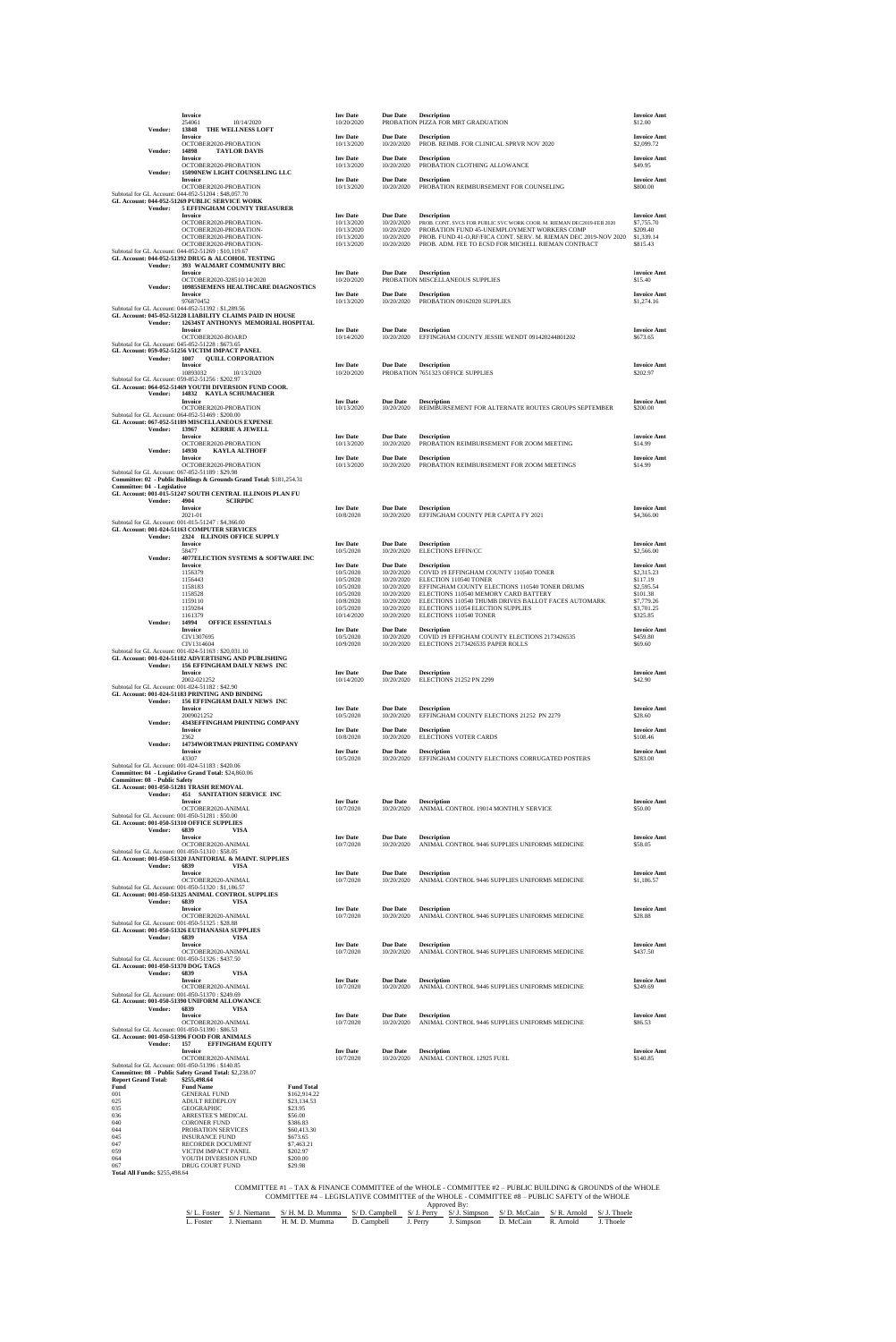|                                                    |                | Invoice<br>254061<br>10/14/2020                                                                                                  |                                     | <b>Inv Date</b><br>10/20/2020               | <b>Due Date</b>                             | <b>Description</b><br>PROBATION PIZZA FOR MRT GRADUATION                                                                                   | <b>Invoice Amt</b><br>\$12.00                |
|----------------------------------------------------|----------------|----------------------------------------------------------------------------------------------------------------------------------|-------------------------------------|---------------------------------------------|---------------------------------------------|--------------------------------------------------------------------------------------------------------------------------------------------|----------------------------------------------|
|                                                    | Vendor:        | 13848<br>THE WELLNESS LOFT<br>Invoice<br>OCTOBER2020-PROBATION                                                                   |                                     | <b>Inv Date</b><br>10/13/2020               | <b>Due Date</b><br>10/20/2020               | <b>Description</b><br>PROB. REIMB. FOR CLINICAL SPRVR NOV 2020                                                                             | <b>Invoice Amt</b><br>\$2,099.72             |
|                                                    | Vendor:        | 14898<br><b>TAYLOR DAVIS</b><br>Invoice                                                                                          |                                     | <b>Inv Date</b>                             | <b>Due Date</b>                             | <b>Description</b>                                                                                                                         | <b>Invoice Amt</b>                           |
|                                                    | Vendor:        | OCTOBER2020-PROBATION<br>15090NEW LIGHT COUNSELING LLC                                                                           |                                     | 10/13/2020                                  | 10/20/2020                                  | PROBATION CLOTHING ALLOWANCE                                                                                                               | \$49.95                                      |
|                                                    |                | <b>Invoice</b><br>OCTOBER2020-PROBATION<br>Subtotal for GL Account: 044-052-51204 : \$48,057.70                                  |                                     | <b>Inv Date</b><br>10/13/2020               | <b>Due Date</b><br>10/20/2020               | <b>Description</b><br>PROBATION REIMBURSEMENT FOR COUNSELING                                                                               | <b>Invoice Amt</b><br>\$800.00               |
|                                                    | <b>Vendor:</b> | GL Account: 044-052-51269 PUBLIC SERVICE WORK<br>5 EFFINGHAM COUNTY TREASURER                                                    |                                     |                                             |                                             |                                                                                                                                            |                                              |
|                                                    |                | <b>Invoice</b><br>OCTOBER2020-PROBATION-<br>OCTOBER2020-PROBATION-                                                               |                                     | <b>Inv Date</b><br>10/13/2020<br>10/13/2020 | <b>Due Date</b><br>10/20/2020<br>10/20/2020 | <b>Description</b><br>PROB. CONT. SVCS FOR PUBLIC SVC WORK COOR. M. RIEMAN DEC2019-FEB 2020<br>PROBATION FUND 45-UNEMPLOYMENT WORKERS COMP | <b>Invoice Amt</b><br>\$7,755.70<br>\$209.40 |
|                                                    |                | OCTOBER2020-PROBATION-<br>OCTOBER2020-PROBATION-                                                                                 |                                     | 10/13/2020<br>10/13/2020                    | 10/20/2020<br>10/20/2020                    | PROB. FUND 41-O.RF/FICA CONT. SERV. M. RIEMAN DEC 2019-NOV 2020<br>PROB. ADM. FEE TO ECSD FOR MICHELL RIEMAN CONTRACT                      | \$1,339.14<br>\$815.43                       |
|                                                    |                | Subtotal for GL Account: 044-052-51269: \$10,119.67<br>GL Account: 044-052-51392 DRUG & ALCOHOL TESTING                          |                                     |                                             |                                             |                                                                                                                                            |                                              |
|                                                    | Vendor:        | 393 WALMART COMMUNITY BRC<br><b>Invoice</b><br>OCTOBER2020-328510/14/2020                                                        |                                     | <b>Inv Date</b><br>10/20/2020               | <b>Due Date</b>                             | <b>Description</b><br>PROBATION MISCELLANEOUS SUPPLIES                                                                                     | <b>Invoice Amt</b><br>\$15.40                |
|                                                    | Vendor:        | 10985SIEMENS HEALTHCARE DIAGNOSTICS<br>Invoice                                                                                   |                                     | <b>Inv Date</b>                             | <b>Due Date</b>                             | <b>Description</b>                                                                                                                         | <b>Invoice Amt</b>                           |
|                                                    |                | 976870452<br>Subtotal for GL Account: 044-052-51392: \$1,289.56<br>GL Account: 045-052-51228 LIABILITY CLAIMS PAID IN HOUSE      |                                     | 10/13/2020                                  | 10/20/2020                                  | PROBATION 09162020 SUPPLIES                                                                                                                | \$1,274.16                                   |
|                                                    | Vendor:        | 12634ST ANTHONYS MEMORIAL HOSPITAL<br>Invoice                                                                                    |                                     | <b>Inv</b> Date                             | <b>Due Date</b>                             | <b>Description</b>                                                                                                                         | <b>Invoice Amt</b>                           |
|                                                    |                | OCTOBER2020-BOARD<br>Subtotal for GL Account: 045-052-51228: \$673.65                                                            |                                     | 10/14/2020                                  | 10/20/2020                                  | EFFINGHAM COUNTY JESSIE WENDT 091420244801202                                                                                              | \$673.65                                     |
|                                                    | Vendor:        | GL Account: 059-052-51256 VICTIM IMPACT PANEL<br>1007<br><b>QUILL CORPORATION</b><br><b>Invoice</b>                              |                                     | <b>Inv</b> Date                             | <b>Due Date</b>                             | <b>Description</b>                                                                                                                         | <b>Invoice Amt</b>                           |
|                                                    |                | 10893032<br>10/13/2020<br>Subtotal for GL Account: 059-052-51256: \$202.97                                                       |                                     | 10/20/2020                                  |                                             | PROBATION 7651323 OFFICE SUPPLIES                                                                                                          | \$202.97                                     |
|                                                    | Vendor:        | GL Account: 064-052-51469 YOUTH DIVERSION FUND COOR.<br>14832 KAYLA SCHUMACHER<br>Invoice                                        |                                     | <b>Inv Date</b>                             | <b>Due Date</b>                             | <b>Description</b>                                                                                                                         | <b>Invoice Amt</b>                           |
|                                                    |                | OCTOBER2020-PROBATION<br>Subtotal for GL Account: 064-052-51469: \$200.00                                                        |                                     | 10/13/2020                                  | 10/20/2020                                  | REIMBURSEMENT FOR ALTERNATE ROUTES GROUPS SEPTEMBER                                                                                        | \$200.00                                     |
|                                                    | Vendor:        | GL Account: 067-052-51189 MISCELLANEOUS EXPENSE<br>13967<br><b>KERRIE A JEWELL</b>                                               |                                     |                                             |                                             |                                                                                                                                            |                                              |
|                                                    | Vendor:        | Invoice<br>OCTOBER2020-PROBATION<br>14930<br><b>KAYLA ALTHOFF</b>                                                                |                                     | <b>Inv Date</b><br>10/13/2020               | <b>Due Date</b><br>10/20/2020               | <b>Description</b><br>PROBATION REIMBURSEMENT FOR ZOOM MEETING                                                                             | <b>Invoice Amt</b><br>\$14.99                |
|                                                    |                | <b>Invoice</b><br>OCTOBER2020-PROBATION                                                                                          |                                     | <b>Inv Date</b><br>10/13/2020               | <b>Due Date</b><br>10/20/2020               | <b>Description</b><br>PROBATION REIMBURSEMENT FOR ZOOM MEETINGS                                                                            | <b>Invoice Amt</b><br>\$14.99                |
|                                                    |                | Subtotal for GL Account: 067-052-51189: \$29.98<br>Committee: 02 - Public Buildings & Grounds Grand Total: \$181,254.31          |                                     |                                             |                                             |                                                                                                                                            |                                              |
| Committee: 04 - Legislative                        | Vendor:        | GL Account: 001-015-51247 SOUTH CENTRAL ILLINOIS PLAN FU<br>4904<br><b>SCIRPDC</b>                                               |                                     |                                             |                                             |                                                                                                                                            |                                              |
|                                                    |                | <b>Invoice</b><br>2021-01                                                                                                        |                                     | <b>Inv Date</b><br>10/8/2020                | <b>Due Date</b><br>10/20/2020               | <b>Description</b><br>EFFINGHAM COUNTY PER CAPITA FY 2021                                                                                  | <b>Invoice Amt</b><br>\$4,366.00             |
|                                                    | Vendor:        | Subtotal for GL Account: 001-015-51247: \$4,366.00<br>GL Account: 001-024-51163 COMPUTER SERVICES<br>2324 ILLINOIS OFFICE SUPPLY |                                     |                                             |                                             |                                                                                                                                            |                                              |
|                                                    |                | <b>Invoice</b><br>58477                                                                                                          |                                     | <b>Inv Date</b><br>10/5/2020                | <b>Due Date</b><br>10/20/2020               | <b>Description</b><br><b>ELECTIONS EFFIN/CC</b>                                                                                            | <b>Invoice Amt</b><br>\$2,566.00             |
|                                                    | Vendor:        | 4077ELECTION SYSTEMS & SOFTWARE INC<br>Invoice<br>1156379                                                                        |                                     | <b>Inv Date</b>                             | <b>Due Date</b>                             | <b>Description</b>                                                                                                                         | <b>Invoice Amt</b>                           |
|                                                    |                | 1156443<br>1158183                                                                                                               |                                     | 10/5/2020<br>10/5/2020<br>10/5/2020         | 10/20/2020<br>10/20/2020<br>10/20/2020      | COVID 19 EFFINGHAM COUNTY 110540 TONER<br>ELECTION 110540 TONER<br>EFFINGHAM COUNTY ELECTIONS 110540 TONER DRUMS                           | \$2,315.23<br>\$117.19<br>\$2,595.54         |
|                                                    |                | 1158528<br>1159110                                                                                                               |                                     | 10/5/2020<br>10/8/2020                      | 10/20/2020<br>10/20/2020                    | ELECTIONS 110540 MEMORY CARD BATTERY<br>ELECTIONS 110540 THUMB DRIVES BALLOT FACES AUTOMARK                                                | \$101.38<br>\$7,779.26                       |
|                                                    | Vendor:        | 1159284<br>1161379<br>14994<br><b>OFFICE ESSENTIALS</b>                                                                          |                                     | 10/5/2020<br>10/14/2020                     | 10/20/2020<br>10/20/2020                    | ELECTIONS 11054 ELECTION SUPPLIES<br>ELECTIONS 110540 TONER                                                                                | \$3,701.25<br>\$325.85                       |
|                                                    |                | <b>Invoice</b><br>CIV1307695                                                                                                     |                                     | <b>Inv Date</b><br>10/5/2020                | <b>Due Date</b><br>10/20/2020               | <b>Description</b><br>COVID 19 EFFIGHAM COUNTY ELECTIONS 2173426535                                                                        | <b>Invoice Amt</b><br>\$459.80               |
|                                                    |                | CIV1314604<br>Subtotal for GL Account: 001-024-51163 : \$20,031.10<br>GL Account: 001-024-51182 ADVERTISING AND PUBLISHING       |                                     | 10/9/2020                                   | 10/20/2020                                  | ELECTIONS 2173426535 PAPER ROLLS                                                                                                           | \$69.60                                      |
|                                                    | Vendor:        | <b>156 EFFINGHAM DAILY NEWS INC</b><br>Invoice                                                                                   |                                     | <b>Inv Date</b>                             | <b>Due Date</b>                             | <b>Description</b>                                                                                                                         | <b>Invoice Amt</b>                           |
|                                                    |                | 2002-021252<br>Subtotal for GL Account: 001-024-51182: \$42.90                                                                   |                                     | 10/14/2020                                  | 10/20/2020                                  | <b>ELECTIONS 21252 PN 2299</b>                                                                                                             | \$42.90                                      |
|                                                    | Vendor:        | GL Account: 001-024-51183 PRINTING AND BINDING<br><b>156 EFFINGHAM DAILY NEWS INC</b><br><b>Invoice</b>                          |                                     | <b>Inv Date</b>                             | <b>Due Date</b>                             | <b>Description</b>                                                                                                                         | <b>Invoice Amt</b>                           |
|                                                    | Vendor:        | 2009021252<br>4343EFFINGHAM PRINTING COMPANY                                                                                     |                                     | 10/5/2020                                   | 10/20/2020                                  | EFFINGHAM COUNTY ELECTIONS 21252 PN 2279                                                                                                   | \$28.60                                      |
|                                                    | Vendor:        | <b>Invoice</b><br>2362<br>14734WORTMAN PRINTING COMPANY                                                                          |                                     | <b>Inv Date</b><br>10/8/2020                | <b>Due Date</b><br>10/20/2020               | <b>Description</b><br><b>ELECTIONS VOTER CARDS</b>                                                                                         | <b>Invoice Amt</b><br>\$108.46               |
|                                                    |                | <b>Invoice</b><br>43307                                                                                                          |                                     | <b>Inv Date</b><br>10/5/2020                | <b>Due Date</b><br>10/20/2020               | <b>Description</b><br>EFFINGHAM COUNTY ELECTIONS CORRUGATED POSTERS                                                                        | <b>Invoice Amt</b><br>\$283.00               |
|                                                    |                | Subtotal for GL Account: 001-024-51183: \$420.06<br>Committee: 04 - Legislative Grand Total: \$24,860.06                         |                                     |                                             |                                             |                                                                                                                                            |                                              |
| Committee: 08 - Public Safety                      | Vendor:        | GL Account: 001-050-51281 TRASH REMOVAL<br><b>451 SANITATION SERVICE INC</b>                                                     |                                     |                                             |                                             |                                                                                                                                            |                                              |
|                                                    |                | Invoice<br>OCTOBER2020-ANIMAL                                                                                                    |                                     | <b>Inv Date</b><br>10/7/2020                | <b>Due Date</b><br>10/20/2020               | <b>Description</b><br>ANIMAL CONTROL 19014 MONTHLY SERVICE                                                                                 | <b>Invoice Amt</b><br>\$50.00                |
|                                                    | Vendor:        | Subtotal for GL Account: 001-050-51281: \$50.00<br>GL Account: 001-050-51310 OFFICE SUPPLIES<br>6839<br><b>VISA</b>              |                                     |                                             |                                             |                                                                                                                                            |                                              |
|                                                    |                | <b>Invoice</b><br>OCTOBER2020-ANIMAL                                                                                             |                                     | <b>Inv Date</b><br>10/7/2020                | <b>Due Date</b><br>10/20/2020               | <b>Description</b><br>ANIMAL CONTROL 9446 SUPPLIES UNIFORMS MEDICINE                                                                       | <b>Invoice Amt</b><br>\$58.05                |
|                                                    | Vendor:        | Subtotal for GL Account: 001-050-51310: \$58.05<br>GL Account: 001-050-51320 JANITORIAL & MAINT. SUPPLIES<br>6839                |                                     |                                             |                                             |                                                                                                                                            |                                              |
|                                                    |                | VISA<br>Invoice<br>OCTOBER2020-ANIMAL                                                                                            |                                     | <b>Inv Date</b><br>10/7/2020                | <b>Due Date</b><br>10/20/2020               | <b>Description</b><br>ANIMAL CONTROL 9446 SUPPLIES UNIFORMS MEDICINE                                                                       | <b>Invoice Amt</b><br>\$1,186.57             |
|                                                    |                | Subtotal for GL Account: 001-050-51320: \$1,186.57<br>GL Account: 001-050-51325 ANIMAL CONTROL SUPPLIES                          |                                     |                                             |                                             |                                                                                                                                            |                                              |
|                                                    | Vendor:        | 6839<br>VISA<br>Invoice<br>OCTOBER2020-ANIMAL                                                                                    |                                     | <b>Inv Date</b><br>10/7/2020                | <b>Due Date</b><br>10/20/2020               | <b>Description</b><br>ANIMAL CONTROL 9446 SUPPLIES UNIFORMS MEDICINE                                                                       | <b>Invoice Amt</b><br>\$28.88                |
|                                                    |                | Subtotal for GL Account: 001-050-51325: \$28.88<br>GL Account: 001-050-51326 EUTHANASIA SUPPLIES                                 |                                     |                                             |                                             |                                                                                                                                            |                                              |
|                                                    | <b>Vendor:</b> | 6839<br><b>VISA</b><br><b>Invoice</b><br>OCTOBER2020-ANIMAL                                                                      |                                     | <b>Inv Date</b><br>10/7/2020                | <b>Due Date</b><br>10/20/2020               | <b>Description</b><br>ANIMAL CONTROL 9446 SUPPLIES UNIFORMS MEDICINE                                                                       | <b>Invoice Amt</b><br>\$437.50               |
|                                                    |                | Subtotal for GL Account: 001-050-51326 : \$437.50<br>GL Account: 001-050-51370 DOG TAGS                                          |                                     |                                             |                                             |                                                                                                                                            |                                              |
|                                                    | <b>Vendor:</b> | 6839<br><b>VISA</b><br>Invoice                                                                                                   |                                     | <b>Inv Date</b>                             | <b>Due Date</b>                             | <b>Description</b>                                                                                                                         | <b>Invoice Amt</b>                           |
|                                                    |                | OCTOBER2020-ANIMAL<br>Subtotal for GL Account: 001-050-51370: \$249.69<br>GL Account: 001-050-51390 UNIFORM ALLOWANCE            |                                     | 10/7/2020                                   | 10/20/2020                                  | ANIMAL CONTROL 9446 SUPPLIES UNIFORMS MEDICINE                                                                                             | \$249.69                                     |
|                                                    | Vendor:        | 6839<br><b>VISA</b><br>Invoice                                                                                                   |                                     | <b>Inv Date</b>                             | <b>Due Date</b>                             | <b>Description</b>                                                                                                                         | <b>Invoice Amt</b>                           |
|                                                    |                | OCTOBER2020-ANIMAL<br>Subtotal for GL Account: 001-050-51390 : \$86.53<br>GL Account: 001-050-51396 FOOD FOR ANIMALS             |                                     | 10/7/2020                                   | 10/20/2020                                  | ANIMAL CONTROL 9446 SUPPLIES UNIFORMS MEDICINE                                                                                             | \$86.53                                      |
|                                                    | Vendor:        | <b>EFFINGHAM EQUITY</b><br>157<br><b>Invoice</b>                                                                                 |                                     | <b>Inv Date</b>                             | <b>Due Date</b>                             | <b>Description</b>                                                                                                                         | <b>Invoice Amt</b>                           |
|                                                    |                | OCTOBER2020-ANIMAL<br>Subtotal for GL Account: 001-050-51396 : \$140.85                                                          |                                     | 10/7/2020                                   | 10/20/2020                                  | ANIMAL CONTROL 12925 FUEL                                                                                                                  | \$140.85                                     |
| <b>Report Grand Total:</b><br>Fund                 |                | Committee: 08 - Public Safety Grand Total: \$2,238.07<br>\$255,498.64<br><b>Fund Name</b>                                        | <b>Fund Total</b>                   |                                             |                                             |                                                                                                                                            |                                              |
| 001<br>025                                         |                | <b>GENERAL FUND</b><br><b>ADULT REDEPLOY</b>                                                                                     | \$162,914.22<br>\$23,134.53         |                                             |                                             |                                                                                                                                            |                                              |
| 035<br>036<br>040                                  |                | <b>GEOGRAPHIC</b><br>ARRESTEE'S MEDICAL<br><b>CORONER FUND</b>                                                                   | \$23.95<br>\$56.00                  |                                             |                                             |                                                                                                                                            |                                              |
| 044<br>045                                         |                | PROBATION SERVICES<br><b>INSURANCE FUND</b>                                                                                      | \$386.83<br>\$60,413.30<br>\$673.65 |                                             |                                             |                                                                                                                                            |                                              |
| 047<br>059                                         |                | RECORDER DOCUMENT<br>VICTIM IMPACT PANEL                                                                                         | \$7,463.21<br>\$202.97              |                                             |                                             |                                                                                                                                            |                                              |
| 064<br>067<br><b>Total All Funds: \$255,498.64</b> |                | YOUTH DIVERSION FUND<br><b>DRUG COURT FUND</b>                                                                                   | \$200.00<br>\$29.98                 |                                             |                                             |                                                                                                                                            |                                              |

| COMMITTEE #1 – TAX & FINANCE COMMITTEE of the WHOLE - COMMITTEE #2 – PUBLIC BUILDING & GROUNDS of the WHOLE |  |
|-------------------------------------------------------------------------------------------------------------|--|
| COMMITTEE #4 – LEGISLATIVE COMMITTEE of the WHOLE - COMMITTEE #8 – PUBLIC SAFETY of the WHOLE               |  |

Approved By:

| Foster | Niemann<br>$\mathbf{S}/$ | S/H<br>M<br>Mumma | `ampbell | $^{\circ}$ Perry<br>$\sim$ 1 | Simpson | S/D. McCain | S/R<br>Arnold | <b>CONTINUES</b><br>S/<br>`hoele |
|--------|--------------------------|-------------------|----------|------------------------------|---------|-------------|---------------|----------------------------------|
| Foster | Niemann                  | Mumma             | `ampbell | J. Perry                     | Simpson | ∵ain<br>McC | Arnold        | Thoele                           |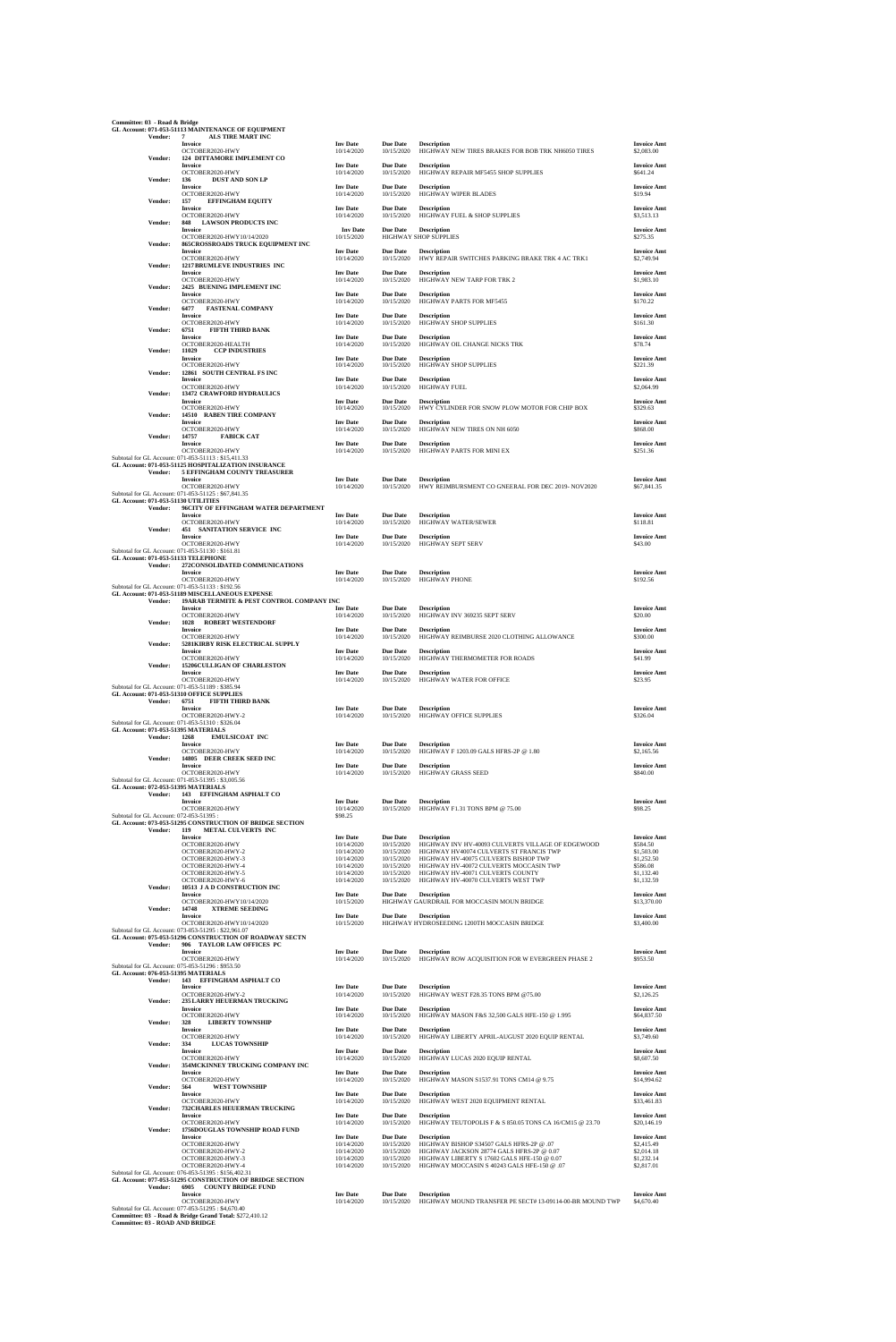**Committee: 03 - Road & Bridge GL Account: 071-053-51113 MAINTENANCE OF EQUIPMENT Vendor: 7 ALS TIRE MART INC**

| Vendor:        | Invoice<br>OCTOBER2020-HWY<br>124 DITTAMORE IMPLEMENT CO                                                                                                 | <b>Inv Date</b><br>10/14/2020          | <b>Due Date</b><br>10/15/2020          | <b>Description</b><br>HIGHWAY NEW TIRES BRAKES FOR BOB TRK NH6050 TIRES                                                                 | <b>Invoice Amt</b><br>\$2,083.00       |
|----------------|----------------------------------------------------------------------------------------------------------------------------------------------------------|----------------------------------------|----------------------------------------|-----------------------------------------------------------------------------------------------------------------------------------------|----------------------------------------|
|                | <b>Invoice</b><br>OCTOBER2020-HWY                                                                                                                        | <b>Inv Date</b><br>10/14/2020          | <b>Due Date</b><br>10/15/2020          | <b>Description</b><br>HIGHWAY REPAIR MF5455 SHOP SUPPLIES                                                                               | <b>Invoice Amt</b><br>\$641.24         |
| Vendor:        | 136<br><b>DUST AND SON LP</b><br><b>Invoice</b><br>OCTOBER2020-HWY                                                                                       | <b>Inv Date</b><br>10/14/2020          | <b>Due Date</b><br>10/15/2020          | <b>Description</b><br>HIGHWAY WIPER BLADES                                                                                              | <b>Invoice Amt</b><br>\$19.94          |
| Vendor:        | 157<br><b>EFFINGHAM EQUITY</b><br><b>Invoice</b>                                                                                                         | <b>Inv Date</b>                        | <b>Due Date</b>                        | <b>Description</b>                                                                                                                      | <b>Invoice Amt</b>                     |
| Vendor:        | OCTOBER2020-HWY<br>848<br><b>LAWSON PRODUCTS INC</b><br>Invoice                                                                                          | 10/14/2020<br><b>Inv Date</b>          | 10/15/2020<br><b>Due Date</b>          | HIGHWAY FUEL & SHOP SUPPLIES<br><b>Description</b>                                                                                      | \$3,513.13<br><b>Invoice Amt</b>       |
| Vendor:        | OCTOBER2020-HWY10/14/2020<br>865CROSSROADS TRUCK EQUIPMENT INC<br><b>Invoice</b>                                                                         | 10/15/2020<br><b>Inv Date</b>          | <b>Due Date</b>                        | HIGHWAY SHOP SUPPLIES<br><b>Description</b>                                                                                             | \$275.35<br><b>Invoice Amt</b>         |
| Vendor:        | OCTOBER2020-HWY<br><b>1217 BRUMLEVE INDUSTRIES INC</b>                                                                                                   | 10/14/2020                             | 10/15/2020                             | HWY REPAIR SWITCHES PARKING BRAKE TRK 4 AC TRK1                                                                                         | \$2,749.94                             |
| Vendor:        | <b>Invoice</b><br>OCTOBER2020-HWY<br>2425 BUENING IMPLEMENT INC                                                                                          | <b>Inv Date</b><br>10/14/2020          | <b>Due Date</b><br>10/15/2020          | <b>Description</b><br>HIGHWAY NEW TARP FOR TRK 2                                                                                        | <b>Invoice Amt</b><br>\$1,983.10       |
|                | <b>Invoice</b><br>OCTOBER2020-HWY                                                                                                                        | <b>Inv Date</b><br>10/14/2020          | <b>Due Date</b><br>10/15/2020          | <b>Description</b><br>HIGHWAY PARTS FOR MF5455                                                                                          | <b>Invoice Amt</b><br>\$170.22         |
| Vendor:        | 6477<br><b>FASTENAL COMPANY</b><br>Invoice<br>OCTOBER2020-HWY                                                                                            | <b>Inv Date</b><br>10/14/2020          | <b>Due Date</b><br>10/15/2020          | <b>Description</b><br>HIGHWAY SHOP SUPPLIES                                                                                             | <b>Invoice Amt</b><br>\$161.30         |
| Vendor:        | 6751<br><b>FIFTH THIRD BANK</b><br>Invoice<br>OCTOBER2020-HEALTH                                                                                         | <b>Inv Date</b><br>10/14/2020          | <b>Due Date</b><br>10/15/2020          | <b>Description</b><br>HIGHWAY OIL CHANGE NICKS TRK                                                                                      | <b>Invoice Amt</b><br>\$78.74          |
| Vendor:        | 11029<br><b>CCP INDUSTRIES</b><br>Invoice                                                                                                                | <b>Inv Date</b>                        | <b>Due Date</b>                        | <b>Description</b>                                                                                                                      | <b>Invoice Amt</b>                     |
| Vendor:        | OCTOBER2020-HWY<br>12861 SOUTH CENTRAL FS INC<br><b>Invoice</b>                                                                                          | 10/14/2020<br><b>Inv Date</b>          | 10/15/2020<br><b>Due Date</b>          | HIGHWAY SHOP SUPPLIES<br><b>Description</b>                                                                                             | \$221.39<br><b>Invoice Amt</b>         |
| Vendor:        | OCTOBER2020-HWY<br><b>13472 CRAWFORD HYDRAULICS</b><br><b>Invoice</b>                                                                                    | 10/14/2020<br><b>Inv Date</b>          | 10/15/2020<br><b>Due Date</b>          | <b>HIGHWAY FUEL</b><br><b>Description</b>                                                                                               | \$2,064.99<br><b>Invoice Amt</b>       |
| Vendor:        | OCTOBER2020-HWY<br>14510 RABEN TIRE COMPANY                                                                                                              | 10/14/2020                             | 10/15/2020                             | HWY CYLINDER FOR SNOW PLOW MOTOR FOR CHIP BOX                                                                                           | \$329.63                               |
| Vendor:        | <b>Invoice</b><br>OCTOBER2020-HWY<br>14757<br><b>FABICK CAT</b>                                                                                          | <b>Inv Date</b><br>10/14/2020          | <b>Due Date</b><br>10/15/2020          | <b>Description</b><br>HIGHWAY NEW TIRES ON NH 6050                                                                                      | <b>Invoice Amt</b><br>\$868.00         |
|                | <b>Invoice</b><br>OCTOBER2020-HWY                                                                                                                        | <b>Inv Date</b><br>10/14/2020          | <b>Due Date</b><br>10/15/2020          | <b>Description</b><br>HIGHWAY PARTS FOR MINI EX                                                                                         | <b>Invoice Amt</b><br>\$251.36         |
| Vendor:        | Subtotal for GL Account: 071-053-51113: \$15,411.33<br>GL Account: 071-053-51125 HOSPITALIZATION INSURANCE<br>5 EFFINGHAM COUNTY TREASURER               |                                        |                                        |                                                                                                                                         |                                        |
|                | <b>Invoice</b><br>OCTOBER2020-HWY<br>Subtotal for GL Account: 071-053-51125: \$67,841.35                                                                 | <b>Inv Date</b><br>10/14/2020          | <b>Due Date</b><br>10/15/2020          | <b>Description</b><br>HWY REIMBURSMENT CO GNEERAL FOR DEC 2019-NOV2020                                                                  | <b>Invoice Amt</b><br>\$67,841.35      |
| Vendor:        | GL Account: 071-053-51130 UTILITIES<br>96CITY OF EFFINGHAM WATER DEPARTMENT                                                                              |                                        |                                        |                                                                                                                                         |                                        |
| Vendor:        | Invoice<br>OCTOBER2020-HWY<br><b>451 SANITATION SERVICE INC</b>                                                                                          | <b>Inv Date</b><br>10/14/2020          | <b>Due Date</b><br>10/15/2020          | <b>Description</b><br>HIGHWAY WATER/SEWER                                                                                               | <b>Invoice Amt</b><br>\$118.81         |
|                | <b>Invoice</b><br>OCTOBER2020-HWY                                                                                                                        | <b>Inv</b> Date<br>10/14/2020          | <b>Due Date</b><br>10/15/2020          | <b>Description</b><br><b>HIGHWAY SEPT SERV</b>                                                                                          | <b>Invoice Amt</b><br>\$43.00          |
| Vendor:        | Subtotal for GL Account: 071-053-51130 : \$161.81<br>GL Account: 071-053-51133 TELEPHONE<br>272CONSOLIDATED COMMUNICATIONS                               |                                        |                                        |                                                                                                                                         |                                        |
|                | Invoice<br>OCTOBER2020-HWY<br>Subtotal for GL Account: 071-053-51133: \$192.56                                                                           | <b>Inv Date</b><br>10/14/2020          | <b>Due Date</b><br>10/15/2020          | <b>Description</b><br><b>HIGHWAY PHONE</b>                                                                                              | <b>Invoice Amt</b><br>\$192.56         |
|                | GL Account: 071-053-51189 MISCELLANEOUS EXPENSE<br>Vendor: 19ARAB TERMITE & PEST CONTROL COMPANY INC                                                     |                                        |                                        |                                                                                                                                         |                                        |
| Vendor:        | Invoice<br>OCTOBER2020-HWY<br>1028<br><b>ROBERT WESTENDORF</b>                                                                                           | <b>Inv Date</b><br>10/14/2020          | <b>Due Date</b><br>10/15/2020          | <b>Description</b><br>HIGHWAY INV 369235 SEPT SERV                                                                                      | <b>Invoice Amt</b><br>\$20.00          |
|                | <b>Invoice</b><br>OCTOBER2020-HWY                                                                                                                        | <b>Inv Date</b><br>10/14/2020          | <b>Due Date</b><br>10/15/2020          | <b>Description</b><br>HIGHWAY REIMBURSE 2020 CLOTHING ALLOWANCE                                                                         | <b>Invoice Amt</b><br>\$300.00         |
| Vendor:        | 5281KIRBY RISK ELECTRICAL SUPPLY<br><b>Invoice</b><br>OCTOBER2020-HWY                                                                                    | <b>Inv</b> Date<br>10/14/2020          | <b>Due Date</b><br>10/15/2020          | <b>Description</b><br>HIGHWAY THERMOMETER FOR ROADS                                                                                     | <b>Invoice Amt</b><br>\$41.99          |
| Vendor:        | 15206CULLIGAN OF CHARLESTON<br><b>Invoice</b><br>OCTOBER2020-HWY                                                                                         | <b>Inv Date</b><br>10/14/2020          | <b>Due Date</b><br>10/15/2020          | <b>Description</b><br>HIGHWAY WATER FOR OFFICE                                                                                          | <b>Invoice Amt</b><br>\$23.95          |
|                | Subtotal for GL Account: 071-053-51189: \$385.94<br>GL Account: 071-053-51310 OFFICE SUPPLIES                                                            |                                        |                                        |                                                                                                                                         |                                        |
| Vendor:        | 6751<br><b>FIFTH THIRD BANK</b><br><b>Invoice</b><br>OCTOBER2020-HWY-2                                                                                   | <b>Inv Date</b><br>10/14/2020          | <b>Due Date</b><br>10/15/2020          | <b>Description</b><br>HIGHWAY OFFICE SUPPLIES                                                                                           | <b>Invoice Amt</b><br>\$326.04         |
|                | Subtotal for GL Account: 071-053-51310 : \$326.04<br>GL Account: 071-053-51395 MATERIALS<br><b>EMULSICOAT INC</b>                                        |                                        |                                        |                                                                                                                                         |                                        |
| Vendor:        | 1268<br>Invoice<br>OCTOBER2020-HWY                                                                                                                       | <b>Inv Date</b><br>10/14/2020          | <b>Due Date</b><br>10/15/2020          | <b>Description</b><br>HIGHWAY F 1203.09 GALS HFRS-2P @ 1.80                                                                             | <b>Invoice Amt</b><br>\$2,165.56       |
| Vendor:        | 14805 DEER CREEK SEED INC<br><b>Invoice</b><br>OCTOBER2020-HWY                                                                                           | <b>Inv Date</b><br>10/14/2020          | <b>Due Date</b><br>10/15/2020          | <b>Description</b><br>HIGHWAY GRASS SEED                                                                                                | <b>Invoice Amt</b><br>\$840.00         |
|                | Subtotal for GL Account: 071-053-51395: \$3,005.56<br>GL Account: 072-053-51395 MATERIALS                                                                |                                        |                                        |                                                                                                                                         |                                        |
| Vendor:        | 143 EFFINGHAM ASPHALT CO<br><b>Invoice</b><br>OCTOBER2020-HWY                                                                                            | <b>Inv Date</b><br>10/14/2020          | <b>Due Date</b><br>10/15/2020          | <b>Description</b><br>HIGHWAY F1.31 TONS BPM @ 75.00                                                                                    | <b>Invoice Amt</b><br>\$98.25          |
| <b>Vendor:</b> | Subtotal for GL Account: 072-053-51395 :<br>GL Account: 073-053-51295 CONSTRUCTION OF BRIDGE SECTION<br>119<br>METAL CULVERTS INC                        | \$98.25                                |                                        |                                                                                                                                         |                                        |
|                | Invoice<br>OCTOBER2020-HWY                                                                                                                               | <b>Inv Date</b><br>10/14/2020          | <b>Due Date</b><br>10/15/2020          | <b>Description</b><br>HIGHWAY INV HV-40093 CULVERTS VILLAGE OF EDGEWOOD                                                                 | <b>Invoice Amt</b><br>\$584.50         |
|                | OCTOBER2020-HWY-2<br>OCTOBER2020-HWY-3<br>OCTOBER2020-HWY-4                                                                                              | 10/14/2020<br>10/14/2020<br>10/14/2020 | 10/15/2020<br>10/15/2020<br>10/15/2020 | HIGHWAY HV40074 CULVERTS ST FRANCIS TWP<br>HIGHWAY HV-40075 CULVERTS BISHOP TWP<br>HIGHWAY HV-40072 CULVERTS MOCCASIN TWP               | \$1,503.00<br>\$1,252.50<br>\$586.08   |
|                | OCTOBER2020-HWY-5<br>OCTOBER2020-HWY-6                                                                                                                   | 10/14/2020<br>10/14/2020               | 10/15/2020<br>10/15/2020               | HIGHWAY HV-40071 CULVERTS COUNTY<br>HIGHWAY HV-40070 CULVERTS WEST TWP                                                                  | \$1,132.40<br>\$1,132.59               |
| Vendor:        | 10513 J A D CONSTRUCTION INC<br><b>Invoice</b><br>OCTOBER2020-HWY10/14/2020                                                                              | <b>Inv Date</b><br>10/15/2020          | <b>Due Date</b>                        | <b>Description</b><br>HIGHWAY GAURDRAIL FOR MOCCASIN MOUN BRIDGE                                                                        | <b>Invoice Amt</b><br>\$13,370.00      |
| Vendor:        | 14748<br><b>XTREME SEEDING</b><br><b>Invoice</b><br>OCTOBER2020-HWY10/14/2020                                                                            | <b>Inv Date</b><br>10/15/2020          | <b>Due Date</b>                        | <b>Description</b><br>HIGHWAY HYDROSEEDING 1200TH MOCCASIN BRIDGE                                                                       | <b>Invoice Amt</b><br>\$3,400.00       |
|                | Subtotal for GL Account: 073-053-51295: \$22,961.07<br>GL Account: 075-053-51296 CONSTRUCTION OF ROADWAY SECTN                                           |                                        |                                        |                                                                                                                                         |                                        |
| Vendor:        | 906 TAYLOR LAW OFFICES PC<br>Invoice<br>OCTOBER2020-HWY                                                                                                  | <b>Inv Date</b><br>10/14/2020          | <b>Due Date</b><br>10/15/2020          | <b>Description</b><br>HIGHWAY ROW ACQUISITION FOR W EVERGREEN PHASE 2                                                                   | <b>Invoice Amt</b><br>\$953.50         |
|                | Subtotal for GL Account: 075-053-51296 : \$953.50<br>GL Account: 076-053-51395 MATERIALS                                                                 |                                        |                                        |                                                                                                                                         |                                        |
| Vendor:        | 143 EFFINGHAM ASPHALT CO<br><b>Invoice</b><br>OCTOBER2020-HWY-2                                                                                          | <b>Inv Date</b><br>10/14/2020          | <b>Due Date</b><br>10/15/2020          | <b>Description</b><br>HIGHWAY WEST F28.35 TONS BPM @75.00                                                                               | <b>Invoice Amt</b><br>\$2,126.25       |
| Vendor:        | 235 LARRY HEUERMAN TRUCKING<br>Invoice<br>OCTOBER2020-HWY                                                                                                | <b>Inv Date</b><br>10/14/2020          | <b>Due Date</b><br>10/15/2020          | <b>Description</b><br>HIGHWAY MASON F&S 32,500 GALS HFE-150 @ 1.995                                                                     | <b>Invoice Amt</b><br>\$64,837.50      |
| Vendor:        | 328<br><b>LIBERTY TOWNSHIP</b><br><b>Invoice</b>                                                                                                         | <b>Inv Date</b>                        | <b>Due Date</b>                        | <b>Description</b>                                                                                                                      | <b>Invoice Amt</b>                     |
| Vendor:        | OCTOBER2020-HWY<br>334<br><b>LUCAS TOWNSHIP</b><br>Invoice                                                                                               | 10/14/2020<br><b>Inv Date</b>          | 10/15/2020<br><b>Due Date</b>          | HIGHWAY LIBERTY APRIL-AUGUST 2020 EQUIP RENTAL<br><b>Description</b>                                                                    | \$3,749.60<br><b>Invoice Amt</b>       |
| Vendor:        | OCTOBER2020-HWY<br>354MCKINNEY TRUCKING COMPANY INC                                                                                                      | 10/14/2020                             | 10/15/2020                             | HIGHWAY LUCAS 2020 EQUIP RENTAL                                                                                                         | \$8,607.50                             |
| Vendor:        | Invoice<br>OCTOBER2020-HWY<br><b>WEST TOWNSHIP</b><br>564                                                                                                | <b>Inv Date</b><br>10/14/2020          | <b>Due Date</b><br>10/15/2020          | <b>Description</b><br>HIGHWAY MASON S1537.91 TONS CM14 @ 9.75                                                                           | <b>Invoice Amt</b><br>\$14,994.62      |
| Vendor:        | Invoice<br>OCTOBER2020-HWY<br>732CHARLES HEUERMAN TRUCKING                                                                                               | <b>Inv Date</b><br>10/14/2020          | <b>Due Date</b><br>10/15/2020          | <b>Description</b><br>HIGHWAY WEST 2020 EQUIPMENT RENTAL                                                                                | <b>Invoice Amt</b><br>\$33,461.83      |
|                | <b>Invoice</b><br>OCTOBER2020-HWY                                                                                                                        | <b>Inv</b> Date<br>10/14/2020          | <b>Due Date</b><br>10/15/2020          | <b>Description</b><br>HIGHWAY TEUTOPOLIS F & S 850.05 TONS CA 16/CM15 @ 23.70                                                           | <b>Invoice Amt</b><br>\$20,146.19      |
| Vendor:        | 1756DOUGLAS TOWNSHIP ROAD FUND<br><b>Invoice</b><br>OCTOBER2020-HWY                                                                                      | <b>Inv Date</b><br>10/14/2020          | <b>Due Date</b><br>10/15/2020          | <b>Description</b><br>HIGHWAY BISHOP S34507 GALS HFRS-2P @ .07                                                                          | <b>Invoice Amt</b><br>\$2,415.49       |
|                | OCTOBER2020-HWY-2<br>OCTOBER2020-HWY-3<br>OCTOBER2020-HWY-4                                                                                              | 10/14/2020<br>10/14/2020<br>10/14/2020 | 10/15/2020<br>10/15/2020<br>10/15/2020 | HIGHWAY JACKSON 28774 GALS HFRS-2P @ 0.07<br>HIGHWAY LIBERTY S 17602 GALS HFE-150 @ 0.07<br>HIGHWAY MOCCASIN S 40243 GALS HFE-150 @ .07 | \$2,014.18<br>\$1,232.14<br>\$2,817.01 |
|                | Subtotal for GL Account: 076-053-51395: \$156,402.31<br>GL Account: 077-053-51295 CONSTRUCTION OF BRIDGE SECTION                                         |                                        |                                        |                                                                                                                                         |                                        |
| Vendor:        | 6905 COUNTY BRIDGE FUND<br><b>Invoice</b><br>OCTOBER2020-HWY                                                                                             | <b>Inv Date</b><br>10/14/2020          | <b>Due Date</b><br>10/15/2020          | <b>Description</b><br>HIGHWAY MOUND TRANSFER PE SECT#13-09114-00-BR MOUND TWP                                                           | <b>Invoice Amt</b><br>\$4,670.40       |
|                | Subtotal for GL Account: 077-053-51295 : \$4,670.40<br>Committee: 03 - Road & Bridge Grand Total: \$272,410.12<br><b>Committee: 03 - ROAD AND BRIDGE</b> |                                        |                                        |                                                                                                                                         |                                        |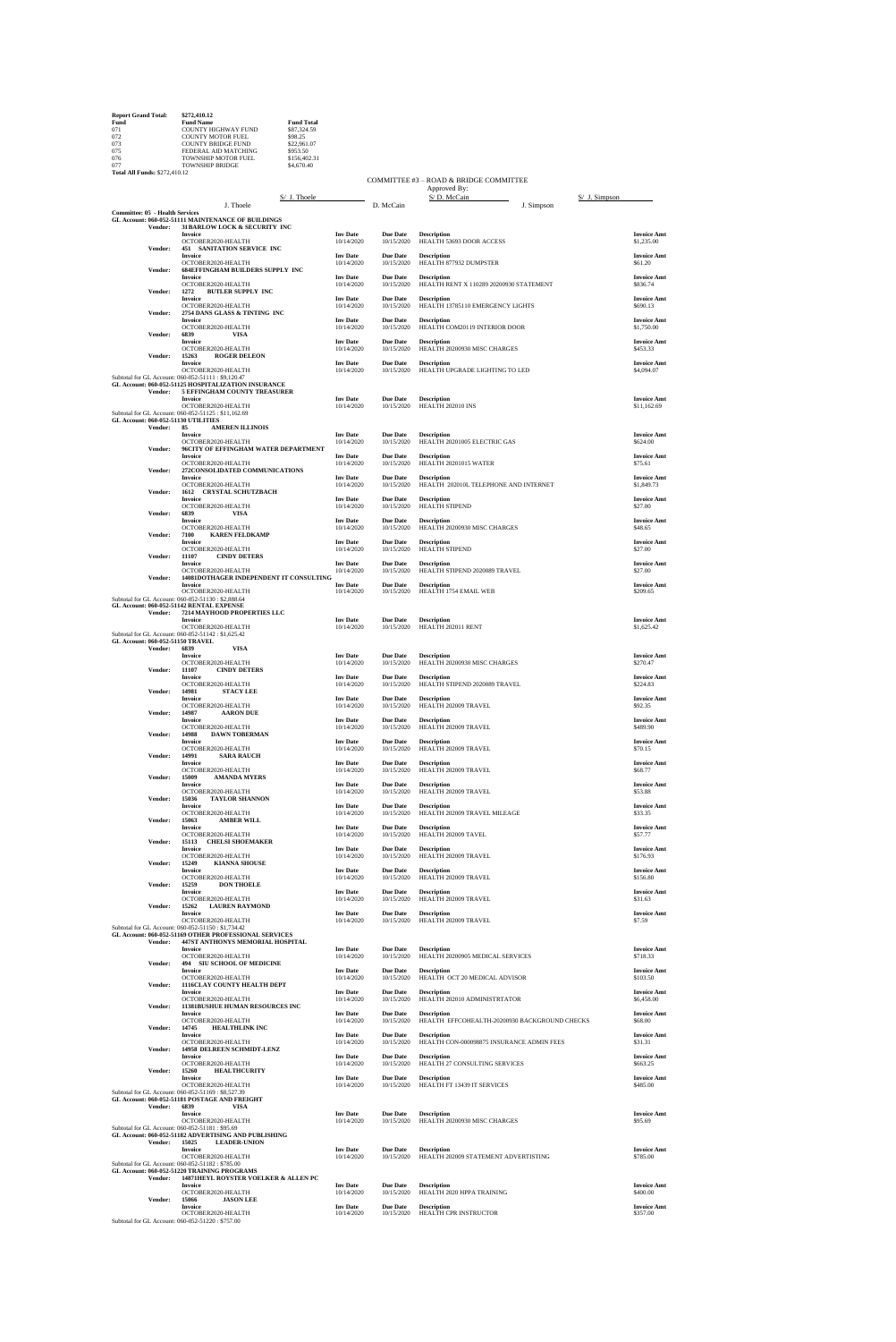| <b>Report Grand Total:</b>                                                                                    | \$272,410.12               |                   |
|---------------------------------------------------------------------------------------------------------------|----------------------------|-------------------|
| Fund                                                                                                          | <b>Fund Name</b>           | <b>Fund Total</b> |
| 071                                                                                                           | <b>COUNTY HIGHWAY FUND</b> | \$87,324.59       |
| 072                                                                                                           | <b>COUNTY MOTOR FUEL</b>   | \$98.25           |
| 073                                                                                                           | <b>COUNTY BRIDGE FUND</b>  | \$22,961.07       |
| 075                                                                                                           | FEDERAL AID MATCHING       | \$953.50          |
| 076                                                                                                           | <b>TOWNSHIP MOTOR FUEL</b> | \$156,402.31      |
| 077                                                                                                           | <b>TOWNSHIP BRIDGE</b>     | \$4,670.40        |
| $T_{1}$ , $t_{2}$ , $T_{2}$ , $T_{3}$ , $T_{4}$ , $T_{5}$ , $T_{6}$ , $T_{7}$ , $T_{8}$ , $T_{10}$ , $T_{11}$ |                            |                   |

| <b>Total All Funds: \$272,410.12</b>   |                                                                                                                                 |                               |                               |                                                               |                                   |
|----------------------------------------|---------------------------------------------------------------------------------------------------------------------------------|-------------------------------|-------------------------------|---------------------------------------------------------------|-----------------------------------|
|                                        |                                                                                                                                 |                               |                               | COMMITTEE #3 - ROAD & BRIDGE COMMITTEE<br>Approved By:        |                                   |
|                                        | S/ J. Thoele                                                                                                                    |                               |                               | S/D. McCain                                                   | $S/$ J. Simpson                   |
| <b>Committee: 05 - Health Services</b> | J. Thoele                                                                                                                       |                               | D. McCain                     | J. Simpson                                                    |                                   |
| Vendor:                                | GL Account: 060-052-51111 MAINTENANCE OF BUILDINGS<br>31 BARLOW LOCK & SECURITY INC                                             |                               |                               |                                                               |                                   |
| Vendor:                                | <b>Invoice</b><br>OCTOBER2020-HEALTH<br><b>451 SANITATION SERVICE INC</b>                                                       | <b>Inv Date</b><br>10/14/2020 | <b>Due Date</b><br>10/15/2020 | <b>Description</b><br>HEALTH 53693 DOOR ACCESS                | <b>Invoice Amt</b><br>\$1,235.00  |
|                                        | <b>Invoice</b><br>OCTOBER2020-HEALTH                                                                                            | <b>Inv Date</b><br>10/14/2020 | <b>Due Date</b><br>10/15/2020 | <b>Description</b><br>HEALTH 877932 DUMPSTER                  | <b>Invoice Amt</b><br>\$61.20     |
| Vendor:                                | <b>684EFFINGHAM BUILDERS SUPPLY INC</b><br><b>Invoice</b><br>OCTOBER2020-HEALTH                                                 | <b>Inv Date</b><br>10/14/2020 | <b>Due Date</b><br>10/15/2020 | <b>Description</b><br>HEALTH RENT X 110289 20200930 STATEMENT | <b>Invoice Amt</b><br>\$836.74    |
| Vendor:                                | <b>BUTLER SUPPLY INC</b><br>1272<br><b>Invoice</b><br>OCTOBER2020-HEALTH                                                        | <b>Inv Date</b><br>10/14/2020 | <b>Due Date</b><br>10/15/2020 | <b>Description</b><br>HEALTH 13785110 EMERGENCY LIGHTS        | <b>Invoice Amt</b><br>\$690.13    |
| Vendor:                                | 2754 DANS GLASS & TINTING INC<br><b>Invoice</b>                                                                                 | <b>Inv Date</b>               | <b>Due Date</b>               | <b>Description</b>                                            | <b>Invoice Amt</b>                |
| Vendor:                                | OCTOBER2020-HEALTH<br>6839<br>VISA<br><b>Invoice</b>                                                                            | 10/14/2020<br><b>Inv Date</b> | 10/15/2020<br><b>Due Date</b> | HEALTH COM20119 INTERIOR DOOR<br><b>Description</b>           | \$1,750.00<br><b>Invoice Amt</b>  |
| Vendor:                                | OCTOBER2020-HEALTH<br>15263<br><b>ROGER DELEON</b><br><b>Invoice</b>                                                            | 10/14/2020<br><b>Inv Date</b> | 10/15/2020<br><b>Due Date</b> | HEALTH 20200930 MISC CHARGES<br><b>Description</b>            | \$453.33<br><b>Invoice Amt</b>    |
|                                        | OCTOBER2020-HEALTH<br>Subtotal for GL Account: 060-052-51111: \$9,120.47<br>GL Account: 060-052-51125 HOSPITALIZATION INSURANCE | 10/14/2020                    | 10/15/2020                    | HEALTH UPGRADE LIGHTING TO LED                                | \$4,094.07                        |
| Vendor:                                | 5 EFFINGHAM COUNTY TREASURER                                                                                                    |                               |                               |                                                               |                                   |
|                                        | <b>Invoice</b><br>OCTOBER2020-HEALTH                                                                                            | <b>Inv Date</b><br>10/14/2020 | <b>Due Date</b><br>10/15/2020 | <b>Description</b><br>HEALTH 202010 INS                       | <b>Invoice Amt</b><br>\$11,162.69 |
|                                        | Subtotal for GL Account: 060-052-51125: \$11,162.69<br>GL Account: 060-052-51130 UTILITIES                                      |                               |                               |                                                               |                                   |
| Vendor:                                | 85<br><b>AMEREN ILLINOIS</b><br>Invoice                                                                                         | <b>Inv Date</b>               | <b>Due Date</b>               | <b>Description</b>                                            | <b>Invoice Amt</b>                |
| Vendor:                                | OCTOBER2020-HEALTH<br>96CITY OF EFFINGHAM WATER DEPARTMENT<br><b>Invoice</b>                                                    | 10/14/2020<br><b>Inv Date</b> | 10/15/2020<br><b>Due Date</b> | HEALTH 20201005 ELECTRIC GAS<br><b>Description</b>            | \$624.00<br><b>Invoice Amt</b>    |
| Vendor:                                | OCTOBER2020-HEALTH<br>272CONSOLIDATED COMMUNICATIONS<br><b>Invoice</b>                                                          | 10/14/2020<br><b>Inv Date</b> | 10/15/2020<br><b>Due Date</b> | HEALTH 20201015 WATER<br><b>Description</b>                   | \$75.61<br><b>Invoice Amt</b>     |
| Vendor:                                | OCTOBER2020-HEALTH<br>1612 CRYSTAL SCHUTZBACH                                                                                   | 10/14/2020                    | 10/15/2020                    | HEALTH 202010L TELEPHONE AND INTERNET                         | \$1,849.73                        |
| Vendor:                                | <b>Invoice</b><br>OCTOBER2020-HEALTH<br>6839<br><b>VISA</b>                                                                     | <b>Inv Date</b><br>10/14/2020 | <b>Due Date</b><br>10/15/2020 | <b>Description</b><br><b>HEALTH STIPEND</b>                   | <b>Invoice Amt</b><br>\$27.00     |
| Vendor:                                | <b>Invoice</b><br>OCTOBER2020-HEALTH<br>7100<br><b>KAREN FELDKAMP</b>                                                           | <b>Inv Date</b><br>10/14/2020 | <b>Due Date</b><br>10/15/2020 | <b>Description</b><br>HEALTH 20200930 MISC CHARGES            | <b>Invoice Amt</b><br>\$48.65     |
| Vendor:                                | <b>Invoice</b><br>OCTOBER2020-HEALTH<br>11107<br><b>CINDY DETERS</b>                                                            | <b>Inv Date</b><br>10/14/2020 | <b>Due Date</b><br>10/15/2020 | <b>Description</b><br><b>HEALTH STIPEND</b>                   | <b>Invoice Amt</b><br>\$27.00     |
| Vendor:                                | <b>Invoice</b><br>OCTOBER2020-HEALTH<br>14081DOTHAGER INDEPENDENT IT CONSULTING                                                 | <b>Inv Date</b><br>10/14/2020 | <b>Due Date</b><br>10/15/2020 | <b>Description</b><br>HEALTH STIPEND 2020089 TRAVEL           | <b>Invoice Amt</b><br>\$27.00     |
|                                        | <b>Invoice</b><br>OCTOBER2020-HEALTH                                                                                            | <b>Inv Date</b><br>10/14/2020 | <b>Due Date</b><br>10/15/2020 | <b>Description</b><br>HEALTH 1754 EMAIL WEB                   | <b>Invoice Amt</b><br>\$209.65    |
|                                        | Subtotal for GL Account: 060-052-51130: \$2,888.64<br>GL Account: 060-052-51142 RENTAL EXPENSE                                  |                               |                               |                                                               |                                   |
| Vendor:                                | 7214 MAYHOOD PROPERTIES LLC<br><b>Invoice</b>                                                                                   | <b>Inv Date</b>               | <b>Due Date</b>               | <b>Description</b>                                            | <b>Invoice Amt</b>                |
|                                        | OCTOBER2020-HEALTH<br>Subtotal for GL Account: 060-052-51142: \$1,625.42<br>GL Account: 060-052-51150 TRAVEL                    | 10/14/2020                    | 10/15/2020                    | HEALTH 202011 RENT                                            | \$1,625.42                        |
| Vendor:                                | 6839<br><b>VISA</b><br><b>Invoice</b>                                                                                           | <b>Inv Date</b>               | <b>Due Date</b>               | <b>Description</b>                                            | <b>Invoice Amt</b>                |
| Vendor:                                | OCTOBER2020-HEALTH<br>11107<br><b>CINDY DETERS</b>                                                                              | 10/14/2020                    | 10/15/2020                    | HEALTH 20200930 MISC CHARGES                                  | \$270.47                          |
| Vendor:                                | <b>Invoice</b><br>OCTOBER2020-HEALTH<br>14981<br><b>STACY LEE</b>                                                               | <b>Inv Date</b><br>10/14/2020 | <b>Due Date</b><br>10/15/2020 | <b>Description</b><br>HEALTH STIPEND 2020089 TRAVEL           | <b>Invoice Amt</b><br>\$224.83    |
| Vendor:                                | <b>Invoice</b><br>OCTOBER2020-HEALTH<br>14987<br><b>AARON DUE</b>                                                               | <b>Inv Date</b><br>10/14/2020 | <b>Due Date</b><br>10/15/2020 | <b>Description</b><br>HEALTH 202009 TRAVEL                    | <b>Invoice Amt</b><br>\$92.35     |
| Vendor:                                | Invoice<br>OCTOBER2020-HEALTH<br>14988<br><b>DAWN TOBERMAN</b>                                                                  | <b>Inv Date</b><br>10/14/2020 | <b>Due Date</b><br>10/15/2020 | <b>Description</b><br>HEALTH 202009 TRAVEL                    | <b>Invoice Amt</b><br>\$489.90    |
| Vendor:                                | <b>Invoice</b><br>OCTOBER2020-HEALTH<br>14991<br><b>SARA RAUCH</b>                                                              | <b>Inv</b> Date<br>10/14/2020 | <b>Due Date</b><br>10/15/2020 | <b>Description</b><br>HEALTH 202009 TRAVEL                    | <b>Invoice Amt</b><br>\$70.15     |
|                                        | <b>Invoice</b><br>OCTOBER2020-HEALTH                                                                                            | <b>Inv Date</b><br>10/14/2020 | <b>Due Date</b><br>10/15/2020 | <b>Description</b><br>HEALTH 202009 TRAVEL                    | <b>Invoice Amt</b><br>\$68.77     |
| Vendor:                                | 15009<br><b>AMANDA MYERS</b><br><b>Invoice</b><br>OCTOBER2020-HEALTH                                                            | <b>Inv Date</b><br>10/14/2020 | <b>Due Date</b><br>10/15/2020 | <b>Description</b><br>HEALTH 202009 TRAVEL                    | <b>Invoice Amt</b><br>\$53.88     |
| Vendor:                                | 15036<br><b>TAYLOR SHANNON</b><br><b>Invoice</b><br>OCTOBER2020-HEALTH                                                          | <b>Inv Date</b><br>10/14/2020 | <b>Due Date</b><br>10/15/2020 | <b>Description</b><br>HEALTH 202009 TRAVEL MILEAGE            | <b>Invoice Amt</b><br>\$33.35     |
| Vendor:                                | 15063<br><b>AMBER WILL</b><br>Invoice<br>OCTOBER2020-HEALTH                                                                     | <b>Inv Date</b><br>10/14/2020 | <b>Due Date</b><br>10/15/2020 | <b>Description</b><br>HEALTH 202009 TAVEL                     | <b>Invoice Amt</b><br>\$57.77     |
| Vendor:                                | 15113<br><b>CHELSI SHOEMAKER</b><br><b>Invoice</b><br>OCTOBER2020-HEALTH                                                        | <b>Inv Date</b><br>10/14/2020 | <b>Due Date</b><br>10/15/2020 | <b>Description</b><br>HEALTH 202009 TRAVEL                    | <b>Invoice Amt</b><br>\$176.93    |
| Vendor:                                | 15249<br><b>KIANNA SHOUSE</b><br><b>Invoice</b>                                                                                 | <b>Inv Date</b>               | <b>Due Date</b>               | <b>Description</b>                                            | <b>Invoice Amt</b>                |
|                                        | OCTOBER2020-HEALTH                                                                                                              | 10/14/2020                    | 10/15/2020                    | HEALTH 202009 TRAVEL                                          | \$156.80                          |

**Vendor: 15259 DON THOELE**

**Invoice Inv Date Due Date Description Invoice Amt** OCTOBER2020-HEALTH 10/14/2020 10/15/2020 HEALTH 202009 TRAVEL \$31.63

**Vendor: 15262 LAUREN RAYMOND Invoice Inv Date Due Date Description Invoice Amt** OCTOBER2020-HEALTH 10/14/2020 10/15/2020 HEALTH 202009 TRAVEL \$7.59

|         | Subtotal for GL Account: 060-052-51150 : \$1,734.42   |                 |                 |                                               |                    |
|---------|-------------------------------------------------------|-----------------|-----------------|-----------------------------------------------|--------------------|
|         | GL Account: 060-052-51169 OTHER PROFESSIONAL SERVICES |                 |                 |                                               |                    |
| Vendor: | 447ST ANTHONYS MEMORIAL HOSPITAL                      |                 |                 |                                               |                    |
|         | <b>Invoice</b>                                        | <b>Inv</b> Date | Due Date        | <b>Description</b>                            | <b>Invoice Amt</b> |
|         | OCTOBER2020-HEALTH                                    | 10/14/2020      | 10/15/2020      | HEALTH 20200905 MEDICAL SERVICES              | \$718.33           |
| Vendor: | <b>494 SIU SCHOOL OF MEDICINE</b>                     |                 |                 |                                               |                    |
|         | <b>Invoice</b>                                        | <b>Inv Date</b> | Due Date        | <b>Description</b>                            | <b>Invoice Amt</b> |
|         | OCTOBER2020-HEALTH                                    | 10/14/2020      | 10/15/2020      | HEALTH OCT 20 MEDICAL ADVISOR                 | \$103.50           |
| Vendor: | <b>1116CLAY COUNTY HEALTH DEPT</b>                    |                 |                 |                                               |                    |
|         | <b>Invoice</b>                                        | <b>Inv</b> Date | <b>Due Date</b> | <b>Description</b>                            | <b>Invoice Amt</b> |
|         | OCTOBER2020-HEALTH                                    | 10/14/2020      | 10/15/2020      | HEALTH 202010 ADMINISTRTATOR                  | \$6,458.00         |
| Vendor: | <b>11381BUSHUE HUMAN RESOURCES INC</b>                |                 |                 |                                               |                    |
|         | <b>Invoice</b>                                        | <b>Inv Date</b> | <b>Due Date</b> | <b>Description</b>                            | <b>Invoice Amt</b> |
|         | OCTOBER2020-HEALTH                                    | 10/14/2020      | 10/15/2020      | HEALTH EFFCOHEALTH-20200930 BACKGROUND CHECKS | \$68.00            |
| Vendor: | 14745<br><b>HEALTHLINK INC</b>                        |                 |                 |                                               |                    |
|         | <b>Invoice</b>                                        | <b>Inv</b> Date | <b>Due Date</b> | <b>Description</b>                            | <b>Invoice Amt</b> |
|         | OCTOBER2020-HEALTH                                    | 10/14/2020      | 10/15/2020      | HEALTH CON-000098875 INSURANCE ADMIN FEES     | \$31.31            |
| Vendor: | <b>14958 DELREEN SCHMIDT-LENZ</b>                     |                 |                 |                                               |                    |
|         | <b>Invoice</b>                                        | <b>Inv</b> Date | <b>Due Date</b> | <b>Description</b>                            | <b>Invoice Amt</b> |
|         | OCTOBER2020-HEALTH                                    | 10/14/2020      | 10/15/2020      | HEALTH 27 CONSULTING SERVICES                 | \$663.25           |
| Vendor: | 15260<br><b>HEALTHCURITY</b>                          |                 |                 |                                               |                    |
|         | <b>Invoice</b>                                        | <b>Inv</b> Date | <b>Due Date</b> | <b>Description</b>                            | <b>Invoice Amt</b> |
|         | OCTOBER2020-HEALTH                                    | 10/14/2020      | 10/15/2020      | HEALTH FT 13439 IT SERVICES                   | \$485.00           |
|         | Subtotal for GL Account: 060-052-51169 : \$8,527.39   |                 |                 |                                               |                    |
|         | GL Account: 060-052-51181 POSTAGE AND FREIGHT         |                 |                 |                                               |                    |
| Vendor: | 6839<br><b>VISA</b>                                   |                 |                 |                                               |                    |
|         | <b>Invoice</b>                                        | <b>Inv Date</b> | <b>Due Date</b> | <b>Description</b>                            | <b>Invoice Amt</b> |
|         | OCTOBER2020-HEALTH                                    | 10/14/2020      | 10/15/2020      | HEALTH 20200930 MISC CHARGES                  | \$95.69            |
|         | Subtotal for GL Account: 060-052-51181 : \$95.69      |                 |                 |                                               |                    |
|         | GL Account: 060-052-51182 ADVERTISING AND PUBLISHING  |                 |                 |                                               |                    |
| Vendor: | 15025<br><b>LEADER-UNION</b>                          |                 |                 |                                               |                    |
|         | <b>Invoice</b>                                        | <b>Inv</b> Date | <b>Due Date</b> | <b>Description</b>                            | <b>Invoice Amt</b> |
|         | OCTOBER2020-HEALTH                                    | 10/14/2020      | 10/15/2020      | HEALTH 202009 STATEMENT ADVERTISTING          | \$785.00           |
|         | Subtotal for GL Account: 060-052-51182 : \$785.00     |                 |                 |                                               |                    |
|         | GL Account: 060-052-51220 TRAINING PROGRAMS           |                 |                 |                                               |                    |
| Vendor: | <b>14871HEYL ROYSTER VOELKER &amp; ALLEN PC</b>       |                 |                 |                                               |                    |
|         | <b>Invoice</b>                                        | <b>Inv Date</b> | <b>Due Date</b> | <b>Description</b>                            | <b>Invoice Amt</b> |
|         | OCTOBER2020-HEALTH                                    | 10/14/2020      | 10/15/2020      | HEALTH 2020 HPPA TRAINING                     | \$400.00           |
| Vendor: | 15066<br><b>JASON LEE</b>                             |                 |                 |                                               |                    |
|         | <b>Invoice</b>                                        | <b>Inv Date</b> | <b>Due Date</b> | <b>Description</b>                            | <b>Invoice Amt</b> |
|         | OCTOBER2020-HEALTH                                    | 10/14/2020      | 10/15/2020      | <b>HEALTH CPR INSTRUCTOR</b>                  | \$357.00           |
|         |                                                       |                 |                 |                                               |                    |

Subtotal for GL Account: 060-052-51220 : \$757.00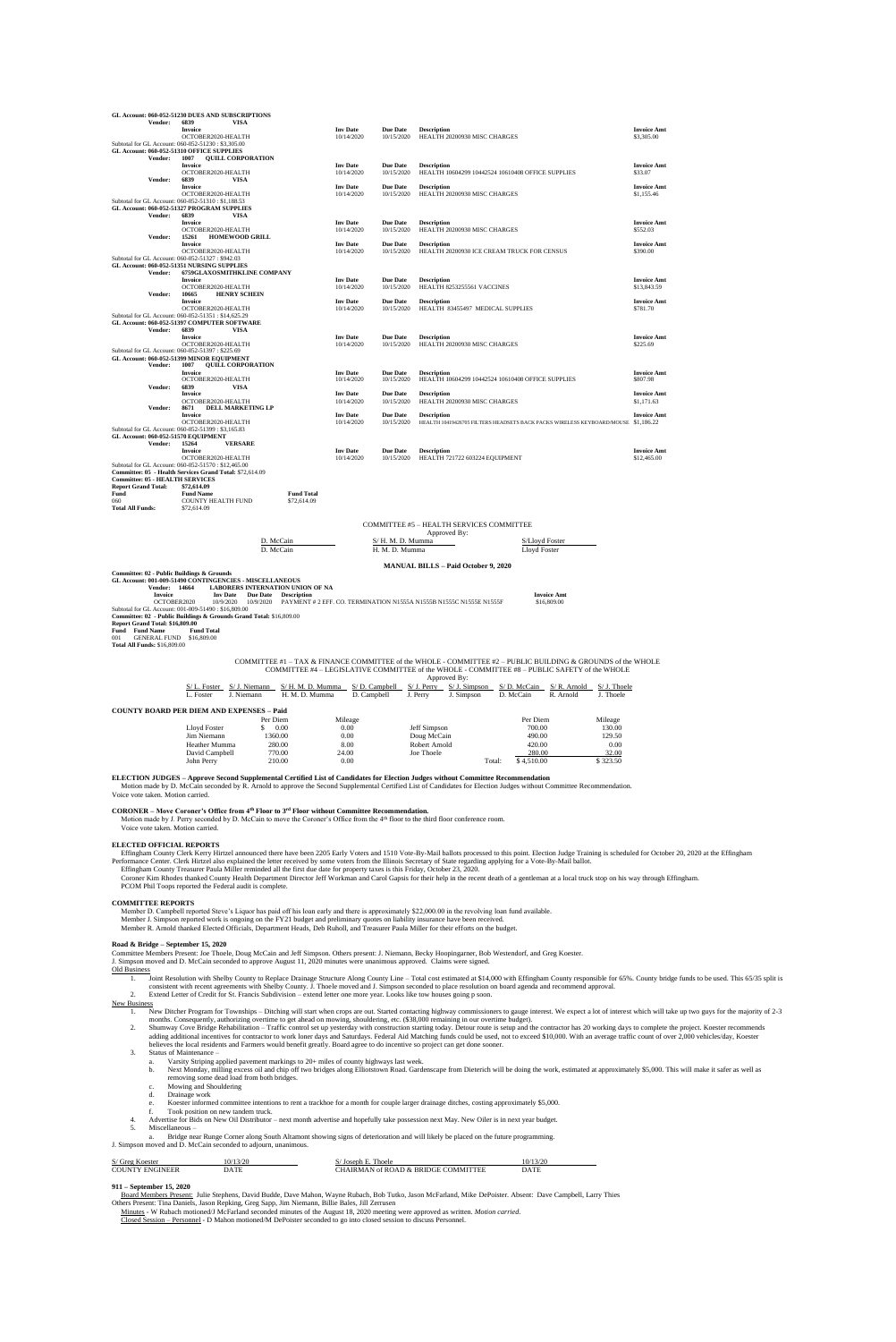| <b>Vendor:</b>                                    | GL Account: 060-052-51230 DUES AND SUBSCRIPTIONS<br>6839<br>VISA                                                 |                                                                                                             |                               |                               |                              |                                                |                                                                                   |                                              |                |                                   |
|---------------------------------------------------|------------------------------------------------------------------------------------------------------------------|-------------------------------------------------------------------------------------------------------------|-------------------------------|-------------------------------|------------------------------|------------------------------------------------|-----------------------------------------------------------------------------------|----------------------------------------------|----------------|-----------------------------------|
|                                                   | Invoice                                                                                                          |                                                                                                             | <b>Inv</b> Date               | <b>Due Date</b>               | <b>Description</b>           |                                                |                                                                                   |                                              |                | <b>Invoice Amt</b>                |
|                                                   | OCTOBER2020-HEALTH<br>Subtotal for GL Account: 060-052-51230: \$3,305.00                                         |                                                                                                             | 10/14/2020                    | 10/15/2020                    |                              | HEALTH 20200930 MISC CHARGES                   |                                                                                   |                                              |                | \$3,305.00                        |
| GL Account: 060-052-51310 OFFICE SUPPLIES         |                                                                                                                  |                                                                                                             |                               |                               |                              |                                                |                                                                                   |                                              |                |                                   |
| Vendor:                                           | 1007<br><b>QUILL CORPORATION</b><br><b>Invoice</b>                                                               |                                                                                                             | <b>Inv Date</b>               | Due Date                      | <b>Description</b>           |                                                |                                                                                   |                                              |                | <b>Invoice Amt</b>                |
|                                                   | OCTOBER2020-HEALTH                                                                                               |                                                                                                             | 10/14/2020                    | 10/15/2020                    |                              |                                                | HEALTH 10604299 10442524 10610408 OFFICE SUPPLIES                                 |                                              |                | \$33.07                           |
| Vendor:                                           | 6839<br>VISA<br>Invoice                                                                                          |                                                                                                             | <b>Inv Date</b>               | <b>Due Date</b>               | <b>Description</b>           |                                                |                                                                                   |                                              |                | <b>Invoice Amt</b>                |
|                                                   | OCTOBER2020-HEALTH                                                                                               |                                                                                                             | 10/14/2020                    | 10/15/2020                    |                              | HEALTH 20200930 MISC CHARGES                   |                                                                                   |                                              |                | \$1,155.46                        |
|                                                   | Subtotal for GL Account: 060-052-51310: \$1,188.53                                                               |                                                                                                             |                               |                               |                              |                                                |                                                                                   |                                              |                |                                   |
| Vendor:                                           | GL Account: 060-052-51327 PROGRAM SUPPLIES<br>6839<br><b>VISA</b>                                                |                                                                                                             |                               |                               |                              |                                                |                                                                                   |                                              |                |                                   |
|                                                   | Invoice                                                                                                          |                                                                                                             | <b>Inv Date</b>               | <b>Due Date</b>               | <b>Description</b>           |                                                |                                                                                   |                                              |                | <b>Invoice Amt</b>                |
| Vendor:                                           | OCTOBER2020-HEALTH<br><b>HOMEWOOD GRILL</b><br>15261                                                             |                                                                                                             | 10/14/2020                    | 10/15/2020                    |                              | HEALTH 20200930 MISC CHARGES                   |                                                                                   |                                              |                | \$552.03                          |
|                                                   | Invoice                                                                                                          |                                                                                                             | <b>Inv Date</b>               | <b>Due Date</b>               | <b>Description</b>           |                                                |                                                                                   |                                              |                | <b>Invoice Amt</b>                |
| Subtotal for GL Account: 060-052-51327: \$942.03  | OCTOBER2020-HEALTH                                                                                               |                                                                                                             | 10/14/2020                    | 10/15/2020                    |                              |                                                | HEALTH 20200930 ICE CREAM TRUCK FOR CENSUS                                        |                                              |                | \$390.00                          |
|                                                   | GL Account: 060-052-51351 NURSING SUPPLIES                                                                       |                                                                                                             |                               |                               |                              |                                                |                                                                                   |                                              |                |                                   |
| Vendor:                                           | <b>6759GLAXOSMITHKLINE COMPANY</b>                                                                               |                                                                                                             | <b>Inv Date</b>               | <b>Due Date</b>               |                              |                                                |                                                                                   |                                              |                |                                   |
|                                                   | Invoice<br>OCTOBER2020-HEALTH                                                                                    |                                                                                                             | 10/14/2020                    | 10/15/2020                    | <b>Description</b>           | HEALTH 8253255561 VACCINES                     |                                                                                   |                                              |                | <b>Invoice Amt</b><br>\$13,843.59 |
| Vendor:                                           | <b>HENRY SCHEIN</b><br>10665                                                                                     |                                                                                                             |                               |                               |                              |                                                |                                                                                   |                                              |                |                                   |
|                                                   | <b>Invoice</b><br>OCTOBER2020-HEALTH                                                                             |                                                                                                             | <b>Inv Date</b><br>10/14/2020 | Due Date<br>10/15/2020        | <b>Description</b>           | HEALTH 83455497 MEDICAL SUPPLIES               |                                                                                   |                                              |                | <b>Invoice Amt</b><br>\$781.70    |
|                                                   | Subtotal for GL Account: 060-052-51351: \$14,625.29                                                              |                                                                                                             |                               |                               |                              |                                                |                                                                                   |                                              |                |                                   |
| Vendor:                                           | GL Account: 060-052-51397 COMPUTER SOFTWARE<br>6839<br>VISA                                                      |                                                                                                             |                               |                               |                              |                                                |                                                                                   |                                              |                |                                   |
|                                                   | <b>Invoice</b>                                                                                                   |                                                                                                             | <b>Inv Date</b>               | <b>Due Date</b>               | <b>Description</b>           |                                                |                                                                                   |                                              |                | <b>Invoice Amt</b>                |
| Subtotal for GL Account: 060-052-51397: \$225.69  | OCTOBER2020-HEALTH                                                                                               |                                                                                                             | 10/14/2020                    | 10/15/2020                    |                              | HEALTH 20200930 MISC CHARGES                   |                                                                                   |                                              |                | \$225.69                          |
|                                                   | GL Account: 060-052-51399 MINOR EQUIPMENT                                                                        |                                                                                                             |                               |                               |                              |                                                |                                                                                   |                                              |                |                                   |
| Vendor:                                           | 1007<br><b>QUILL CORPORATION</b>                                                                                 |                                                                                                             |                               |                               |                              |                                                |                                                                                   |                                              |                |                                   |
|                                                   | <b>Invoice</b><br>OCTOBER2020-HEALTH                                                                             |                                                                                                             | <b>Inv Date</b><br>10/14/2020 | Due Date<br>10/15/2020        | <b>Description</b>           |                                                | HEALTH 10604299 10442524 10610408 OFFICE SUPPLIES                                 |                                              |                | <b>Invoice Amt</b><br>\$807.98    |
| Vendor:                                           | 6839<br><b>VISA</b>                                                                                              |                                                                                                             |                               |                               |                              |                                                |                                                                                   |                                              |                |                                   |
|                                                   | <b>Invoice</b><br>OCTOBER2020-HEALTH                                                                             |                                                                                                             | <b>Inv Date</b><br>10/14/2020 | Due Date<br>10/15/2020        | <b>Description</b>           | HEALTH 20200930 MISC CHARGES                   |                                                                                   |                                              |                | <b>Invoice Amt</b><br>\$1,171.63  |
| Vendor:                                           | 8671<br><b>DELL MARKETING LP</b>                                                                                 |                                                                                                             |                               |                               |                              |                                                |                                                                                   |                                              |                |                                   |
|                                                   | <b>Invoice</b><br>OCTOBER2020-HEALTH                                                                             |                                                                                                             | <b>Inv Date</b><br>10/14/2020 | <b>Due Date</b><br>10/15/2020 | <b>Description</b>           |                                                | HEALTH 10419426705 FILTERS HEADSETS BACK PACKS WIRELESS KEYBOARD/MOUSE \$1,186.22 |                                              |                | <b>Invoice Amt</b>                |
|                                                   | Subtotal for GL Account: 060-052-51399: \$3,165.83                                                               |                                                                                                             |                               |                               |                              |                                                |                                                                                   |                                              |                |                                   |
| GL Account: 060-052-51570 EQUIPMENT               |                                                                                                                  |                                                                                                             |                               |                               |                              |                                                |                                                                                   |                                              |                |                                   |
| Vendor:                                           | 15264<br><b>VERSARE</b><br><b>Invoice</b>                                                                        |                                                                                                             | <b>Inv Date</b>               | <b>Due Date</b>               | <b>Description</b>           |                                                |                                                                                   |                                              |                | <b>Invoice Amt</b>                |
|                                                   | OCTOBER2020-HEALTH                                                                                               |                                                                                                             | 10/14/2020                    | 10/15/2020                    |                              | HEALTH 721722 603224 EQUIPMENT                 |                                                                                   |                                              |                | \$12,465.00                       |
|                                                   | Subtotal for GL Account: 060-052-51570 : \$12,465.00<br>Committee: 05 - Health Services Grand Total: \$72,614.09 |                                                                                                             |                               |                               |                              |                                                |                                                                                   |                                              |                |                                   |
| <b>Committee: 05 - HEALTH SERVICES</b>            |                                                                                                                  |                                                                                                             |                               |                               |                              |                                                |                                                                                   |                                              |                |                                   |
| <b>Report Grand Total:</b><br>Fund                | \$72,614.09<br><b>Fund Name</b>                                                                                  | <b>Fund Total</b>                                                                                           |                               |                               |                              |                                                |                                                                                   |                                              |                |                                   |
| 060                                               | COUNTY HEALTH FUND                                                                                               | \$72,614.09                                                                                                 |                               |                               |                              |                                                |                                                                                   |                                              |                |                                   |
| <b>Total All Funds:</b>                           | \$72,614.09                                                                                                      |                                                                                                             |                               |                               |                              |                                                |                                                                                   |                                              |                |                                   |
|                                                   |                                                                                                                  |                                                                                                             |                               |                               |                              | COMMITTEE #5 - HEALTH SERVICES COMMITTEE       |                                                                                   |                                              |                |                                   |
|                                                   |                                                                                                                  |                                                                                                             |                               |                               | Approved By:                 |                                                |                                                                                   |                                              |                |                                   |
|                                                   |                                                                                                                  | D. McCain                                                                                                   |                               | S/ H. M. D. Mumma             |                              |                                                | S/Lloyd Foster                                                                    |                                              |                |                                   |
|                                                   |                                                                                                                  | D. McCain                                                                                                   |                               | H. M. D. Mumma                |                              |                                                | Lloyd Foster                                                                      |                                              |                |                                   |
|                                                   |                                                                                                                  |                                                                                                             |                               |                               |                              | <b>MANUAL BILLS - Paid October 9, 2020</b>     |                                                                                   |                                              |                |                                   |
| Committee: 02 - Public Buildings & Grounds        |                                                                                                                  |                                                                                                             |                               |                               |                              |                                                |                                                                                   |                                              |                |                                   |
| Vendor: 14664                                     | GL Account: 001-009-51490 CONTINGENCIES - MISCELLANEOUS                                                          | <b>LABORERS INTERNATION UNION OF NA</b>                                                                     |                               |                               |                              |                                                |                                                                                   |                                              |                |                                   |
| Invoice                                           | <b>Inv Date</b><br><b>Due Date</b>                                                                               | <b>Description</b>                                                                                          |                               |                               |                              |                                                |                                                                                   | <b>Invoice Amt</b>                           |                |                                   |
| OCTOBER2020                                       | 10/9/2020<br>10/9/2020<br>Subtotal for GL Account: 001-009-51490: \$16,809.00                                    | PAYMENT # 2 EFF. CO. TERMINATION N1555A N1555B N1555C N1555E N1555F                                         |                               |                               |                              |                                                |                                                                                   | \$16,809.00                                  |                |                                   |
|                                                   | Committee: 02 - Public Buildings & Grounds Grand Total: \$16,809.00                                              |                                                                                                             |                               |                               |                              |                                                |                                                                                   |                                              |                |                                   |
| Report Grand Total: \$16,809.00<br>Fund Fund Name | <b>Fund Total</b>                                                                                                |                                                                                                             |                               |                               |                              |                                                |                                                                                   |                                              |                |                                   |
| <b>GENERAL FUND</b><br>001                        | \$16,809.00                                                                                                      |                                                                                                             |                               |                               |                              |                                                |                                                                                   |                                              |                |                                   |
| <b>Total All Funds: \$16,809.00</b>               |                                                                                                                  |                                                                                                             |                               |                               |                              |                                                |                                                                                   |                                              |                |                                   |
|                                                   |                                                                                                                  | COMMITTEE #1 - TAX & FINANCE COMMITTEE of the WHOLE - COMMITTEE #2 - PUBLIC BUILDING & GROUNDS of the WHOLE |                               |                               |                              |                                                |                                                                                   |                                              |                |                                   |
|                                                   |                                                                                                                  | COMMITTEE #4 - LEGISLATIVE COMMITTEE of the WHOLE - COMMITTEE #8 - PUBLIC SAFETY of the WHOLE               |                               |                               |                              |                                                |                                                                                   |                                              |                |                                   |
|                                                   |                                                                                                                  |                                                                                                             |                               |                               | Approved By:                 |                                                |                                                                                   |                                              |                |                                   |
|                                                   | $S/L$ . Foster $S/J$ . Niemann                                                                                   | S/H. M. D. Mumma                                                                                            |                               |                               |                              | $S/D$ . Campbell $S/J$ . Perry $S/J$ . Simpson |                                                                                   | $S/D$ . McCain $S/R$ . Arnold $S/J$ . Thoele |                |                                   |
|                                                   | L. Foster<br>J. Niemann                                                                                          | H. M. D. Mumma                                                                                              | D. Campbell                   |                               | J. Perry                     | J. Simpson                                     | D. McCain                                                                         | R. Arnold                                    | J. Thoele      |                                   |
|                                                   | <b>COUNTY BOARD PER DIEM AND EXPENSES - Paid</b>                                                                 |                                                                                                             |                               |                               |                              |                                                |                                                                                   |                                              |                |                                   |
|                                                   |                                                                                                                  | Per Diem                                                                                                    | Mileage                       |                               |                              |                                                | Per Diem                                                                          |                                              | Mileage        |                                   |
|                                                   | Lloyd Foster<br>\$                                                                                               | 0.00                                                                                                        | 0.00                          |                               | Jeff Simpson                 |                                                | 700.00                                                                            |                                              | 130.00         |                                   |
|                                                   | Jim Niemann<br>Heather Mumma                                                                                     | 1360.00<br>280.00                                                                                           | 0.00<br>8.00                  |                               | Doug McCain<br>Robert Arnold |                                                | 490.00<br>420.00                                                                  |                                              | 129.50<br>0.00 |                                   |
|                                                   |                                                                                                                  |                                                                                                             |                               |                               |                              |                                                |                                                                                   |                                              |                |                                   |

Effingham County Clerk Kerry Hirtzel announced there have been 2205 Early Voters and 1510 Vote-By-Mail ballots processed to this point. Election Judge Training is scheduled for October 20, 2020 at the Effingham Performance Center. Clerk Hirtzel also explained the letter received by some voters from the Illinois Secretary of State regarding applying for a Vote-By-Mail ballot.

- 1. New Ditcher Program for Townships Ditching will start when crops are out. Started contacting highway commissioners to gauge interest. We expect a lot of interest which will take up two guys for the majority of 2-3 months. Consequently, authorizing overtime to get ahead on mowing, shouldering, etc. (\$38,000 remaining in our overtime budget).
- 2. Shumway Cove Bridge Rehabilitation Traffic control set up yesterday with construction starting today. Detour route is setup and the contractor has 20 working days to complete the project. Koester recommends adding additional incentives for contractor to work loner days and Saturdays. Federal Aid Matching funds could be used, not to exceed \$10,000. With an average traffic count of over 2,000 vehicles/day, Koester believes the local residents and Farmers would benefit greatly. Board agree to do incentive so project can get done sooner.
- 3. Status of Maintenance
	- Varsity Striping applied pavement markings to 20+ miles of county highways last week.
	- b. Next Monday, milling excess oil and chip off two bridges along Elliotstown Road. Gardenscape from Dieterich will be doing the work, estimated at approximately \$5,000. This will make it safer as well as removing some dead load from both bridges.
	- c. Mowing and Shouldering<br>d. Drainage work
	- Drainage work
	- e. Koester informed committee intentions to rent a trackhoe for a month for couple larger drainage ditches, costing approximately \$5,000.<br>
	Took position on new tandem truck
	- Took position on new tandem truck.
- 4. Advertise for Bids on New Oil Distributor next month advertise and hopefully take possession next May. New Oiler is in next year budget.
- 5. Miscellaneous –

**ELECTION JUDGES – Approve Second Supplemental Certified List of Candidates for Election Judges without Committee Recommendation**

Motion made by D. McCain seconded by R. Arnold to approve the Second Supplemental Certified List of Candidates for Election Judges without Committee Recommendation. Voice vote taken. Motion carried.

**CORONER – Move Coroner's Office from 4th Floor to 3rd Floor without Committee Recommendation.** 

Motion made by J. Perry seconded by D. McCain to move the Coroner's Office from the 4th floor to the third floor conference room. Voice vote taken. Motion carried.

### **ELECTED OFFICIAL REPORTS**

Effingham County Treasurer Paula Miller reminded all the first due date for property taxes is this Friday, October 23, 2020.

 Coroner Kim Rhodes thanked County Health Department Director Jeff Workman and Carol Gapsis for their help in the recent death of a gentleman at a local truck stop on his way through Effingham. PCOM Phil Toops reported the Federal audit is complete.

David Campbell 770.00 24.00 Joe Thoele 280.00 32.00 32.00<br>
John Perry 210.00 0.00 Joe Thoele Total: \$4,510.00 \$323.50 John Perry 210.00 0.00 0.00 Total: \$4,510.00 \$323.50

#### **COMMITTEE REPORTS**

 Member D. Campbell reported Steve's Liquor has paid off his loan early and there is approximately \$22,000.00 in the revolving loan fund available. Member J. Simpson reported work is ongoing on the FY21 budget and preliminary quotes on liability insurance have been received. Member R. Arnold thanked Elected Officials, Department Heads, Deb Ruholl, and Treasurer Paula Miller for their efforts on the budget.

#### **Road & Bridge – September 15, 2020**

Committee Members Present: Joe Thoele, Doug McCain and Jeff Simpson. Others present: J. Niemann, Becky Hoopingarner, Bob Westendorf, and Greg Koester.

J. Simpson moved and D. McCain seconded to approve August 11, 2020 minutes were unanimous approved. Claims were signed.

#### Old Business

- 1. Joint Resolution with Shelby County to Replace Drainage Structure Along County Line Total cost estimated at \$14,000 with Effingham County responsible for 65%. County bridge funds to be used. This 65/35 split is consistent with recent agreements with Shelby County. J. Thoele moved and J. Simpson seconded to place resolution on board agenda and recommend approval.
- 2. Extend Letter of Credit for St. Francis Subdivision extend letter one more year. Looks like tow houses going p soon.

### New Business

a. Bridge near Runge Corner along South Altamont showing signs of deterioration and will likely be placed on the future programming. J. Simpson moved and D. McCain seconded to adjourn, unanimous.

| S/ Greg Koester        | 10/13/20 | Joseph E. Thoele                    | 10/13/20 |
|------------------------|----------|-------------------------------------|----------|
| <b>COUNTY ENGINEER</b> | DATE     | CHAIRMAN of ROAD & BRIDGE COMMITTEE | DATE     |

## **911 – September 15, 2020**

Board Members Present: Julie Stephens, David Budde, Dave Mahon, Wayne Rubach, Bob Tutko, Jason McFarland, Mike DePoister. Absent: Dave Campbell, Larry Thies

Others Present: Tina Daniels, Jason Repking, Greg Sapp, Jim Niemann, Billie Bales, Jill Zerrusen

Minutes - W Rubach motioned/J McFarland seconded minutes of the August 18, 2020 meeting were approved as written. *Motion carried*.

Closed Session – Personnel - D Mahon motioned/M DePoister seconded to go into closed session to discuss Personnel.